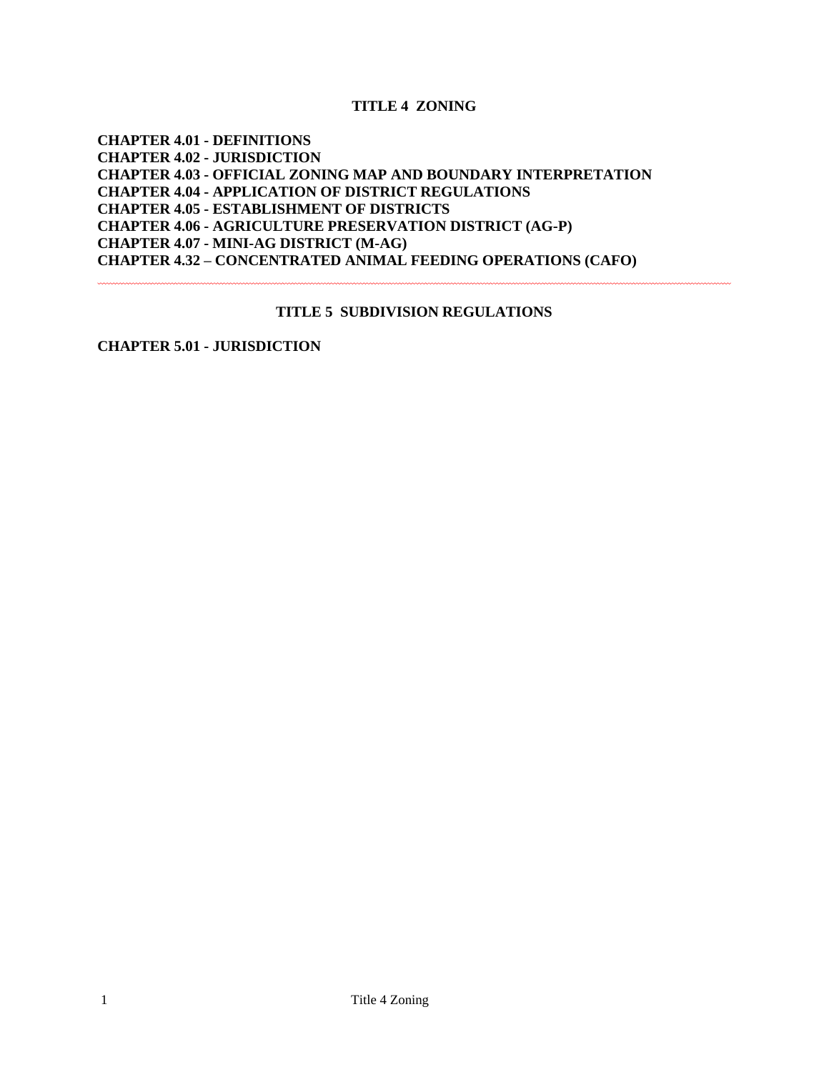**TITLE 4 ZONING**

**CHAPTER 4.01 - DEFINITIONS CHAPTER 4.02 - JURISDICTION CHAPTER 4.03 - OFFICIAL ZONING MAP AND BOUNDARY INTERPRETATION CHAPTER 4.04 - APPLICATION OF DISTRICT REGULATIONS CHAPTER 4.05 - ESTABLISHMENT OF DISTRICTS CHAPTER 4.06 - AGRICULTURE PRESERVATION DISTRICT (AG-P) CHAPTER 4.07 - MINI-AG DISTRICT (M-AG) CHAPTER 4.32 – CONCENTRATED ANIMAL FEEDING OPERATIONS (CAFO)**

#### **TITLE 5 SUBDIVISION REGULATIONS**

**CHAPTER 5.01 - JURISDICTION**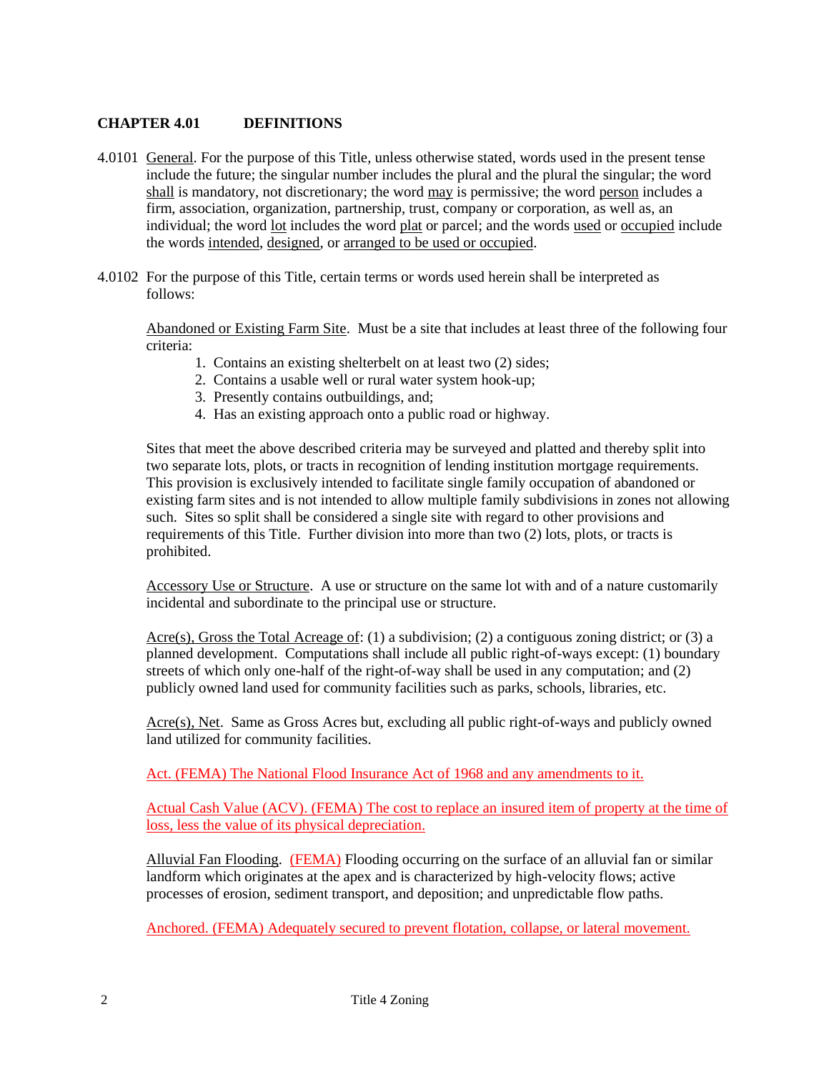## **CHAPTER 4.01 DEFINITIONS**

- 4.0101 General. For the purpose of this Title, unless otherwise stated, words used in the present tense include the future; the singular number includes the plural and the plural the singular; the word shall is mandatory, not discretionary; the word may is permissive; the word person includes a firm, association, organization, partnership, trust, company or corporation, as well as, an individual; the word lot includes the word plat or parcel; and the words used or occupied include the words intended, designed, or arranged to be used or occupied.
- 4.0102 For the purpose of this Title, certain terms or words used herein shall be interpreted as follows:

 Abandoned or Existing Farm Site. Must be a site that includes at least three of the following four criteria:

- 1. Contains an existing shelterbelt on at least two (2) sides;
- 2. Contains a usable well or rural water system hook-up;
- 3. Presently contains outbuildings, and;
- 4. Has an existing approach onto a public road or highway.

Sites that meet the above described criteria may be surveyed and platted and thereby split into two separate lots, plots, or tracts in recognition of lending institution mortgage requirements. This provision is exclusively intended to facilitate single family occupation of abandoned or existing farm sites and is not intended to allow multiple family subdivisions in zones not allowing such. Sites so split shall be considered a single site with regard to other provisions and requirements of this Title. Further division into more than two (2) lots, plots, or tracts is prohibited.

Accessory Use or Structure. A use or structure on the same lot with and of a nature customarily incidental and subordinate to the principal use or structure.

Acre(s), Gross the Total Acreage of: (1) a subdivision; (2) a contiguous zoning district; or (3) a planned development. Computations shall include all public right-of-ways except: (1) boundary streets of which only one-half of the right-of-way shall be used in any computation; and (2) publicly owned land used for community facilities such as parks, schools, libraries, etc.

Acre(s), Net. Same as Gross Acres but, excluding all public right-of-ways and publicly owned land utilized for community facilities.

Act. (FEMA) The National Flood Insurance Act of 1968 and any amendments to it.

Actual Cash Value (ACV). (FEMA) The cost to replace an insured item of property at the time of loss, less the value of its physical depreciation.

Alluvial Fan Flooding. (FEMA) Flooding occurring on the surface of an alluvial fan or similar landform which originates at the apex and is characterized by high-velocity flows; active processes of erosion, sediment transport, and deposition; and unpredictable flow paths.

Anchored. (FEMA) Adequately secured to prevent flotation, collapse, or lateral movement.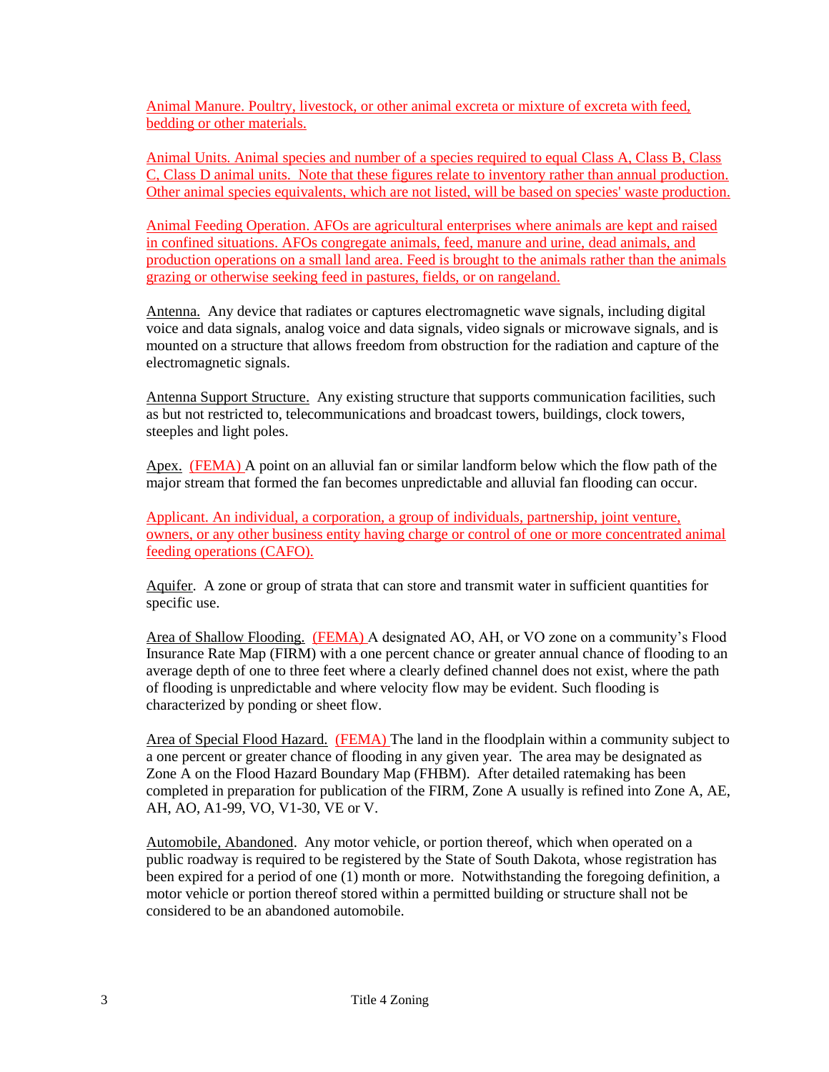Animal Manure. Poultry, livestock, or other animal excreta or mixture of excreta with feed, bedding or other materials.

Animal Units. Animal species and number of a species required to equal Class A, Class B, Class C, Class D animal units. Note that these figures relate to inventory rather than annual production. Other animal species equivalents, which are not listed, will be based on species' waste production.

Animal Feeding Operation. AFOs are agricultural enterprises where animals are kept and raised in confined situations. AFOs congregate animals, feed, manure and urine, dead animals, and production operations on a small land area. Feed is brought to the animals rather than the animals grazing or otherwise seeking feed in pastures, fields, or on rangeland.

Antenna. Any device that radiates or captures electromagnetic wave signals, including digital voice and data signals, analog voice and data signals, video signals or microwave signals, and is mounted on a structure that allows freedom from obstruction for the radiation and capture of the electromagnetic signals.

Antenna Support Structure. Any existing structure that supports communication facilities, such as but not restricted to, telecommunications and broadcast towers, buildings, clock towers, steeples and light poles.

Apex. (FEMA) A point on an alluvial fan or similar landform below which the flow path of the major stream that formed the fan becomes unpredictable and alluvial fan flooding can occur.

Applicant. An individual, a corporation, a group of individuals, partnership, joint venture, owners, or any other business entity having charge or control of one or more concentrated animal feeding operations (CAFO).

 Aquifer. A zone or group of strata that can store and transmit water in sufficient quantities for specific use.

Area of Shallow Flooding. (FEMA) A designated AO, AH, or VO zone on a community's Flood Insurance Rate Map (FIRM) with a one percent chance or greater annual chance of flooding to an average depth of one to three feet where a clearly defined channel does not exist, where the path of flooding is unpredictable and where velocity flow may be evident. Such flooding is characterized by ponding or sheet flow.

Area of Special Flood Hazard. (FEMA) The land in the floodplain within a community subject to a one percent or greater chance of flooding in any given year. The area may be designated as Zone A on the Flood Hazard Boundary Map (FHBM). After detailed ratemaking has been completed in preparation for publication of the FIRM, Zone A usually is refined into Zone A, AE, AH, AO, A1-99, VO, V1-30, VE or V.

Automobile, Abandoned. Any motor vehicle, or portion thereof, which when operated on a public roadway is required to be registered by the State of South Dakota, whose registration has been expired for a period of one (1) month or more. Notwithstanding the foregoing definition, a motor vehicle or portion thereof stored within a permitted building or structure shall not be considered to be an abandoned automobile.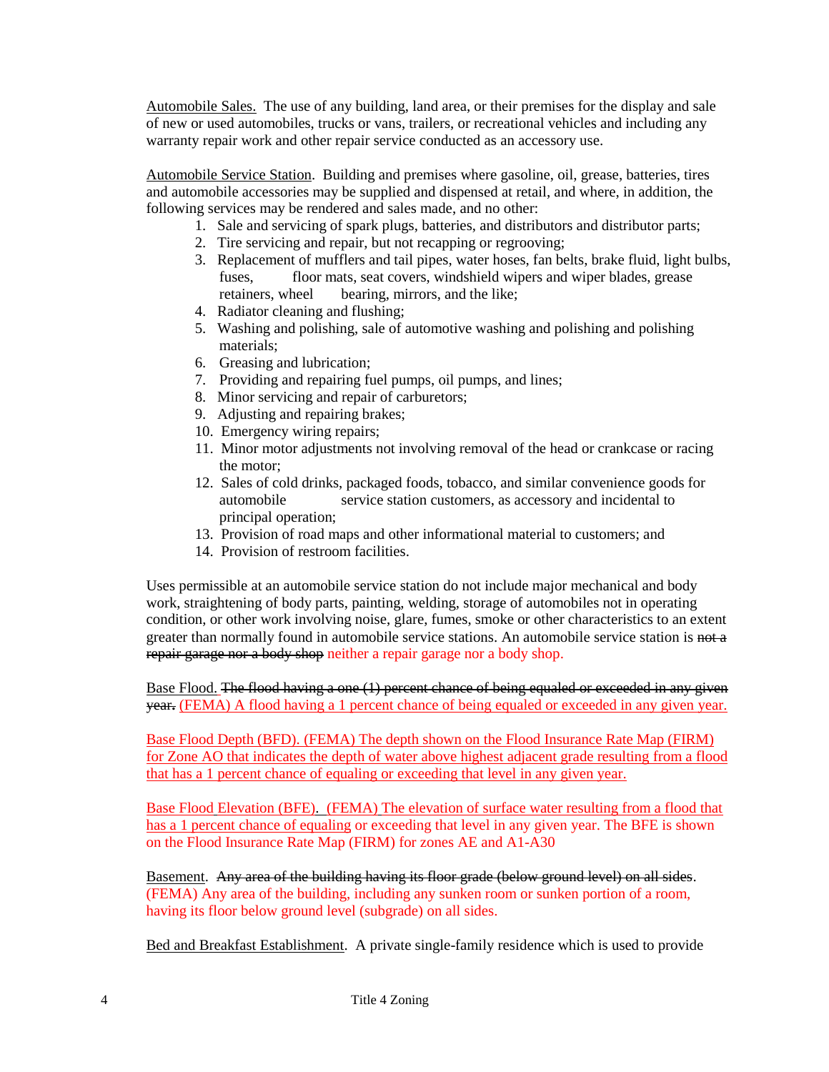Automobile Sales. The use of any building, land area, or their premises for the display and sale of new or used automobiles, trucks or vans, trailers, or recreational vehicles and including any warranty repair work and other repair service conducted as an accessory use.

Automobile Service Station. Building and premises where gasoline, oil, grease, batteries, tires and automobile accessories may be supplied and dispensed at retail, and where, in addition, the following services may be rendered and sales made, and no other:

- 1. Sale and servicing of spark plugs, batteries, and distributors and distributor parts;
- 2. Tire servicing and repair, but not recapping or regrooving;
- 3. Replacement of mufflers and tail pipes, water hoses, fan belts, brake fluid, light bulbs, fuses, floor mats, seat covers, windshield wipers and wiper blades, grease retainers, wheel bearing, mirrors, and the like;
- 4. Radiator cleaning and flushing;
- 5. Washing and polishing, sale of automotive washing and polishing and polishing materials;
- 6. Greasing and lubrication;
- 7. Providing and repairing fuel pumps, oil pumps, and lines;
- 8. Minor servicing and repair of carburetors;
- 9. Adjusting and repairing brakes;
- 10. Emergency wiring repairs;
- 11. Minor motor adjustments not involving removal of the head or crankcase or racing the motor;
- 12. Sales of cold drinks, packaged foods, tobacco, and similar convenience goods for automobile service station customers, as accessory and incidental to principal operation;
- 13. Provision of road maps and other informational material to customers; and
- 14. Provision of restroom facilities.

Uses permissible at an automobile service station do not include major mechanical and body work, straightening of body parts, painting, welding, storage of automobiles not in operating condition, or other work involving noise, glare, fumes, smoke or other characteristics to an extent greater than normally found in automobile service stations. An automobile service station is not a repair garage nor a body shop neither a repair garage nor a body shop.

Base Flood. The flood having a one (1) percent chance of being equaled or exceeded in any given year**.** (FEMA) A flood having a 1 percent chance of being equaled or exceeded in any given year.

Base Flood Depth (BFD). (FEMA) The depth shown on the Flood Insurance Rate Map (FIRM) for Zone AO that indicates the depth of water above highest adjacent grade resulting from a flood that has a 1 percent chance of equaling or exceeding that level in any given year.

Base Flood Elevation (BFE). (FEMA) The elevation of surface water resulting from a flood that has a 1 percent chance of equaling or exceeding that level in any given year. The BFE is shown on the Flood Insurance Rate Map (FIRM) for zones AE and A1-A30

Basement. Any area of the building having its floor grade (below ground level) on all sides. (FEMA) Any area of the building, including any sunken room or sunken portion of a room, having its floor below ground level (subgrade) on all sides.

Bed and Breakfast Establishment. A private single-family residence which is used to provide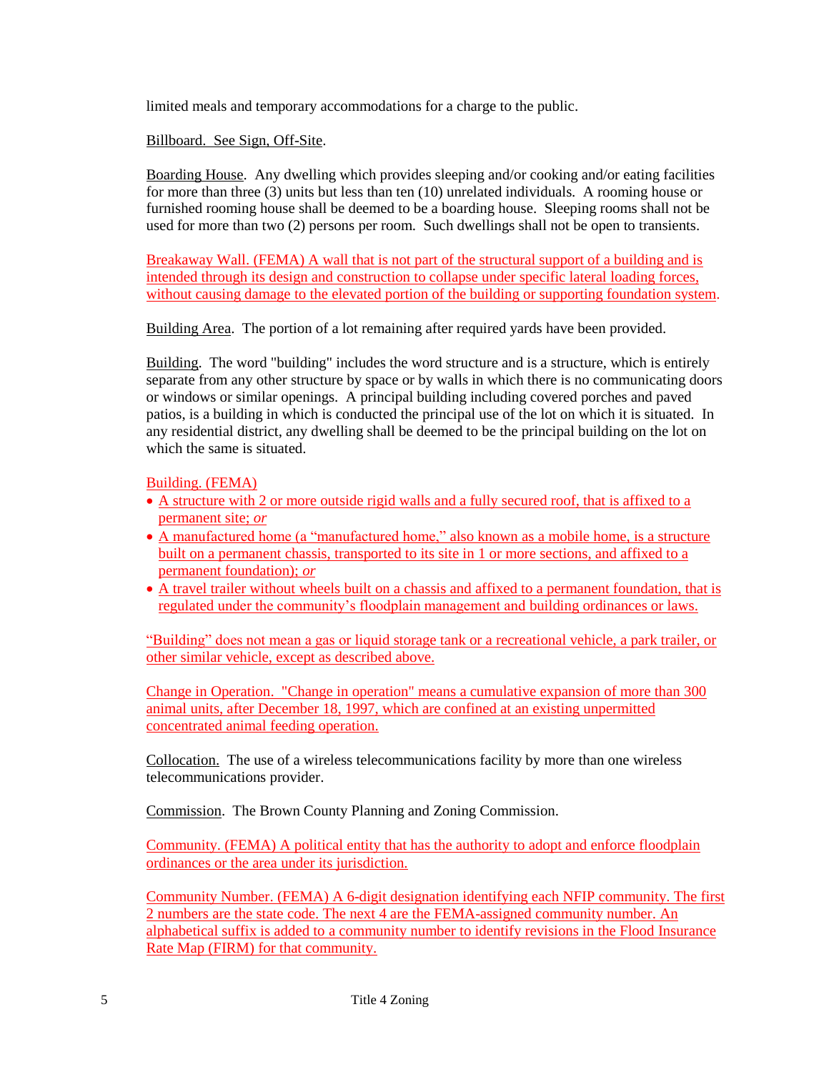limited meals and temporary accommodations for a charge to the public.

Billboard. See Sign, Off-Site.

Boarding House. Any dwelling which provides sleeping and/or cooking and/or eating facilities for more than three (3) units but less than ten (10) unrelated individuals. A rooming house or furnished rooming house shall be deemed to be a boarding house. Sleeping rooms shall not be used for more than two (2) persons per room. Such dwellings shall not be open to transients.

Breakaway Wall. (FEMA) A wall that is not part of the structural support of a building and is intended through its design and construction to collapse under specific lateral loading forces, without causing damage to the elevated portion of the building or supporting foundation system.

Building Area. The portion of a lot remaining after required yards have been provided.

Building. The word "building" includes the word structure and is a structure, which is entirely separate from any other structure by space or by walls in which there is no communicating doors or windows or similar openings. A principal building including covered porches and paved patios, is a building in which is conducted the principal use of the lot on which it is situated. In any residential district, any dwelling shall be deemed to be the principal building on the lot on which the same is situated.

Building. (FEMA)

- A structure with 2 or more outside rigid walls and a fully secured roof, that is affixed to a permanent site; *or*
- A manufactured home (a "manufactured home," also known as a mobile home, is a structure built on a permanent chassis, transported to its site in 1 or more sections, and affixed to a permanent foundation); *or*
- A travel trailer without wheels built on a chassis and affixed to a permanent foundation, that is regulated under the community's floodplain management and building ordinances or laws.

"Building" does not mean a gas or liquid storage tank or a recreational vehicle, a park trailer, or other similar vehicle, except as described above.

Change in Operation. "Change in operation" means a cumulative expansion of more than 300 animal units, after December 18, 1997, which are confined at an existing unpermitted concentrated animal feeding operation.

Collocation. The use of a wireless telecommunications facility by more than one wireless telecommunications provider.

Commission. The Brown County Planning and Zoning Commission.

Community. (FEMA) A political entity that has the authority to adopt and enforce floodplain ordinances or the area under its jurisdiction.

Community Number. (FEMA) A 6-digit designation identifying each NFIP community. The first 2 numbers are the state code. The next 4 are the FEMA-assigned community number. An alphabetical suffix is added to a community number to identify revisions in the Flood Insurance Rate Map (FIRM) for that community.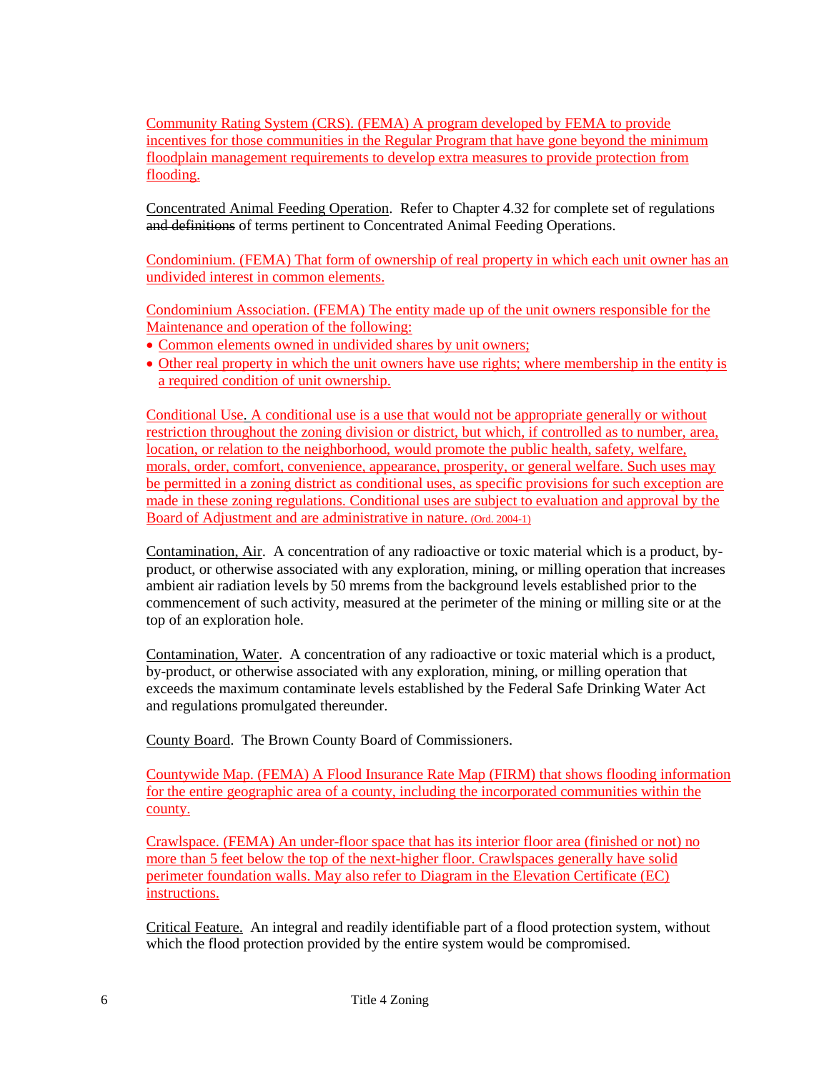Community Rating System (CRS). (FEMA) A program developed by FEMA to provide incentives for those communities in the Regular Program that have gone beyond the minimum floodplain management requirements to develop extra measures to provide protection from flooding.

Concentrated Animal Feeding Operation. Refer to Chapter 4.32 for complete set of regulations and definitions of terms pertinent to Concentrated Animal Feeding Operations.

Condominium. (FEMA) That form of ownership of real property in which each unit owner has an undivided interest in common elements.

Condominium Association. (FEMA) The entity made up of the unit owners responsible for the Maintenance and operation of the following:

- Common elements owned in undivided shares by unit owners:
- Other real property in which the unit owners have use rights; where membership in the entity is a required condition of unit ownership.

Conditional Use. A conditional use is a use that would not be appropriate generally or without restriction throughout the zoning division or district, but which, if controlled as to number, area, location, or relation to the neighborhood, would promote the public health, safety, welfare, morals, order, comfort, convenience, appearance, prosperity, or general welfare. Such uses may be permitted in a zoning district as conditional uses, as specific provisions for such exception are made in these zoning regulations. Conditional uses are subject to evaluation and approval by the Board of Adjustment and are administrative in nature. (Ord. 2004-1)

Contamination, Air. A concentration of any radioactive or toxic material which is a product, byproduct, or otherwise associated with any exploration, mining, or milling operation that increases ambient air radiation levels by 50 mrems from the background levels established prior to the commencement of such activity, measured at the perimeter of the mining or milling site or at the top of an exploration hole.

Contamination, Water. A concentration of any radioactive or toxic material which is a product, by-product, or otherwise associated with any exploration, mining, or milling operation that exceeds the maximum contaminate levels established by the Federal Safe Drinking Water Act and regulations promulgated thereunder.

County Board. The Brown County Board of Commissioners.

Countywide Map. (FEMA) A Flood Insurance Rate Map (FIRM) that shows flooding information for the entire geographic area of a county, including the incorporated communities within the county.

Crawlspace. (FEMA) An under-floor space that has its interior floor area (finished or not) no more than 5 feet below the top of the next-higher floor. Crawlspaces generally have solid perimeter foundation walls. May also refer to Diagram in the Elevation Certificate (EC) instructions.

Critical Feature. An integral and readily identifiable part of a flood protection system, without which the flood protection provided by the entire system would be compromised.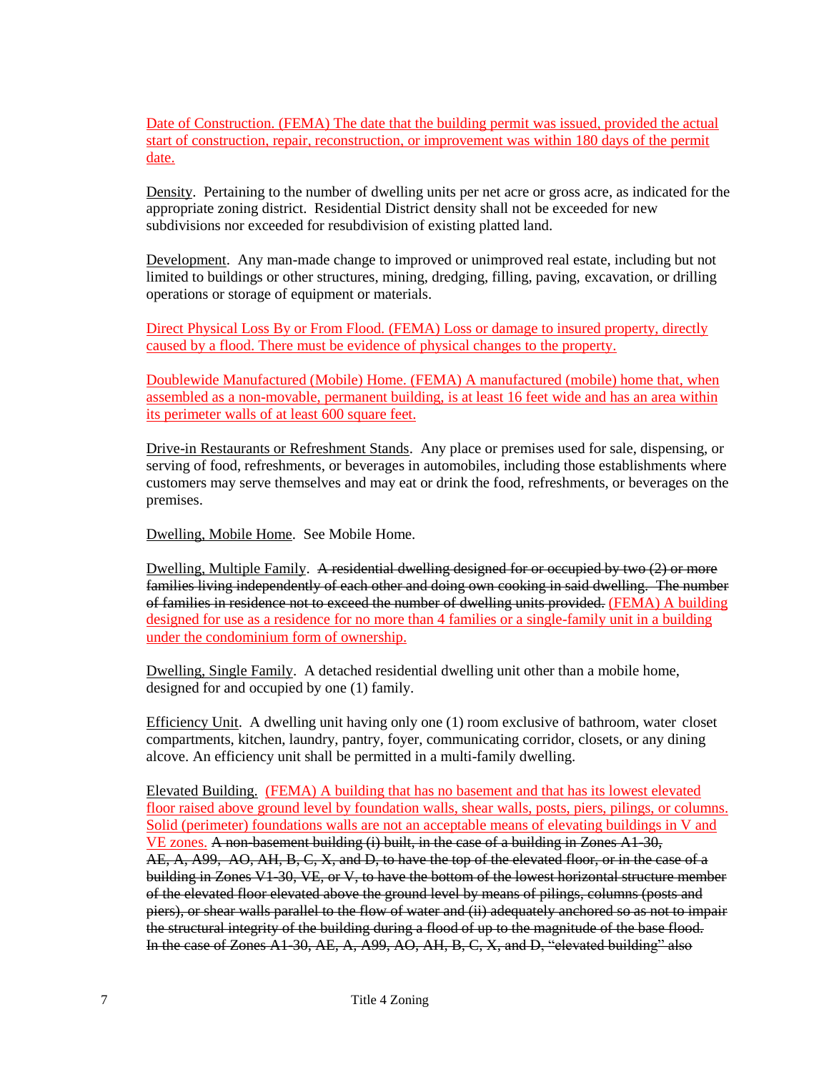Date of Construction. (FEMA) The date that the building permit was issued, provided the actual start of construction, repair, reconstruction, or improvement was within 180 days of the permit date.

Density. Pertaining to the number of dwelling units per net acre or gross acre, as indicated for the appropriate zoning district. Residential District density shall not be exceeded for new subdivisions nor exceeded for resubdivision of existing platted land.

Development. Any man-made change to improved or unimproved real estate, including but not limited to buildings or other structures, mining, dredging, filling, paving, excavation, or drilling operations or storage of equipment or materials.

Direct Physical Loss By or From Flood. (FEMA) Loss or damage to insured property, directly caused by a flood. There must be evidence of physical changes to the property.

Doublewide Manufactured (Mobile) Home. (FEMA) A manufactured (mobile) home that, when assembled as a non-movable, permanent building, is at least 16 feet wide and has an area within its perimeter walls of at least 600 square feet.

Drive-in Restaurants or Refreshment Stands. Any place or premises used for sale, dispensing, or serving of food, refreshments, or beverages in automobiles, including those establishments where customers may serve themselves and may eat or drink the food, refreshments, or beverages on the premises.

Dwelling, Mobile Home. See Mobile Home.

Dwelling, Multiple Family. A residential dwelling designed for or occupied by two (2) or more families living independently of each other and doing own cooking in said dwelling. The number of families in residence not to exceed the number of dwelling units provided. (FEMA) A building designed for use as a residence for no more than 4 families or a single-family unit in a building under the condominium form of ownership.

Dwelling, Single Family. A detached residential dwelling unit other than a mobile home, designed for and occupied by one (1) family.

Efficiency Unit. A dwelling unit having only one (1) room exclusive of bathroom, water closet compartments, kitchen, laundry, pantry, foyer, communicating corridor, closets, or any dining alcove. An efficiency unit shall be permitted in a multi-family dwelling.

Elevated Building. (FEMA) A building that has no basement and that has its lowest elevated floor raised above ground level by foundation walls, shear walls, posts, piers, pilings, or columns. Solid (perimeter) foundations walls are not an acceptable means of elevating buildings in V and VE zones. A non-basement building (i) built, in the case of a building in Zones A1-30, AE, A, A99, AO, AH, B, C, X, and D, to have the top of the elevated floor, or in the case of a building in Zones V1-30, VE, or V, to have the bottom of the lowest horizontal structure member of the elevated floor elevated above the ground level by means of pilings, columns (posts and piers), or shear walls parallel to the flow of water and (ii) adequately anchored so as not to impair the structural integrity of the building during a flood of up to the magnitude of the base flood. In the case of Zones A1-30, AE, A, A99, AO, AH, B, C, X, and D, "elevated building" also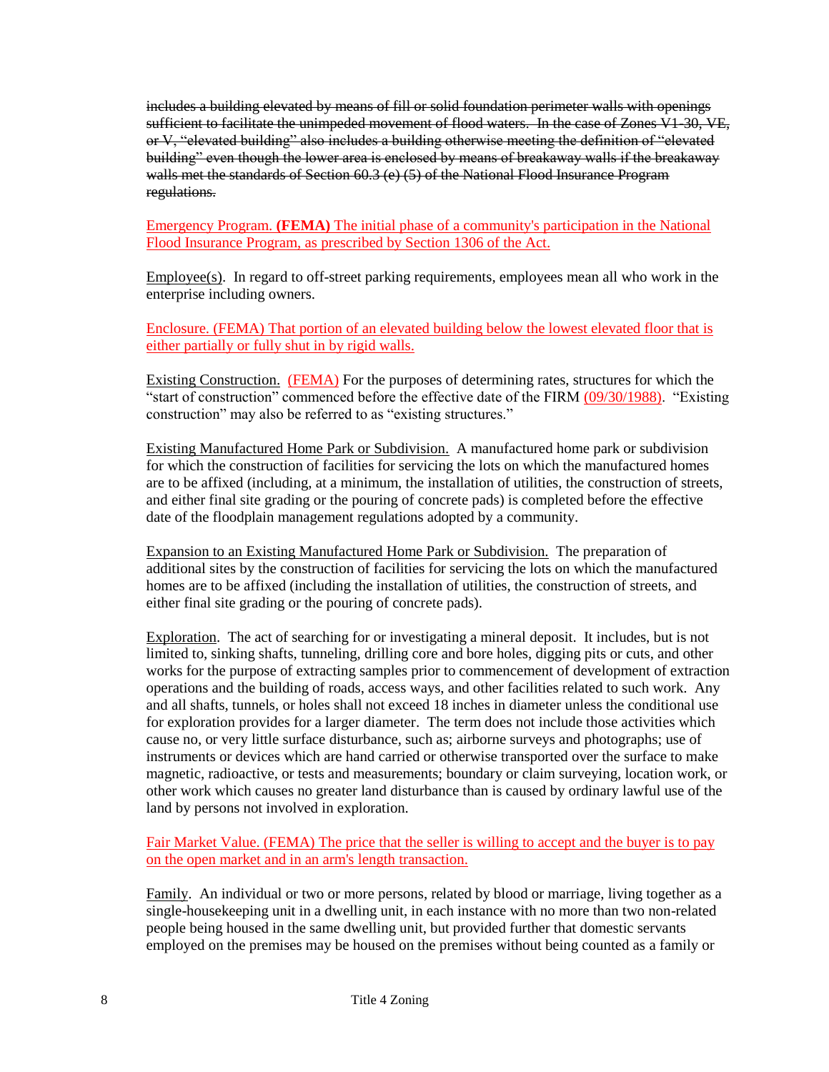includes a building elevated by means of fill or solid foundation perimeter walls with openings sufficient to facilitate the unimpeded movement of flood waters. In the case of Zones V1-30, VE, or V, "elevated building" also includes a building otherwise meeting the definition of "elevated building" even though the lower area is enclosed by means of breakaway walls if the breakaway walls met the standards of Section 60.3 (e) (5) of the National Flood Insurance Program regulations.

Emergency Program. **(FEMA)** The initial phase of a community's participation in the National Flood Insurance Program, as prescribed by Section 1306 of the Act.

 $Emplovec(s)$ . In regard to off-street parking requirements, employees mean all who work in the enterprise including owners.

Enclosure. (FEMA) That portion of an elevated building below the lowest elevated floor that is either partially or fully shut in by rigid walls.

Existing Construction. (FEMA) For the purposes of determining rates, structures for which the "start of construction" commenced before the effective date of the FIRM (09/30/1988). "Existing construction" may also be referred to as "existing structures."

Existing Manufactured Home Park or Subdivision. A manufactured home park or subdivision for which the construction of facilities for servicing the lots on which the manufactured homes are to be affixed (including, at a minimum, the installation of utilities, the construction of streets, and either final site grading or the pouring of concrete pads) is completed before the effective date of the floodplain management regulations adopted by a community.

Expansion to an Existing Manufactured Home Park or Subdivision. The preparation of additional sites by the construction of facilities for servicing the lots on which the manufactured homes are to be affixed (including the installation of utilities, the construction of streets, and either final site grading or the pouring of concrete pads).

Exploration. The act of searching for or investigating a mineral deposit. It includes, but is not limited to, sinking shafts, tunneling, drilling core and bore holes, digging pits or cuts, and other works for the purpose of extracting samples prior to commencement of development of extraction operations and the building of roads, access ways, and other facilities related to such work. Any and all shafts, tunnels, or holes shall not exceed 18 inches in diameter unless the conditional use for exploration provides for a larger diameter. The term does not include those activities which cause no, or very little surface disturbance, such as; airborne surveys and photographs; use of instruments or devices which are hand carried or otherwise transported over the surface to make magnetic, radioactive, or tests and measurements; boundary or claim surveying, location work, or other work which causes no greater land disturbance than is caused by ordinary lawful use of the land by persons not involved in exploration.

Fair Market Value. (FEMA) The price that the seller is willing to accept and the buyer is to pay on the open market and in an arm's length transaction.

Family. An individual or two or more persons, related by blood or marriage, living together as a single-housekeeping unit in a dwelling unit, in each instance with no more than two non-related people being housed in the same dwelling unit, but provided further that domestic servants employed on the premises may be housed on the premises without being counted as a family or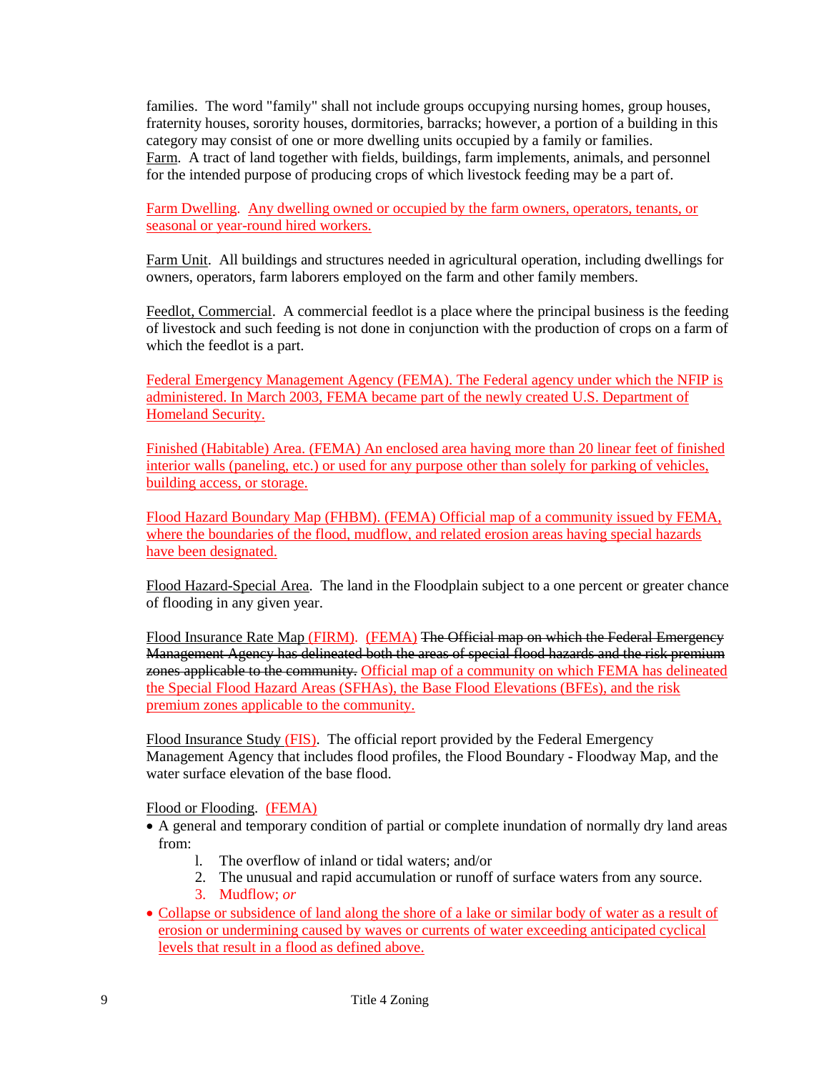families. The word "family" shall not include groups occupying nursing homes, group houses, fraternity houses, sorority houses, dormitories, barracks; however, a portion of a building in this category may consist of one or more dwelling units occupied by a family or families. Farm. A tract of land together with fields, buildings, farm implements, animals, and personnel for the intended purpose of producing crops of which livestock feeding may be a part of.

Farm Dwelling. Any dwelling owned or occupied by the farm owners, operators, tenants, or seasonal or year-round hired workers.

Farm Unit. All buildings and structures needed in agricultural operation, including dwellings for owners, operators, farm laborers employed on the farm and other family members.

Feedlot, Commercial. A commercial feedlot is a place where the principal business is the feeding of livestock and such feeding is not done in conjunction with the production of crops on a farm of which the feedlot is a part.

Federal Emergency Management Agency (FEMA). The Federal agency under which the NFIP is administered. In March 2003, FEMA became part of the newly created U.S. Department of Homeland Security.

Finished (Habitable) Area. (FEMA) An enclosed area having more than 20 linear feet of finished interior walls (paneling, etc.) or used for any purpose other than solely for parking of vehicles, building access, or storage.

Flood Hazard Boundary Map (FHBM). (FEMA) Official map of a community issued by FEMA, where the boundaries of the flood, mudflow, and related erosion areas having special hazards have been designated.

Flood Hazard-Special Area. The land in the Floodplain subject to a one percent or greater chance of flooding in any given year.

Flood Insurance Rate Map (FIRM). (FEMA) The Official map on which the Federal Emergency Management Agency has delineated both the areas of special flood hazards and the risk premium zones applicable to the community. Official map of a community on which FEMA has delineated the Special Flood Hazard Areas (SFHAs), the Base Flood Elevations (BFEs), and the risk premium zones applicable to the community.

Flood Insurance Study (FIS). The official report provided by the Federal Emergency Management Agency that includes flood profiles, the Flood Boundary - Floodway Map, and the water surface elevation of the base flood.

Flood or Flooding. (FEMA)

- A general and temporary condition of partial or complete inundation of normally dry land areas from:
	- l. The overflow of inland or tidal waters; and/or
	- 2. The unusual and rapid accumulation or runoff of surface waters from any source.
	- 3. Mudflow; *or*
- Collapse or subsidence of land along the shore of a lake or similar body of water as a result of erosion or undermining caused by waves or currents of water exceeding anticipated cyclical levels that result in a flood as defined above.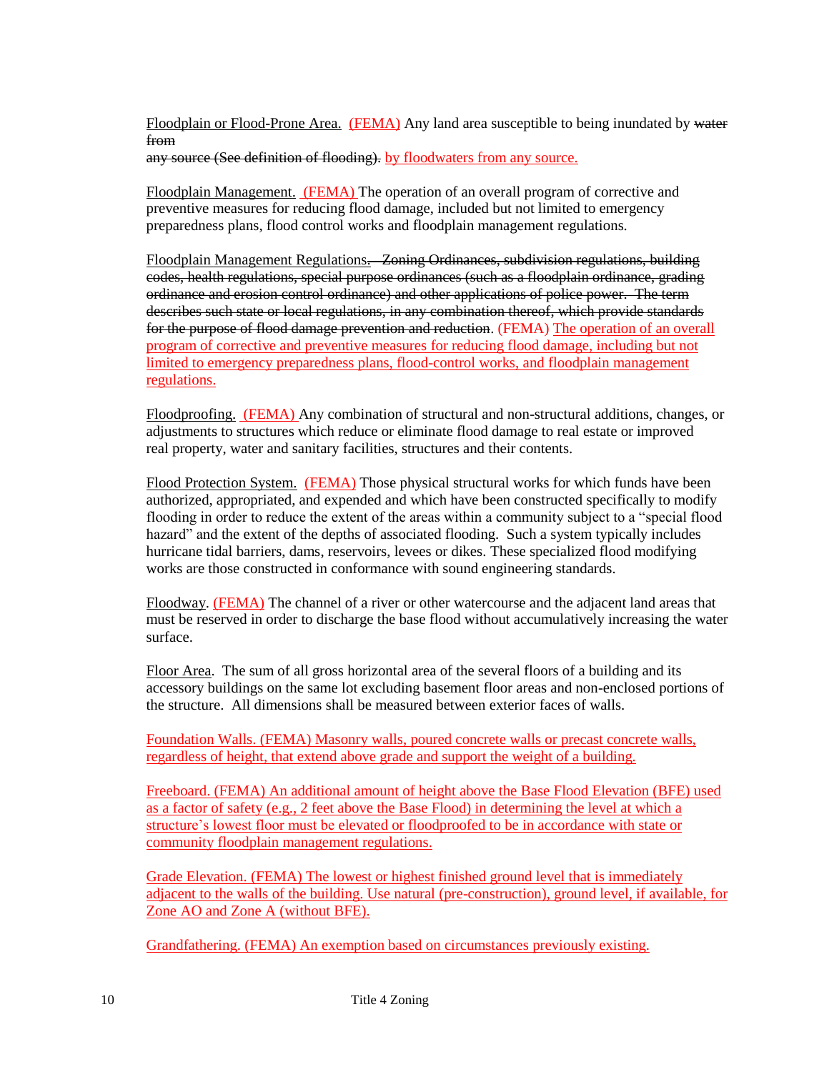Floodplain or Flood-Prone Area. (FEMA) Any land area susceptible to being inundated by water from any source (See definition of flooding). by floodwaters from any source.

Floodplain Management. (FEMA) The operation of an overall program of corrective and preventive measures for reducing flood damage, included but not limited to emergency preparedness plans, flood control works and floodplain management regulations.

Floodplain Management Regulations. Zoning Ordinances, subdivision regulations, building codes, health regulations, special purpose ordinances (such as a floodplain ordinance, grading ordinance and erosion control ordinance) and other applications of police power. The term describes such state or local regulations, in any combination thereof, which provide standards for the purpose of flood damage prevention and reduction. (FEMA) The operation of an overall program of corrective and preventive measures for reducing flood damage, including but not limited to emergency preparedness plans, flood-control works, and floodplain management regulations.

Floodproofing. (FEMA) Any combination of structural and non-structural additions, changes, or adjustments to structures which reduce or eliminate flood damage to real estate or improved real property, water and sanitary facilities, structures and their contents.

Flood Protection System. (FEMA) Those physical structural works for which funds have been authorized, appropriated, and expended and which have been constructed specifically to modify flooding in order to reduce the extent of the areas within a community subject to a "special flood hazard" and the extent of the depths of associated flooding. Such a system typically includes hurricane tidal barriers, dams, reservoirs, levees or dikes. These specialized flood modifying works are those constructed in conformance with sound engineering standards.

Floodway. (FEMA) The channel of a river or other watercourse and the adjacent land areas that must be reserved in order to discharge the base flood without accumulatively increasing the water surface.

Floor Area. The sum of all gross horizontal area of the several floors of a building and its accessory buildings on the same lot excluding basement floor areas and non-enclosed portions of the structure. All dimensions shall be measured between exterior faces of walls.

Foundation Walls. (FEMA) Masonry walls, poured concrete walls or precast concrete walls, regardless of height, that extend above grade and support the weight of a building.

Freeboard. (FEMA) An additional amount of height above the Base Flood Elevation (BFE) used as a factor of safety (e.g., 2 feet above the Base Flood) in determining the level at which a structure's lowest floor must be elevated or floodproofed to be in accordance with state or community floodplain management regulations.

Grade Elevation. (FEMA) The lowest or highest finished ground level that is immediately adjacent to the walls of the building. Use natural (pre-construction), ground level, if available, for Zone AO and Zone A (without BFE).

Grandfathering. (FEMA) An exemption based on circumstances previously existing.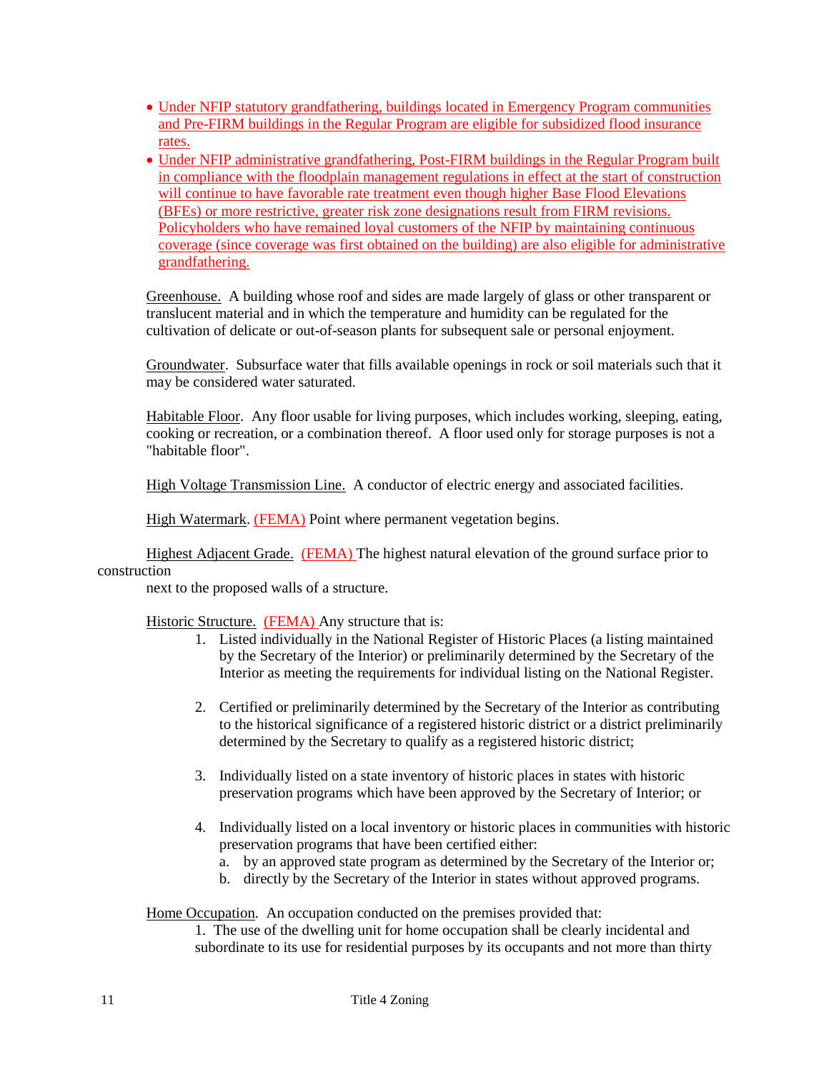- Under NFIP statutory grandfathering, buildings located in Emergency Program communities and Pre-FIRM buildings in the Regular Program are eligible for subsidized flood insurance rates.
- Under NFIP administrative grandfathering, Post-FIRM buildings in the Regular Program built in compliance with the floodplain management regulations in effect at the start of construction will continue to have favorable rate treatment even though higher Base Flood Elevations (BFEs) or more restrictive, greater risk zone designations result from FIRM revisions. Policyholders who have remained loyal customers of the NFIP by maintaining continuous coverage (since coverage was first obtained on the building) are also eligible for administrative grandfathering.

Greenhouse. A building whose roof and sides are made largely of glass or other transparent or translucent material and in which the temperature and humidity can be regulated for the cultivation of delicate or out-of-season plants for subsequent sale or personal enjoyment.

Groundwater. Subsurface water that fills available openings in rock or soil materials such that it may be considered water saturated.

Habitable Floor. Any floor usable for living purposes, which includes working, sleeping, eating, cooking or recreation, or a combination thereof. A floor used only for storage purposes is not a "habitable floor".

High Voltage Transmission Line. A conductor of electric energy and associated facilities.

High Watermark. (FEMA) Point where permanent vegetation begins.

Highest Adjacent Grade. (FEMA) The highest natural elevation of the ground surface prior to construction

next to the proposed walls of a structure.

Historic Structure. (FEMA) Any structure that is:

- 1. Listed individually in the National Register of Historic Places (a listing maintained by the Secretary of the Interior) or preliminarily determined by the Secretary of the Interior as meeting the requirements for individual listing on the National Register.
- 2. Certified or preliminarily determined by the Secretary of the Interior as contributing to the historical significance of a registered historic district or a district preliminarily determined by the Secretary to qualify as a registered historic district;
- 3. Individually listed on a state inventory of historic places in states with historic preservation programs which have been approved by the Secretary of Interior; or
- 4. Individually listed on a local inventory or historic places in communities with historic preservation programs that have been certified either:
	- a. by an approved state program as determined by the Secretary of the Interior or;
	- b. directly by the Secretary of the Interior in states without approved programs.

Home Occupation. An occupation conducted on the premises provided that:

1. The use of the dwelling unit for home occupation shall be clearly incidental and subordinate to its use for residential purposes by its occupants and not more than thirty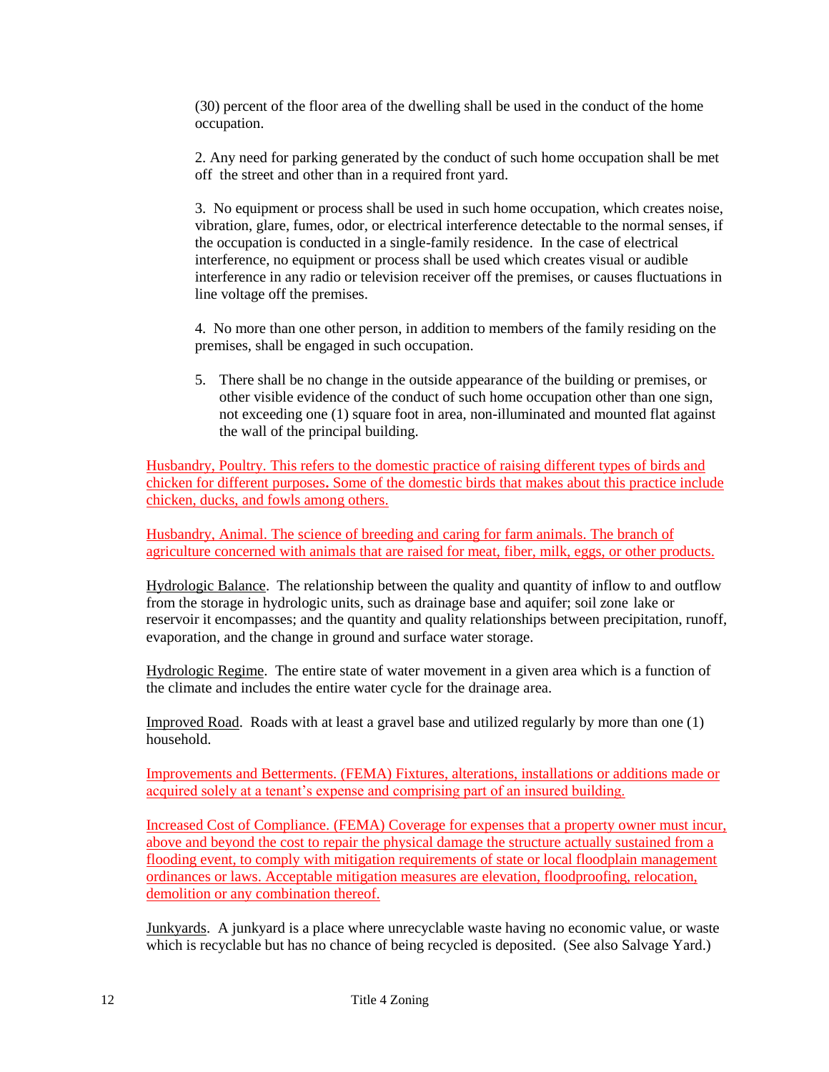(30) percent of the floor area of the dwelling shall be used in the conduct of the home occupation.

2. Any need for parking generated by the conduct of such home occupation shall be met off the street and other than in a required front yard.

3. No equipment or process shall be used in such home occupation, which creates noise, vibration, glare, fumes, odor, or electrical interference detectable to the normal senses, if the occupation is conducted in a single-family residence. In the case of electrical interference, no equipment or process shall be used which creates visual or audible interference in any radio or television receiver off the premises, or causes fluctuations in line voltage off the premises.

4. No more than one other person, in addition to members of the family residing on the premises, shall be engaged in such occupation.

5. There shall be no change in the outside appearance of the building or premises, or other visible evidence of the conduct of such home occupation other than one sign, not exceeding one (1) square foot in area, non-illuminated and mounted flat against the wall of the principal building.

Husbandry, Poultry. This refers to the domestic practice of raising different types of birds and chicken for different purposes**.** Some of the domestic birds that makes about this practice include chicken, ducks, and fowls among others.

Husbandry, Animal. The science of breeding and caring for farm animals. The branch of agriculture concerned with animals that are raised for meat, fiber, milk, eggs, or other products.

Hydrologic Balance. The relationship between the quality and quantity of inflow to and outflow from the storage in hydrologic units, such as drainage base and aquifer; soil zone lake or reservoir it encompasses; and the quantity and quality relationships between precipitation, runoff, evaporation, and the change in ground and surface water storage.

Hydrologic Regime. The entire state of water movement in a given area which is a function of the climate and includes the entire water cycle for the drainage area.

Improved Road. Roads with at least a gravel base and utilized regularly by more than one (1) household.

Improvements and Betterments. (FEMA) Fixtures, alterations, installations or additions made or acquired solely at a tenant's expense and comprising part of an insured building.

Increased Cost of Compliance. (FEMA) Coverage for expenses that a property owner must incur, above and beyond the cost to repair the physical damage the structure actually sustained from a flooding event, to comply with mitigation requirements of state or local floodplain management ordinances or laws. Acceptable mitigation measures are elevation, floodproofing, relocation, demolition or any combination thereof.

Junkyards. A junkyard is a place where unrecyclable waste having no economic value, or waste which is recyclable but has no chance of being recycled is deposited. (See also Salvage Yard.)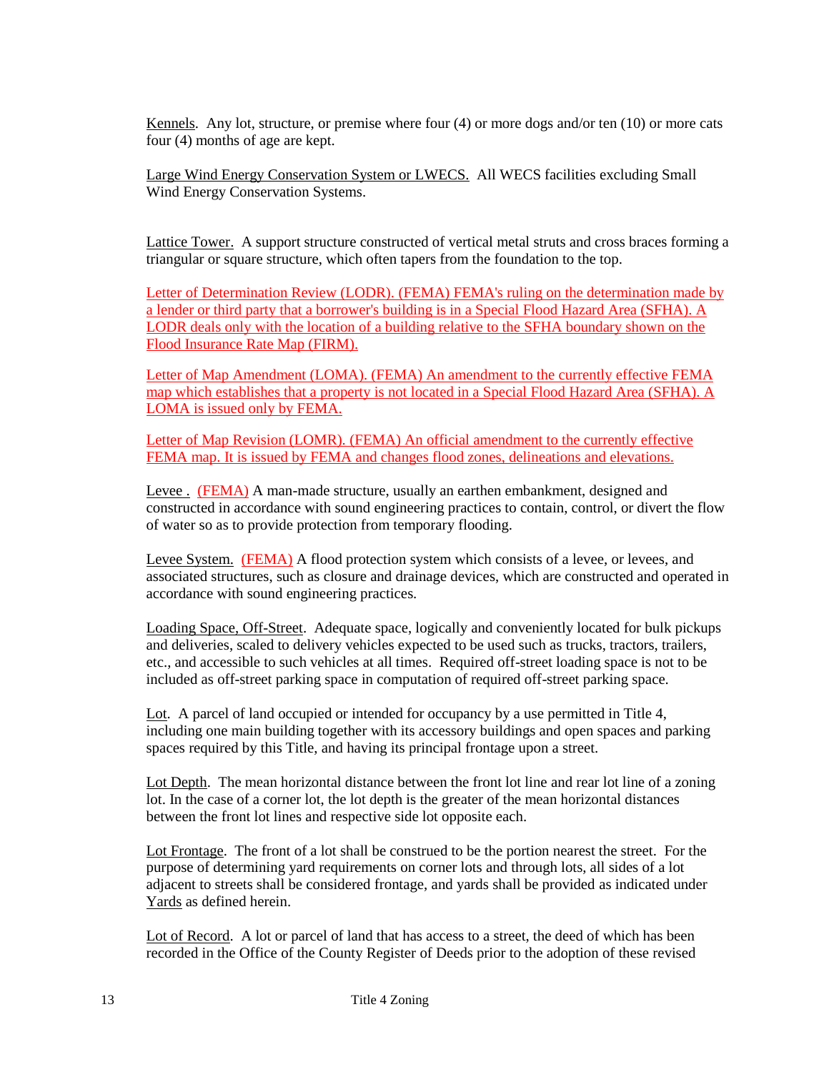Kennels. Any lot, structure, or premise where four (4) or more dogs and/or ten (10) or more cats four (4) months of age are kept.

Large Wind Energy Conservation System or LWECS. All WECS facilities excluding Small Wind Energy Conservation Systems.

Lattice Tower. A support structure constructed of vertical metal struts and cross braces forming a triangular or square structure, which often tapers from the foundation to the top.

Letter of Determination Review (LODR). (FEMA) FEMA's ruling on the determination made by a lender or third party that a borrower's building is in a Special Flood Hazard Area (SFHA). A LODR deals only with the location of a building relative to the SFHA boundary shown on the Flood Insurance Rate Map (FIRM).

Letter of Map Amendment (LOMA). (FEMA) An amendment to the currently effective FEMA map which establishes that a property is not located in a Special Flood Hazard Area (SFHA). A LOMA is issued only by FEMA.

Letter of Map Revision (LOMR). (FEMA) An official amendment to the currently effective FEMA map. It is issued by FEMA and changes flood zones, delineations and elevations.

Levee . (FEMA) A man-made structure, usually an earthen embankment, designed and constructed in accordance with sound engineering practices to contain, control, or divert the flow of water so as to provide protection from temporary flooding.

Levee System. (FEMA) A flood protection system which consists of a levee, or levees, and associated structures, such as closure and drainage devices, which are constructed and operated in accordance with sound engineering practices.

Loading Space, Off-Street. Adequate space, logically and conveniently located for bulk pickups and deliveries, scaled to delivery vehicles expected to be used such as trucks, tractors, trailers, etc., and accessible to such vehicles at all times. Required off-street loading space is not to be included as off-street parking space in computation of required off-street parking space.

Lot. A parcel of land occupied or intended for occupancy by a use permitted in Title 4, including one main building together with its accessory buildings and open spaces and parking spaces required by this Title, and having its principal frontage upon a street.

Lot Depth. The mean horizontal distance between the front lot line and rear lot line of a zoning lot. In the case of a corner lot, the lot depth is the greater of the mean horizontal distances between the front lot lines and respective side lot opposite each.

Lot Frontage. The front of a lot shall be construed to be the portion nearest the street. For the purpose of determining yard requirements on corner lots and through lots, all sides of a lot adjacent to streets shall be considered frontage, and yards shall be provided as indicated under Yards as defined herein.

Lot of Record. A lot or parcel of land that has access to a street, the deed of which has been recorded in the Office of the County Register of Deeds prior to the adoption of these revised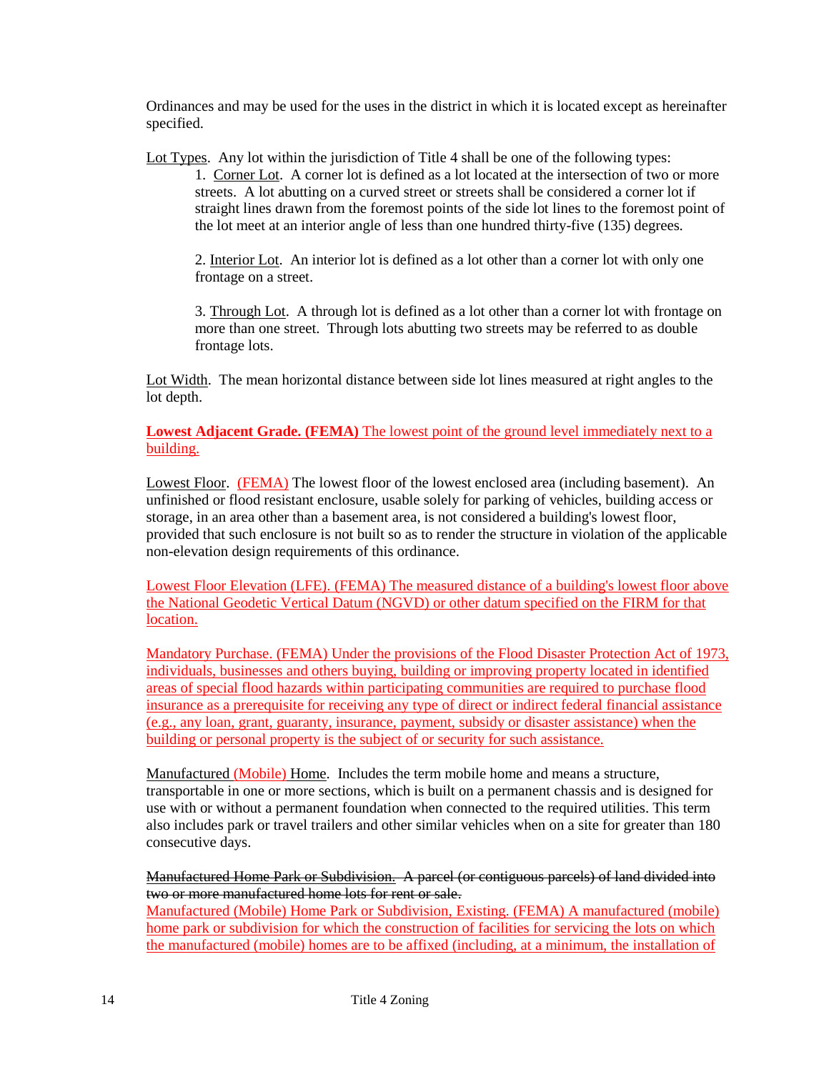Ordinances and may be used for the uses in the district in which it is located except as hereinafter specified.

Lot Types. Any lot within the jurisdiction of Title 4 shall be one of the following types:

1. Corner Lot. A corner lot is defined as a lot located at the intersection of two or more streets. A lot abutting on a curved street or streets shall be considered a corner lot if straight lines drawn from the foremost points of the side lot lines to the foremost point of the lot meet at an interior angle of less than one hundred thirty-five (135) degrees.

2. Interior Lot. An interior lot is defined as a lot other than a corner lot with only one frontage on a street.

3. Through Lot. A through lot is defined as a lot other than a corner lot with frontage on more than one street. Through lots abutting two streets may be referred to as double frontage lots.

Lot Width. The mean horizontal distance between side lot lines measured at right angles to the lot depth.

## **Lowest Adjacent Grade. (FEMA)** The lowest point of the ground level immediately next to a building.

Lowest Floor. (FEMA) The lowest floor of the lowest enclosed area (including basement). An unfinished or flood resistant enclosure, usable solely for parking of vehicles, building access or storage, in an area other than a basement area, is not considered a building's lowest floor, provided that such enclosure is not built so as to render the structure in violation of the applicable non-elevation design requirements of this ordinance.

Lowest Floor Elevation (LFE). (FEMA) The measured distance of a building's lowest floor above the National Geodetic Vertical Datum (NGVD) or other datum specified on the FIRM for that location.

Mandatory Purchase. (FEMA) Under the provisions of the Flood Disaster Protection Act of 1973, individuals, businesses and others buying, building or improving property located in identified areas of special flood hazards within participating communities are required to purchase flood insurance as a prerequisite for receiving any type of direct or indirect federal financial assistance (e.g., any loan, grant, guaranty, insurance, payment, subsidy or disaster assistance) when the building or personal property is the subject of or security for such assistance.

Manufactured (Mobile) Home. Includes the term mobile home and means a structure, transportable in one or more sections, which is built on a permanent chassis and is designed for use with or without a permanent foundation when connected to the required utilities. This term also includes park or travel trailers and other similar vehicles when on a site for greater than 180 consecutive days.

Manufactured Home Park or Subdivision. A parcel (or contiguous parcels) of land divided into two or more manufactured home lots for rent or sale.

Manufactured (Mobile) Home Park or Subdivision, Existing. (FEMA) A manufactured (mobile) home park or subdivision for which the construction of facilities for servicing the lots on which the manufactured (mobile) homes are to be affixed (including, at a minimum, the installation of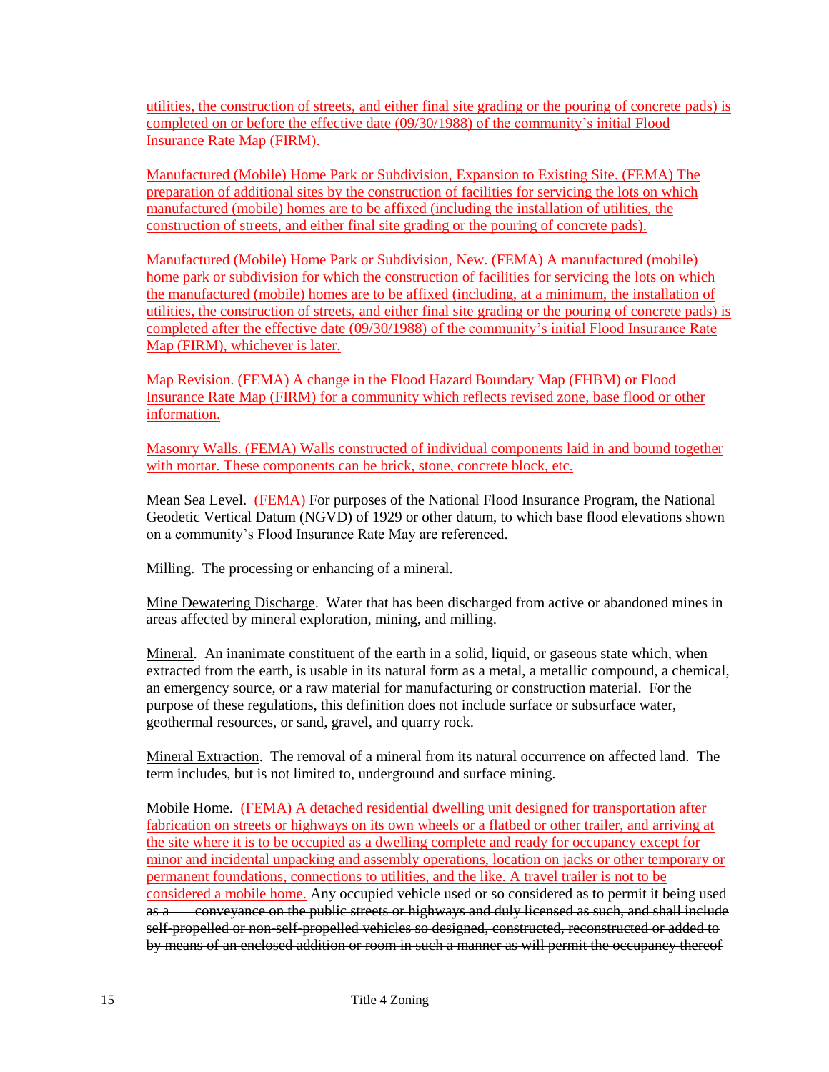utilities, the construction of streets, and either final site grading or the pouring of concrete pads) is completed on or before the effective date (09/30/1988) of the community's initial Flood Insurance Rate Map (FIRM).

Manufactured (Mobile) Home Park or Subdivision, Expansion to Existing Site. (FEMA) The preparation of additional sites by the construction of facilities for servicing the lots on which manufactured (mobile) homes are to be affixed (including the installation of utilities, the construction of streets, and either final site grading or the pouring of concrete pads).

Manufactured (Mobile) Home Park or Subdivision, New. (FEMA) A manufactured (mobile) home park or subdivision for which the construction of facilities for servicing the lots on which the manufactured (mobile) homes are to be affixed (including, at a minimum, the installation of utilities, the construction of streets, and either final site grading or the pouring of concrete pads) is completed after the effective date (09/30/1988) of the community's initial Flood Insurance Rate Map (FIRM), whichever is later.

Map Revision. (FEMA) A change in the Flood Hazard Boundary Map (FHBM) or Flood Insurance Rate Map (FIRM) for a community which reflects revised zone, base flood or other information.

Masonry Walls. (FEMA) Walls constructed of individual components laid in and bound together with mortar. These components can be brick, stone, concrete block, etc.

Mean Sea Level. (FEMA) For purposes of the National Flood Insurance Program, the National Geodetic Vertical Datum (NGVD) of 1929 or other datum, to which base flood elevations shown on a community's Flood Insurance Rate May are referenced.

Milling. The processing or enhancing of a mineral.

Mine Dewatering Discharge. Water that has been discharged from active or abandoned mines in areas affected by mineral exploration, mining, and milling.

Mineral. An inanimate constituent of the earth in a solid, liquid, or gaseous state which, when extracted from the earth, is usable in its natural form as a metal, a metallic compound, a chemical, an emergency source, or a raw material for manufacturing or construction material. For the purpose of these regulations, this definition does not include surface or subsurface water, geothermal resources, or sand, gravel, and quarry rock.

Mineral Extraction. The removal of a mineral from its natural occurrence on affected land. The term includes, but is not limited to, underground and surface mining.

Mobile Home. (FEMA) A detached residential dwelling unit designed for transportation after fabrication on streets or highways on its own wheels or a flatbed or other trailer, and arriving at the site where it is to be occupied as a dwelling complete and ready for occupancy except for minor and incidental unpacking and assembly operations, location on jacks or other temporary or permanent foundations, connections to utilities, and the like. A travel trailer is not to be considered a mobile home. Any occupied vehicle used or so considered as to permit it being used as a conveyance on the public streets or highways and duly licensed as such, and shall include self-propelled or non-self-propelled vehicles so designed, constructed, reconstructed or added to by means of an enclosed addition or room in such a manner as will permit the occupancy thereof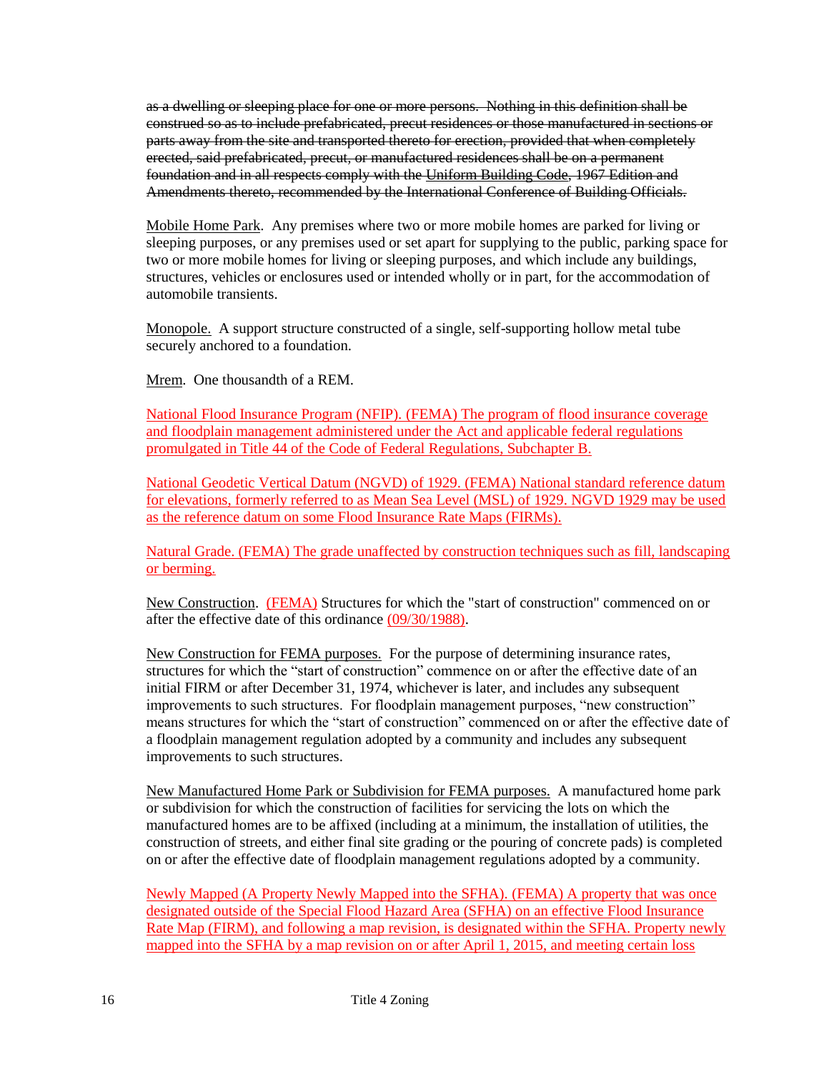as a dwelling or sleeping place for one or more persons. Nothing in this definition shall be construed so as to include prefabricated, precut residences or those manufactured in sections or parts away from the site and transported thereto for erection, provided that when completely erected, said prefabricated, precut, or manufactured residences shall be on a permanent foundation and in all respects comply with the Uniform Building Code, 1967 Edition and Amendments thereto, recommended by the International Conference of Building Officials.

Mobile Home Park. Any premises where two or more mobile homes are parked for living or sleeping purposes, or any premises used or set apart for supplying to the public, parking space for two or more mobile homes for living or sleeping purposes, and which include any buildings, structures, vehicles or enclosures used or intended wholly or in part, for the accommodation of automobile transients.

Monopole. A support structure constructed of a single, self-supporting hollow metal tube securely anchored to a foundation.

Mrem. One thousandth of a REM.

National Flood Insurance Program (NFIP). (FEMA) The program of flood insurance coverage and floodplain management administered under the Act and applicable federal regulations promulgated in Title 44 of the Code of Federal Regulations, Subchapter B.

National Geodetic Vertical Datum (NGVD) of 1929. (FEMA) National standard reference datum for elevations, formerly referred to as Mean Sea Level (MSL) of 1929. NGVD 1929 may be used as the reference datum on some Flood Insurance Rate Maps (FIRMs).

Natural Grade. (FEMA) The grade unaffected by construction techniques such as fill, landscaping or berming.

New Construction. (FEMA) Structures for which the "start of construction" commenced on or after the effective date of this ordinance (09/30/1988).

New Construction for FEMA purposes. For the purpose of determining insurance rates, structures for which the "start of construction" commence on or after the effective date of an initial FIRM or after December 31, 1974, whichever is later, and includes any subsequent improvements to such structures. For floodplain management purposes, "new construction" means structures for which the "start of construction" commenced on or after the effective date of a floodplain management regulation adopted by a community and includes any subsequent improvements to such structures.

New Manufactured Home Park or Subdivision for FEMA purposes. A manufactured home park or subdivision for which the construction of facilities for servicing the lots on which the manufactured homes are to be affixed (including at a minimum, the installation of utilities, the construction of streets, and either final site grading or the pouring of concrete pads) is completed on or after the effective date of floodplain management regulations adopted by a community.

Newly Mapped (A Property Newly Mapped into the SFHA). (FEMA) A property that was once designated outside of the Special Flood Hazard Area (SFHA) on an effective Flood Insurance Rate Map (FIRM), and following a map revision, is designated within the SFHA. Property newly mapped into the SFHA by a map revision on or after April 1, 2015, and meeting certain loss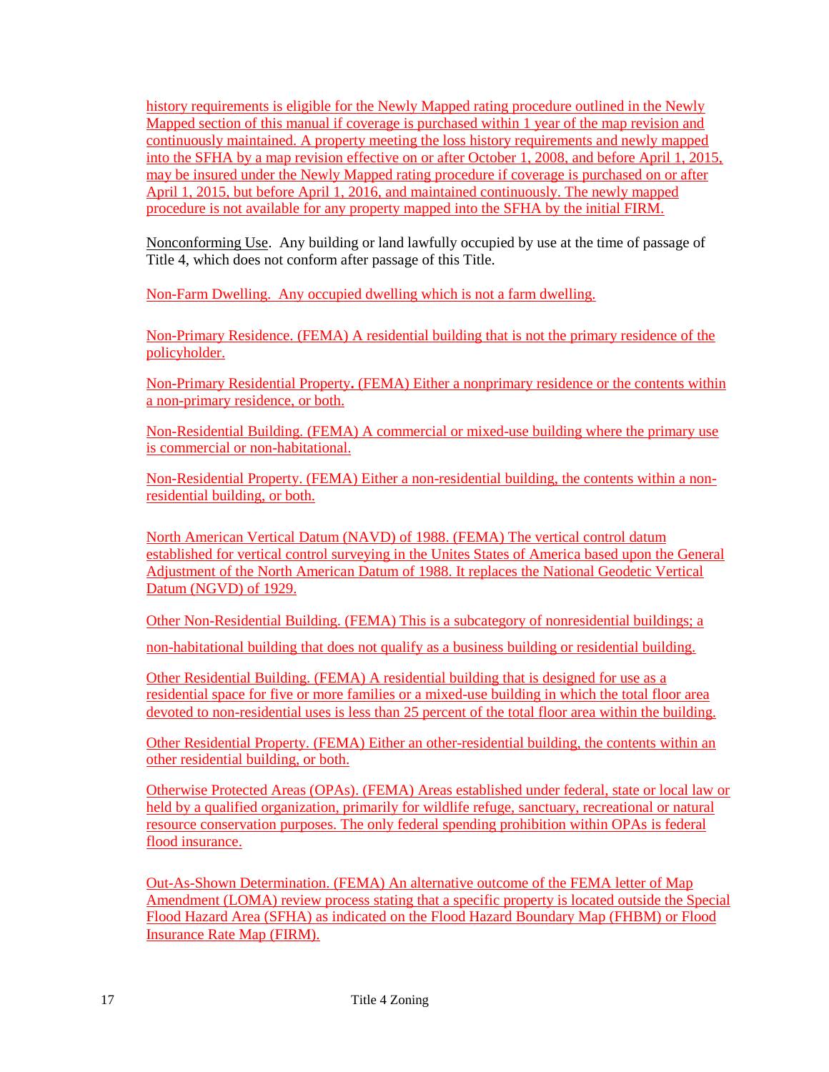history requirements is eligible for the Newly Mapped rating procedure outlined in the Newly Mapped section of this manual if coverage is purchased within 1 year of the map revision and continuously maintained. A property meeting the loss history requirements and newly mapped into the SFHA by a map revision effective on or after October 1, 2008, and before April 1, 2015, may be insured under the Newly Mapped rating procedure if coverage is purchased on or after April 1, 2015, but before April 1, 2016, and maintained continuously. The newly mapped procedure is not available for any property mapped into the SFHA by the initial FIRM.

Nonconforming Use. Any building or land lawfully occupied by use at the time of passage of Title 4, which does not conform after passage of this Title.

Non-Farm Dwelling. Any occupied dwelling which is not a farm dwelling.

Non-Primary Residence. (FEMA) A residential building that is not the primary residence of the policyholder.

Non-Primary Residential Property**.** (FEMA) Either a nonprimary residence or the contents within a non-primary residence, or both.

Non-Residential Building. (FEMA) A commercial or mixed-use building where the primary use is commercial or non-habitational.

Non-Residential Property. (FEMA) Either a non-residential building, the contents within a nonresidential building, or both.

North American Vertical Datum (NAVD) of 1988. (FEMA) The vertical control datum established for vertical control surveying in the Unites States of America based upon the General Adjustment of the North American Datum of 1988. It replaces the National Geodetic Vertical Datum (NGVD) of 1929.

Other Non-Residential Building. (FEMA) This is a subcategory of nonresidential buildings; a non-habitational building that does not qualify as a business building or residential building.

Other Residential Building. (FEMA) A residential building that is designed for use as a residential space for five or more families or a mixed-use building in which the total floor area devoted to non-residential uses is less than 25 percent of the total floor area within the building.

Other Residential Property. (FEMA) Either an other-residential building, the contents within an other residential building, or both.

Otherwise Protected Areas (OPAs). (FEMA) Areas established under federal, state or local law or held by a qualified organization, primarily for wildlife refuge, sanctuary, recreational or natural resource conservation purposes. The only federal spending prohibition within OPAs is federal flood insurance.

Out-As-Shown Determination. (FEMA) An alternative outcome of the FEMA letter of Map Amendment (LOMA) review process stating that a specific property is located outside the Special Flood Hazard Area (SFHA) as indicated on the Flood Hazard Boundary Map (FHBM) or Flood Insurance Rate Map (FIRM).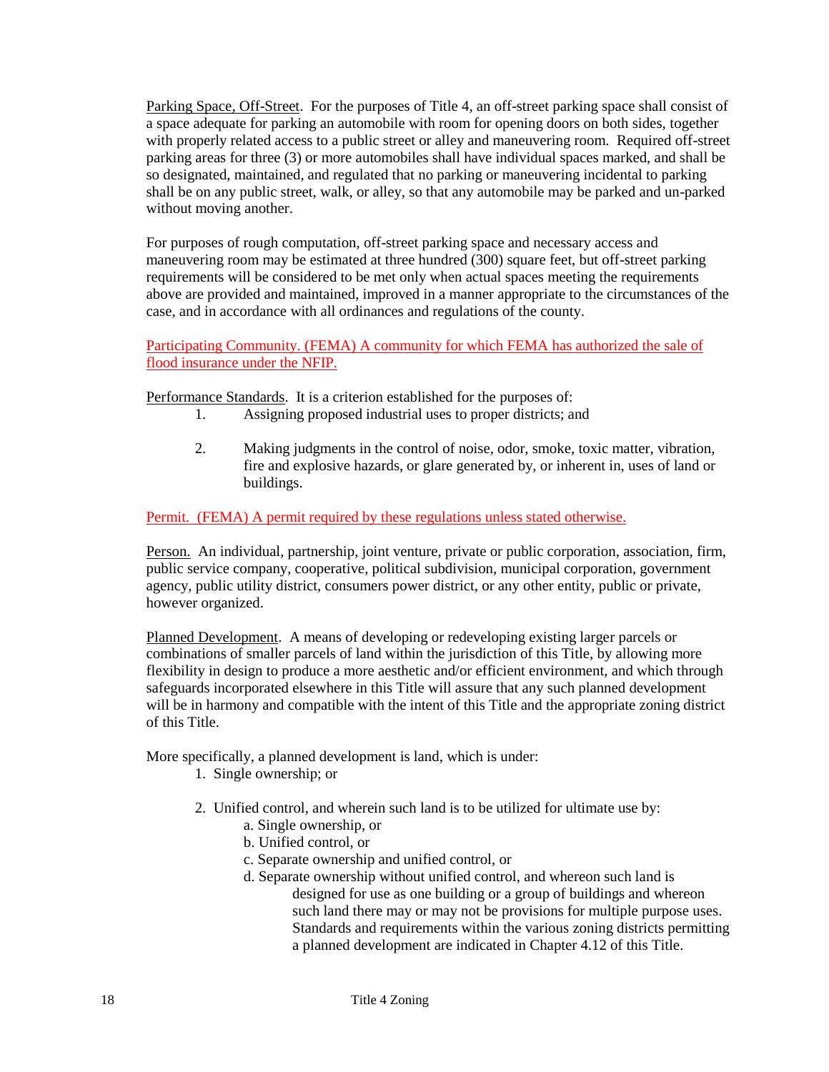Parking Space, Off-Street. For the purposes of Title 4, an off-street parking space shall consist of a space adequate for parking an automobile with room for opening doors on both sides, together with properly related access to a public street or alley and maneuvering room. Required off-street parking areas for three (3) or more automobiles shall have individual spaces marked, and shall be so designated, maintained, and regulated that no parking or maneuvering incidental to parking shall be on any public street, walk, or alley, so that any automobile may be parked and un-parked without moving another.

For purposes of rough computation, off-street parking space and necessary access and maneuvering room may be estimated at three hundred (300) square feet, but off-street parking requirements will be considered to be met only when actual spaces meeting the requirements above are provided and maintained, improved in a manner appropriate to the circumstances of the case, and in accordance with all ordinances and regulations of the county.

Participating Community. (FEMA) A community for which FEMA has authorized the sale of flood insurance under the NFIP.

Performance Standards. It is a criterion established for the purposes of:

- 1. Assigning proposed industrial uses to proper districts; and
- 2. Making judgments in the control of noise, odor, smoke, toxic matter, vibration, fire and explosive hazards, or glare generated by, or inherent in, uses of land or buildings.

Permit. (FEMA) A permit required by these regulations unless stated otherwise.

Person. An individual, partnership, joint venture, private or public corporation, association, firm, public service company, cooperative, political subdivision, municipal corporation, government agency, public utility district, consumers power district, or any other entity, public or private, however organized.

Planned Development. A means of developing or redeveloping existing larger parcels or combinations of smaller parcels of land within the jurisdiction of this Title, by allowing more flexibility in design to produce a more aesthetic and/or efficient environment, and which through safeguards incorporated elsewhere in this Title will assure that any such planned development will be in harmony and compatible with the intent of this Title and the appropriate zoning district of this Title.

More specifically, a planned development is land, which is under:

- 1. Single ownership; or
- 2. Unified control, and wherein such land is to be utilized for ultimate use by:
	- a. Single ownership, or
	- b. Unified control, or
	- c. Separate ownership and unified control, or
	- d. Separate ownership without unified control, and whereon such land is designed for use as one building or a group of buildings and whereon such land there may or may not be provisions for multiple purpose uses. Standards and requirements within the various zoning districts permitting a planned development are indicated in Chapter 4.12 of this Title.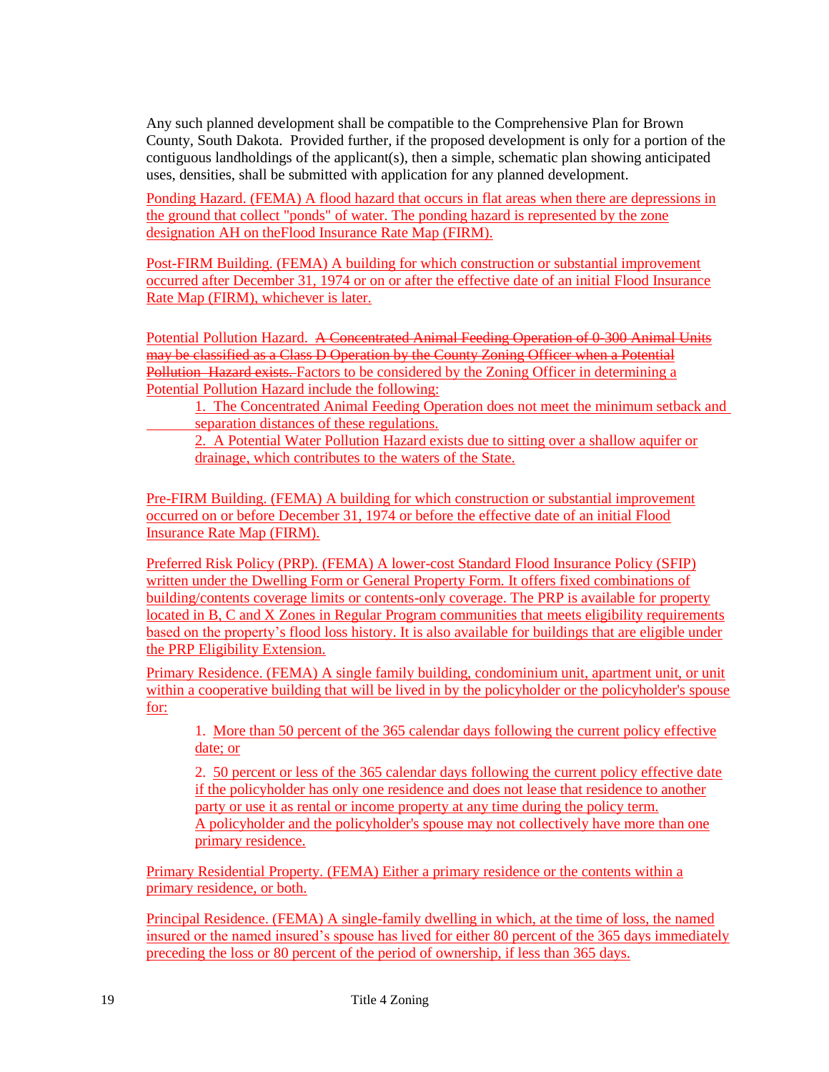Any such planned development shall be compatible to the Comprehensive Plan for Brown County, South Dakota. Provided further, if the proposed development is only for a portion of the contiguous landholdings of the applicant(s), then a simple, schematic plan showing anticipated uses, densities, shall be submitted with application for any planned development.

Ponding Hazard. (FEMA) A flood hazard that occurs in flat areas when there are depressions in the ground that collect "ponds" of water. The ponding hazard is represented by the zone designation AH on theFlood Insurance Rate Map (FIRM).

Post-FIRM Building. (FEMA) A building for which construction or substantial improvement occurred after December 31, 1974 or on or after the effective date of an initial Flood Insurance Rate Map (FIRM), whichever is later.

Potential Pollution Hazard. A Concentrated Animal Feeding Operation of 0-300 Animal Units may be classified as a Class D Operation by the County Zoning Officer when a Potential Pollution Hazard exists. Factors to be considered by the Zoning Officer in determining a Potential Pollution Hazard include the following:

1. The Concentrated Animal Feeding Operation does not meet the minimum setback and separation distances of these regulations.

2. A Potential Water Pollution Hazard exists due to sitting over a shallow aquifer or drainage, which contributes to the waters of the State.

Pre-FIRM Building. (FEMA) A building for which construction or substantial improvement occurred on or before December 31, 1974 or before the effective date of an initial Flood Insurance Rate Map (FIRM).

Preferred Risk Policy (PRP). (FEMA) A lower-cost Standard Flood Insurance Policy (SFIP) written under the Dwelling Form or General Property Form. It offers fixed combinations of building/contents coverage limits or contents-only coverage. The PRP is available for property located in B, C and X Zones in Regular Program communities that meets eligibility requirements based on the property's flood loss history. It is also available for buildings that are eligible under the PRP Eligibility Extension.

Primary Residence. (FEMA) A single family building, condominium unit, apartment unit, or unit within a cooperative building that will be lived in by the policyholder or the policyholder's spouse for:

1. More than 50 percent of the 365 calendar days following the current policy effective date; or

2. 50 percent or less of the 365 calendar days following the current policy effective date if the policyholder has only one residence and does not lease that residence to another party or use it as rental or income property at any time during the policy term. A policyholder and the policyholder's spouse may not collectively have more than one primary residence.

Primary Residential Property. (FEMA) Either a primary residence or the contents within a primary residence, or both.

Principal Residence. (FEMA) A single-family dwelling in which, at the time of loss, the named insured or the named insured's spouse has lived for either 80 percent of the 365 days immediately preceding the loss or 80 percent of the period of ownership, if less than 365 days.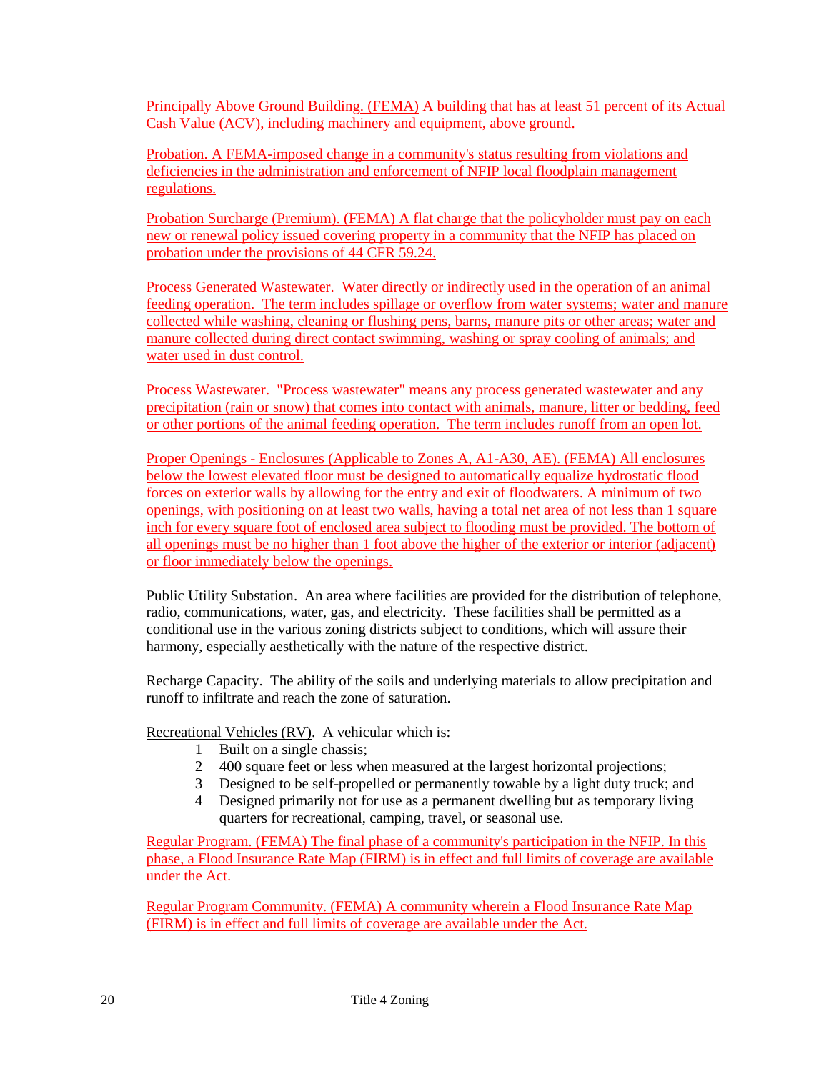Principally Above Ground Building. (FEMA) A building that has at least 51 percent of its Actual Cash Value (ACV), including machinery and equipment, above ground.

Probation. A FEMA-imposed change in a community's status resulting from violations and deficiencies in the administration and enforcement of NFIP local floodplain management regulations.

Probation Surcharge (Premium). (FEMA) A flat charge that the policyholder must pay on each new or renewal policy issued covering property in a community that the NFIP has placed on probation under the provisions of 44 CFR 59.24.

Process Generated Wastewater. Water directly or indirectly used in the operation of an animal feeding operation. The term includes spillage or overflow from water systems; water and manure collected while washing, cleaning or flushing pens, barns, manure pits or other areas; water and manure collected during direct contact swimming, washing or spray cooling of animals; and water used in dust control.

Process Wastewater. "Process wastewater" means any process generated wastewater and any precipitation (rain or snow) that comes into contact with animals, manure, litter or bedding, feed or other portions of the animal feeding operation. The term includes runoff from an open lot.

Proper Openings - Enclosures (Applicable to Zones A, A1-A30, AE). (FEMA) All enclosures below the lowest elevated floor must be designed to automatically equalize hydrostatic flood forces on exterior walls by allowing for the entry and exit of floodwaters. A minimum of two openings, with positioning on at least two walls, having a total net area of not less than 1 square inch for every square foot of enclosed area subject to flooding must be provided. The bottom of all openings must be no higher than 1 foot above the higher of the exterior or interior (adjacent) or floor immediately below the openings.

Public Utility Substation. An area where facilities are provided for the distribution of telephone, radio, communications, water, gas, and electricity. These facilities shall be permitted as a conditional use in the various zoning districts subject to conditions, which will assure their harmony, especially aesthetically with the nature of the respective district.

Recharge Capacity. The ability of the soils and underlying materials to allow precipitation and runoff to infiltrate and reach the zone of saturation.

Recreational Vehicles (RV). A vehicular which is:

- 1 Built on a single chassis;
- 2 400 square feet or less when measured at the largest horizontal projections;
- 3 Designed to be self-propelled or permanently towable by a light duty truck; and
- 4 Designed primarily not for use as a permanent dwelling but as temporary living quarters for recreational, camping, travel, or seasonal use.

Regular Program. (FEMA) The final phase of a community's participation in the NFIP. In this phase, a Flood Insurance Rate Map (FIRM) is in effect and full limits of coverage are available under the Act.

Regular Program Community. (FEMA) A community wherein a Flood Insurance Rate Map (FIRM) is in effect and full limits of coverage are available under the Act.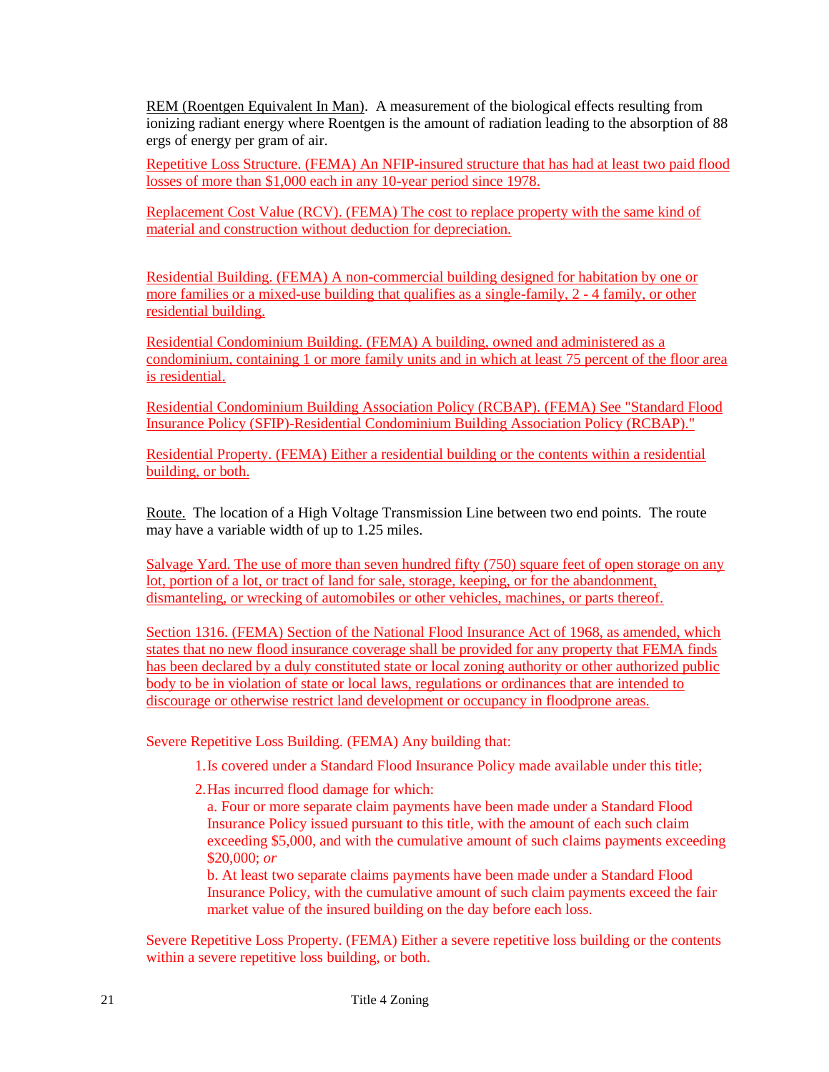REM (Roentgen Equivalent In Man). A measurement of the biological effects resulting from ionizing radiant energy where Roentgen is the amount of radiation leading to the absorption of 88 ergs of energy per gram of air.

Repetitive Loss Structure. (FEMA) An NFIP-insured structure that has had at least two paid flood losses of more than \$1,000 each in any 10-year period since 1978.

Replacement Cost Value (RCV). (FEMA) The cost to replace property with the same kind of material and construction without deduction for depreciation.

Residential Building. (FEMA) A non-commercial building designed for habitation by one or more families or a mixed-use building that qualifies as a single-family, 2 - 4 family, or other residential building.

Residential Condominium Building. (FEMA) A building, owned and administered as a condominium, containing 1 or more family units and in which at least 75 percent of the floor area is residential.

Residential Condominium Building Association Policy (RCBAP). (FEMA) See "Standard Flood Insurance Policy (SFIP)-Residential Condominium Building Association Policy (RCBAP)."

Residential Property. (FEMA) Either a residential building or the contents within a residential building, or both.

Route. The location of a High Voltage Transmission Line between two end points. The route may have a variable width of up to 1.25 miles.

Salvage Yard. The use of more than seven hundred fifty (750) square feet of open storage on any lot, portion of a lot, or tract of land for sale, storage, keeping, or for the abandonment, dismanteling, or wrecking of automobiles or other vehicles, machines, or parts thereof.

Section 1316. (FEMA) Section of the National Flood Insurance Act of 1968, as amended, which states that no new flood insurance coverage shall be provided for any property that FEMA finds has been declared by a duly constituted state or local zoning authority or other authorized public body to be in violation of state or local laws, regulations or ordinances that are intended to discourage or otherwise restrict land development or occupancy in floodprone areas.

Severe Repetitive Loss Building. (FEMA) Any building that:

1.Is covered under a Standard Flood Insurance Policy made available under this title;

2.Has incurred flood damage for which:

a. Four or more separate claim payments have been made under a Standard Flood Insurance Policy issued pursuant to this title, with the amount of each such claim exceeding \$5,000, and with the cumulative amount of such claims payments exceeding \$20,000; *or*

b. At least two separate claims payments have been made under a Standard Flood Insurance Policy, with the cumulative amount of such claim payments exceed the fair market value of the insured building on the day before each loss.

Severe Repetitive Loss Property. (FEMA) Either a severe repetitive loss building or the contents within a severe repetitive loss building, or both.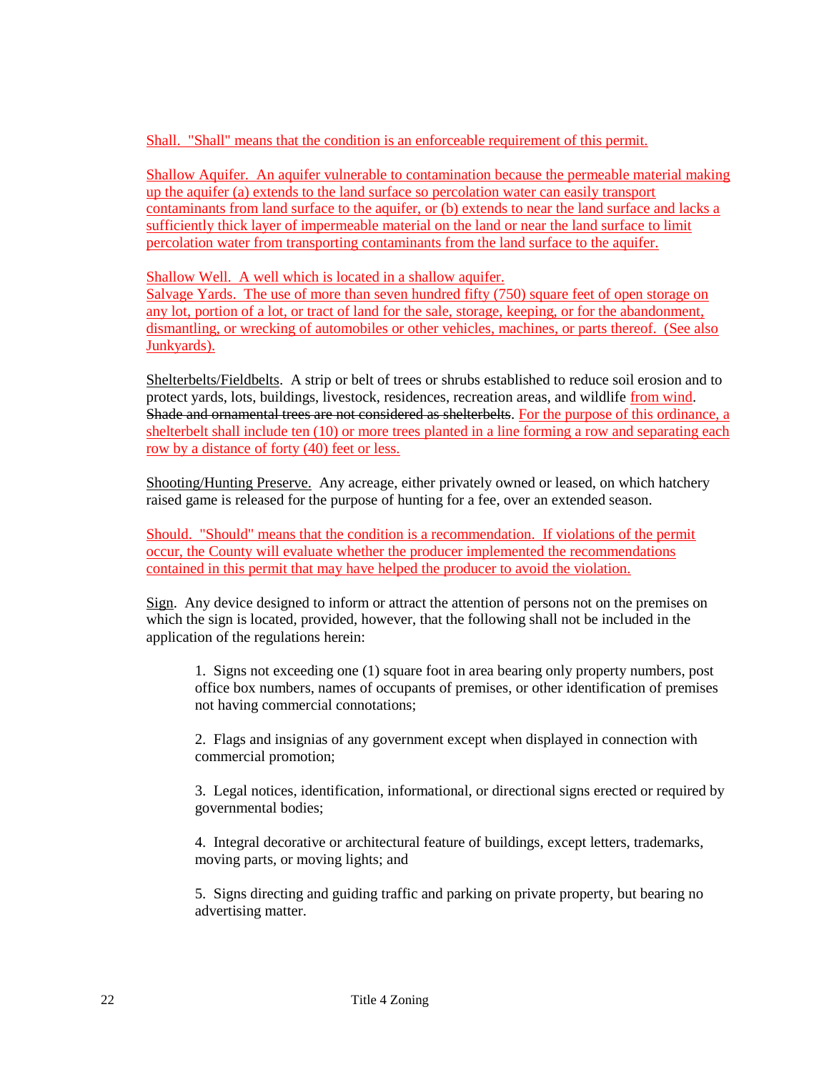Shall. "Shall" means that the condition is an enforceable requirement of this permit.

Shallow Aquifer. An aquifer vulnerable to contamination because the permeable material making up the aquifer (a) extends to the land surface so percolation water can easily transport contaminants from land surface to the aquifer, or (b) extends to near the land surface and lacks a sufficiently thick layer of impermeable material on the land or near the land surface to limit percolation water from transporting contaminants from the land surface to the aquifer.

Shallow Well. A well which is located in a shallow aquifer.

Salvage Yards. The use of more than seven hundred fifty (750) square feet of open storage on any lot, portion of a lot, or tract of land for the sale, storage, keeping, or for the abandonment, dismantling, or wrecking of automobiles or other vehicles, machines, or parts thereof. (See also Junkyards).

Shelterbelts/Fieldbelts. A strip or belt of trees or shrubs established to reduce soil erosion and to protect yards, lots, buildings, livestock, residences, recreation areas, and wildlife from wind. Shade and ornamental trees are not considered as shelterbelts. For the purpose of this ordinance, a shelterbelt shall include ten (10) or more trees planted in a line forming a row and separating each row by a distance of forty (40) feet or less.

Shooting/Hunting Preserve. Any acreage, either privately owned or leased, on which hatchery raised game is released for the purpose of hunting for a fee, over an extended season.

Should. "Should" means that the condition is a recommendation. If violations of the permit occur, the County will evaluate whether the producer implemented the recommendations contained in this permit that may have helped the producer to avoid the violation.

Sign. Any device designed to inform or attract the attention of persons not on the premises on which the sign is located, provided, however, that the following shall not be included in the application of the regulations herein:

1. Signs not exceeding one (1) square foot in area bearing only property numbers, post office box numbers, names of occupants of premises, or other identification of premises not having commercial connotations;

2. Flags and insignias of any government except when displayed in connection with commercial promotion;

3. Legal notices, identification, informational, or directional signs erected or required by governmental bodies;

4. Integral decorative or architectural feature of buildings, except letters, trademarks, moving parts, or moving lights; and

5. Signs directing and guiding traffic and parking on private property, but bearing no advertising matter.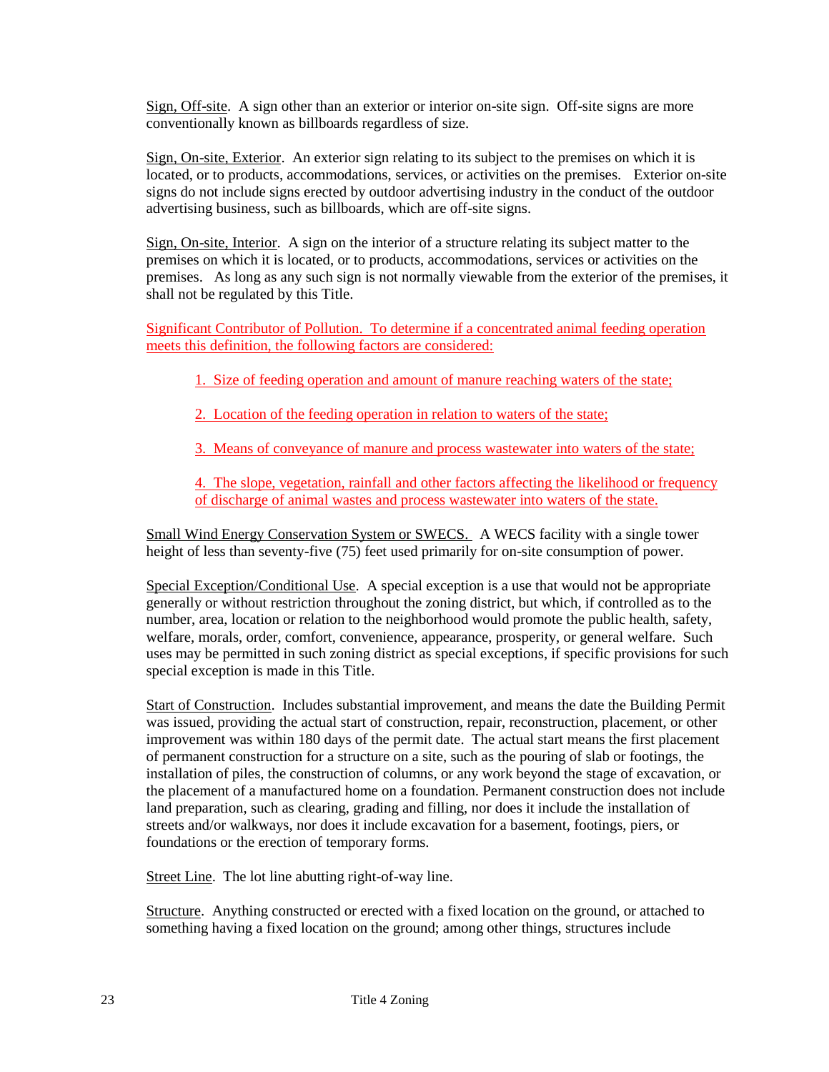Sign, Off-site. A sign other than an exterior or interior on-site sign. Off-site signs are more conventionally known as billboards regardless of size.

Sign, On-site, Exterior. An exterior sign relating to its subject to the premises on which it is located, or to products, accommodations, services, or activities on the premises. Exterior on-site signs do not include signs erected by outdoor advertising industry in the conduct of the outdoor advertising business, such as billboards, which are off-site signs.

Sign, On-site, Interior. A sign on the interior of a structure relating its subject matter to the premises on which it is located, or to products, accommodations, services or activities on the premises. As long as any such sign is not normally viewable from the exterior of the premises, it shall not be regulated by this Title.

Significant Contributor of Pollution. To determine if a concentrated animal feeding operation meets this definition, the following factors are considered:

1. Size of feeding operation and amount of manure reaching waters of the state;

2. Location of the feeding operation in relation to waters of the state;

3. Means of conveyance of manure and process wastewater into waters of the state;

4. The slope, vegetation, rainfall and other factors affecting the likelihood or frequency of discharge of animal wastes and process wastewater into waters of the state.

Small Wind Energy Conservation System or SWECS. A WECS facility with a single tower height of less than seventy-five (75) feet used primarily for on-site consumption of power.

Special Exception/Conditional Use. A special exception is a use that would not be appropriate generally or without restriction throughout the zoning district, but which, if controlled as to the number, area, location or relation to the neighborhood would promote the public health, safety, welfare, morals, order, comfort, convenience, appearance, prosperity, or general welfare. Such uses may be permitted in such zoning district as special exceptions, if specific provisions for such special exception is made in this Title.

Start of Construction. Includes substantial improvement, and means the date the Building Permit was issued, providing the actual start of construction, repair, reconstruction, placement, or other improvement was within 180 days of the permit date. The actual start means the first placement of permanent construction for a structure on a site, such as the pouring of slab or footings, the installation of piles, the construction of columns, or any work beyond the stage of excavation, or the placement of a manufactured home on a foundation. Permanent construction does not include land preparation, such as clearing, grading and filling, nor does it include the installation of streets and/or walkways, nor does it include excavation for a basement, footings, piers, or foundations or the erection of temporary forms.

Street Line. The lot line abutting right-of-way line.

Structure. Anything constructed or erected with a fixed location on the ground, or attached to something having a fixed location on the ground; among other things, structures include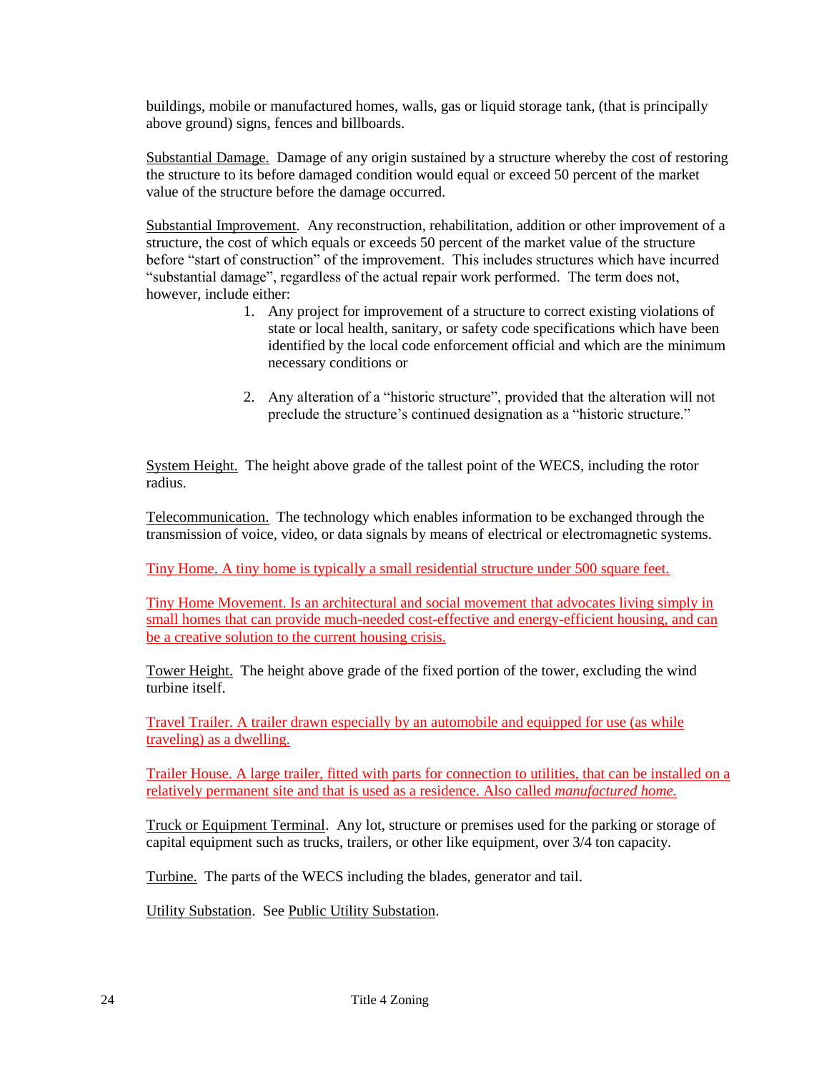buildings, mobile or manufactured homes, walls, gas or liquid storage tank, (that is principally above ground) signs, fences and billboards.

Substantial Damage. Damage of any origin sustained by a structure whereby the cost of restoring the structure to its before damaged condition would equal or exceed 50 percent of the market value of the structure before the damage occurred.

Substantial Improvement. Any reconstruction, rehabilitation, addition or other improvement of a structure, the cost of which equals or exceeds 50 percent of the market value of the structure before "start of construction" of the improvement. This includes structures which have incurred "substantial damage", regardless of the actual repair work performed. The term does not, however, include either:

- 1. Any project for improvement of a structure to correct existing violations of state or local health, sanitary, or safety code specifications which have been identified by the local code enforcement official and which are the minimum necessary conditions or
- 2. Any alteration of a "historic structure", provided that the alteration will not preclude the structure's continued designation as a "historic structure."

System Height. The height above grade of the tallest point of the WECS, including the rotor radius.

Telecommunication. The technology which enables information to be exchanged through the transmission of voice, video, or data signals by means of electrical or electromagnetic systems.

Tiny Home. A tiny home is typically a small residential structure under 500 square feet.

Tiny Home Movement. Is an architectural and social movement that advocates living simply in small homes that can provide much-needed cost-effective and energy-efficient housing, and can be a creative solution to the current housing crisis.

Tower Height. The height above grade of the fixed portion of the tower, excluding the wind turbine itself.

Travel Trailer. A trailer drawn especially by an automobile and equipped for use (as while traveling) as a dwelling.

Trailer House. A large trailer, fitted with parts for connection to utilities, that can be installed on a relatively permanent site and that is used as a residence. Also called *manufactured home.*

Truck or Equipment Terminal. Any lot, structure or premises used for the parking or storage of capital equipment such as trucks, trailers, or other like equipment, over 3/4 ton capacity.

Turbine. The parts of the WECS including the blades, generator and tail.

Utility Substation. See Public Utility Substation.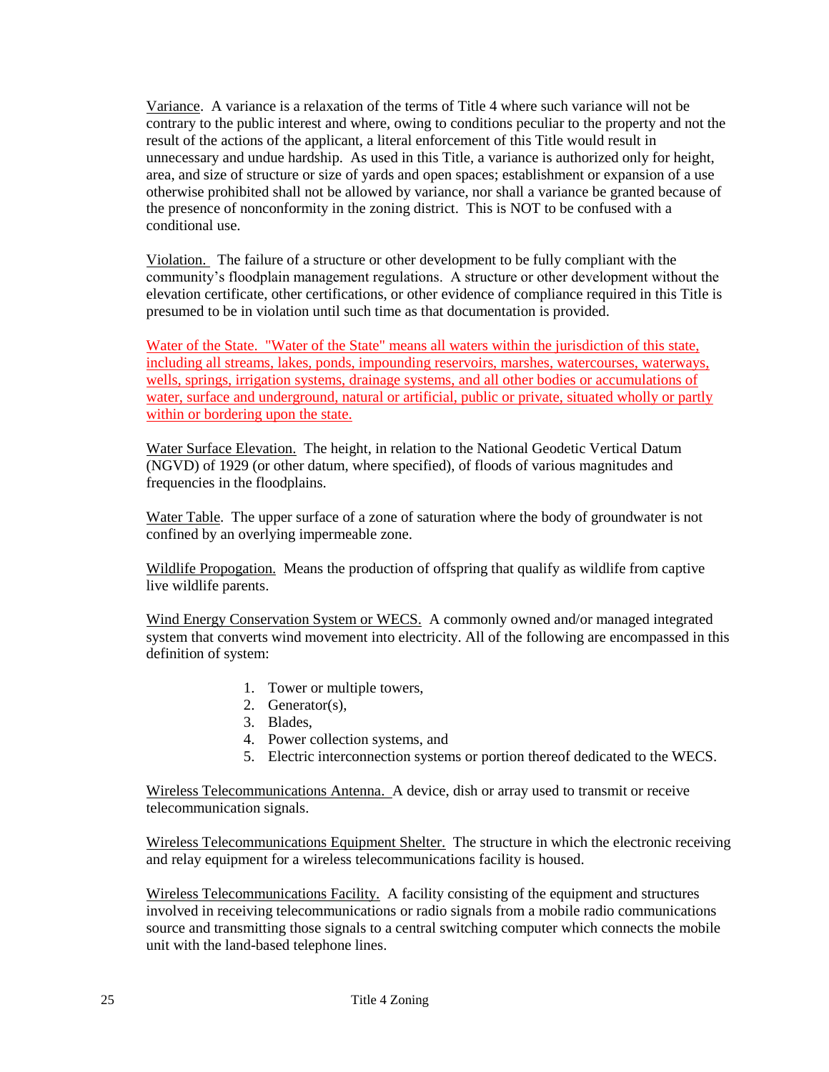Variance. A variance is a relaxation of the terms of Title 4 where such variance will not be contrary to the public interest and where, owing to conditions peculiar to the property and not the result of the actions of the applicant, a literal enforcement of this Title would result in unnecessary and undue hardship. As used in this Title, a variance is authorized only for height, area, and size of structure or size of yards and open spaces; establishment or expansion of a use otherwise prohibited shall not be allowed by variance, nor shall a variance be granted because of the presence of nonconformity in the zoning district. This is NOT to be confused with a conditional use.

Violation. The failure of a structure or other development to be fully compliant with the community's floodplain management regulations. A structure or other development without the elevation certificate, other certifications, or other evidence of compliance required in this Title is presumed to be in violation until such time as that documentation is provided.

Water of the State. "Water of the State" means all waters within the jurisdiction of this state, including all streams, lakes, ponds, impounding reservoirs, marshes, watercourses, waterways, wells, springs, irrigation systems, drainage systems, and all other bodies or accumulations of water, surface and underground, natural or artificial, public or private, situated wholly or partly within or bordering upon the state.

Water Surface Elevation. The height, in relation to the National Geodetic Vertical Datum (NGVD) of 1929 (or other datum, where specified), of floods of various magnitudes and frequencies in the floodplains.

Water Table. The upper surface of a zone of saturation where the body of groundwater is not confined by an overlying impermeable zone.

Wildlife Propogation. Means the production of offspring that qualify as wildlife from captive live wildlife parents.

Wind Energy Conservation System or WECS. A commonly owned and/or managed integrated system that converts wind movement into electricity. All of the following are encompassed in this definition of system:

- 1. Tower or multiple towers,
- 2. Generator(s),
- 3. Blades,
- 4. Power collection systems, and
- 5. Electric interconnection systems or portion thereof dedicated to the WECS.

Wireless Telecommunications Antenna. A device, dish or array used to transmit or receive telecommunication signals.

Wireless Telecommunications Equipment Shelter. The structure in which the electronic receiving and relay equipment for a wireless telecommunications facility is housed.

Wireless Telecommunications Facility. A facility consisting of the equipment and structures involved in receiving telecommunications or radio signals from a mobile radio communications source and transmitting those signals to a central switching computer which connects the mobile unit with the land-based telephone lines.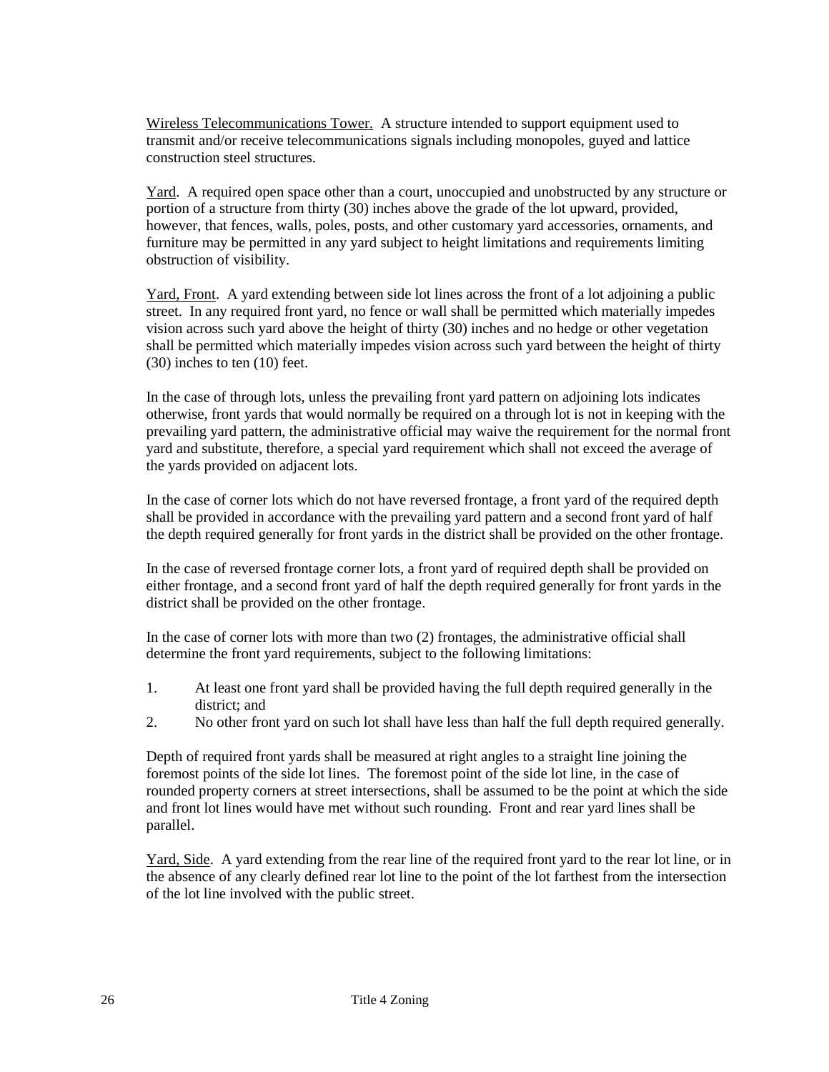Wireless Telecommunications Tower. A structure intended to support equipment used to transmit and/or receive telecommunications signals including monopoles, guyed and lattice construction steel structures.

Yard. A required open space other than a court, unoccupied and unobstructed by any structure or portion of a structure from thirty (30) inches above the grade of the lot upward, provided, however, that fences, walls, poles, posts, and other customary yard accessories, ornaments, and furniture may be permitted in any yard subject to height limitations and requirements limiting obstruction of visibility.

Yard, Front. A yard extending between side lot lines across the front of a lot adjoining a public street. In any required front yard, no fence or wall shall be permitted which materially impedes vision across such yard above the height of thirty (30) inches and no hedge or other vegetation shall be permitted which materially impedes vision across such yard between the height of thirty (30) inches to ten (10) feet.

In the case of through lots, unless the prevailing front yard pattern on adjoining lots indicates otherwise, front yards that would normally be required on a through lot is not in keeping with the prevailing yard pattern, the administrative official may waive the requirement for the normal front yard and substitute, therefore, a special yard requirement which shall not exceed the average of the yards provided on adjacent lots.

In the case of corner lots which do not have reversed frontage, a front yard of the required depth shall be provided in accordance with the prevailing yard pattern and a second front yard of half the depth required generally for front yards in the district shall be provided on the other frontage.

In the case of reversed frontage corner lots, a front yard of required depth shall be provided on either frontage, and a second front yard of half the depth required generally for front yards in the district shall be provided on the other frontage.

In the case of corner lots with more than two (2) frontages, the administrative official shall determine the front yard requirements, subject to the following limitations:

- 1. At least one front yard shall be provided having the full depth required generally in the district; and
- 2. No other front yard on such lot shall have less than half the full depth required generally.

Depth of required front yards shall be measured at right angles to a straight line joining the foremost points of the side lot lines. The foremost point of the side lot line, in the case of rounded property corners at street intersections, shall be assumed to be the point at which the side and front lot lines would have met without such rounding. Front and rear yard lines shall be parallel.

Yard, Side. A yard extending from the rear line of the required front yard to the rear lot line, or in the absence of any clearly defined rear lot line to the point of the lot farthest from the intersection of the lot line involved with the public street.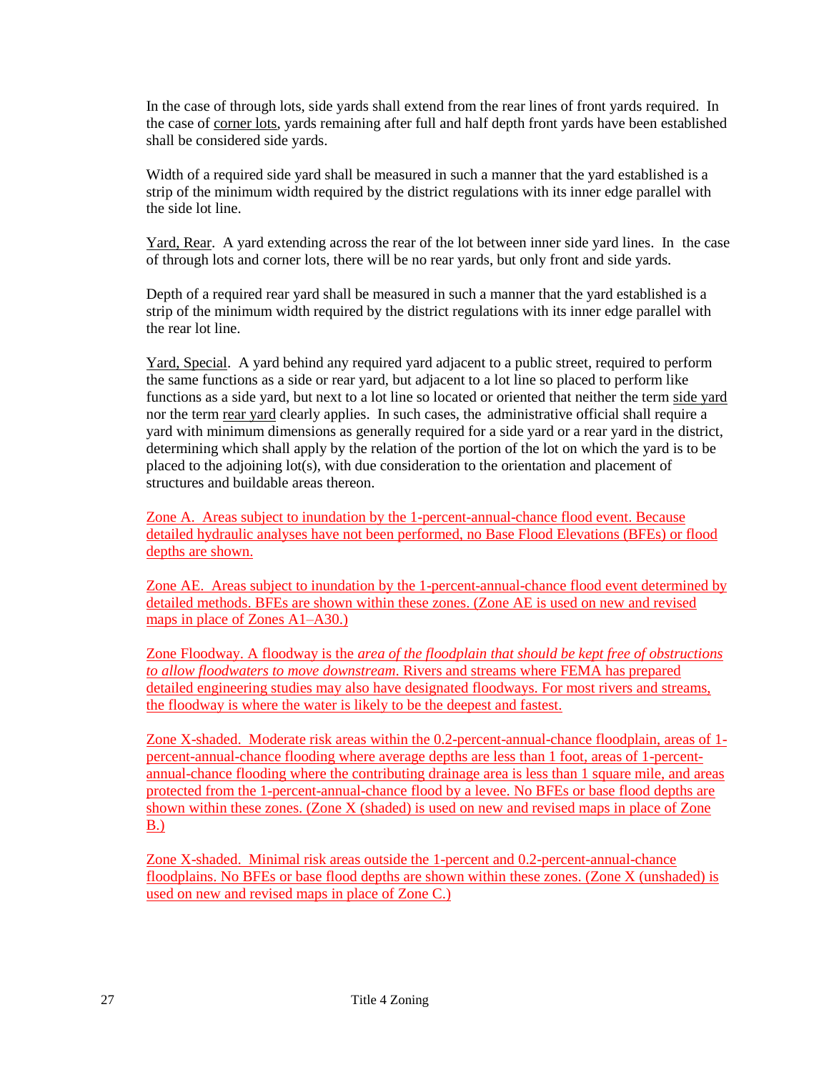In the case of through lots, side yards shall extend from the rear lines of front yards required. In the case of corner lots, yards remaining after full and half depth front yards have been established shall be considered side yards.

Width of a required side yard shall be measured in such a manner that the yard established is a strip of the minimum width required by the district regulations with its inner edge parallel with the side lot line.

Yard, Rear. A yard extending across the rear of the lot between inner side yard lines. In the case of through lots and corner lots, there will be no rear yards, but only front and side yards.

Depth of a required rear yard shall be measured in such a manner that the yard established is a strip of the minimum width required by the district regulations with its inner edge parallel with the rear lot line.

Yard, Special. A yard behind any required yard adjacent to a public street, required to perform the same functions as a side or rear yard, but adjacent to a lot line so placed to perform like functions as a side yard, but next to a lot line so located or oriented that neither the term side yard nor the term rear yard clearly applies. In such cases, the administrative official shall require a yard with minimum dimensions as generally required for a side yard or a rear yard in the district, determining which shall apply by the relation of the portion of the lot on which the yard is to be placed to the adjoining lot(s), with due consideration to the orientation and placement of structures and buildable areas thereon.

Zone A. Areas subject to inundation by the 1-percent-annual-chance flood event. Because detailed hydraulic analyses have not been performed, no Base Flood Elevations (BFEs) or flood depths are shown.

Zone AE. Areas subject to inundation by the 1-percent-annual-chance flood event determined by detailed methods. BFEs are shown within these zones. (Zone AE is used on new and revised maps in place of Zones A1–A30.)

Zone Floodway. A floodway is the *area of the floodplain that should be kept free of obstructions to allow floodwaters to move downstream*. Rivers and streams where FEMA has prepared detailed engineering studies may also have designated floodways. For most rivers and streams, the floodway is where the water is likely to be the deepest and fastest.

Zone X-shaded. Moderate risk areas within the 0.2-percent-annual-chance floodplain, areas of 1 percent-annual-chance flooding where average depths are less than 1 foot, areas of 1-percentannual-chance flooding where the contributing drainage area is less than 1 square mile, and areas protected from the 1-percent-annual-chance flood by a levee. No BFEs or base flood depths are shown within these zones. (Zone X (shaded) is used on new and revised maps in place of Zone B.)

Zone X-shaded. Minimal risk areas outside the 1-percent and 0.2-percent-annual-chance floodplains. No BFEs or base flood depths are shown within these zones. (Zone X (unshaded) is used on new and revised maps in place of Zone C.)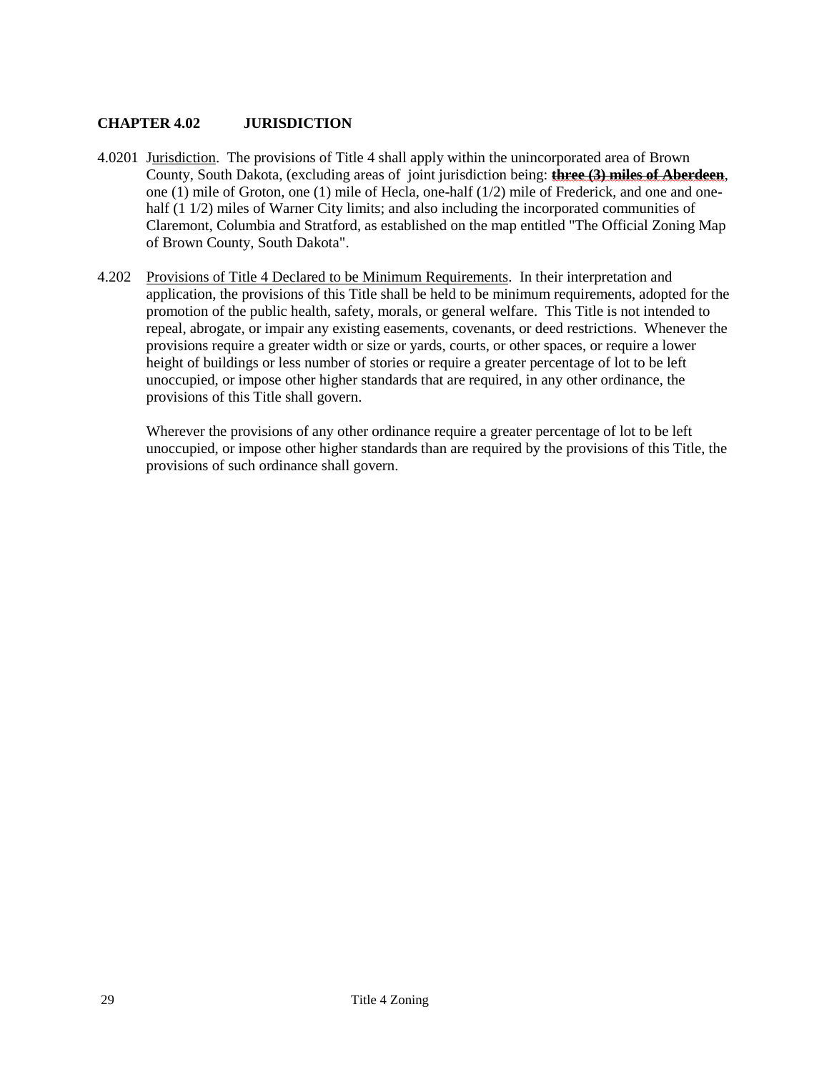# **CHAPTER 4.02 JURISDICTION**

- 4.0201 Jurisdiction. The provisions of Title 4 shall apply within the unincorporated area of Brown County, South Dakota, (excluding areas of joint jurisdiction being: **three (3) miles of Aberdeen**, one (1) mile of Groton, one (1) mile of Hecla, one-half (1/2) mile of Frederick, and one and onehalf (1 1/2) miles of Warner City limits; and also including the incorporated communities of Claremont, Columbia and Stratford, as established on the map entitled "The Official Zoning Map of Brown County, South Dakota".
- 4.202 Provisions of Title 4 Declared to be Minimum Requirements. In their interpretation and application, the provisions of this Title shall be held to be minimum requirements, adopted for the promotion of the public health, safety, morals, or general welfare. This Title is not intended to repeal, abrogate, or impair any existing easements, covenants, or deed restrictions. Whenever the provisions require a greater width or size or yards, courts, or other spaces, or require a lower height of buildings or less number of stories or require a greater percentage of lot to be left unoccupied, or impose other higher standards that are required, in any other ordinance, the provisions of this Title shall govern.

Wherever the provisions of any other ordinance require a greater percentage of lot to be left unoccupied, or impose other higher standards than are required by the provisions of this Title, the provisions of such ordinance shall govern.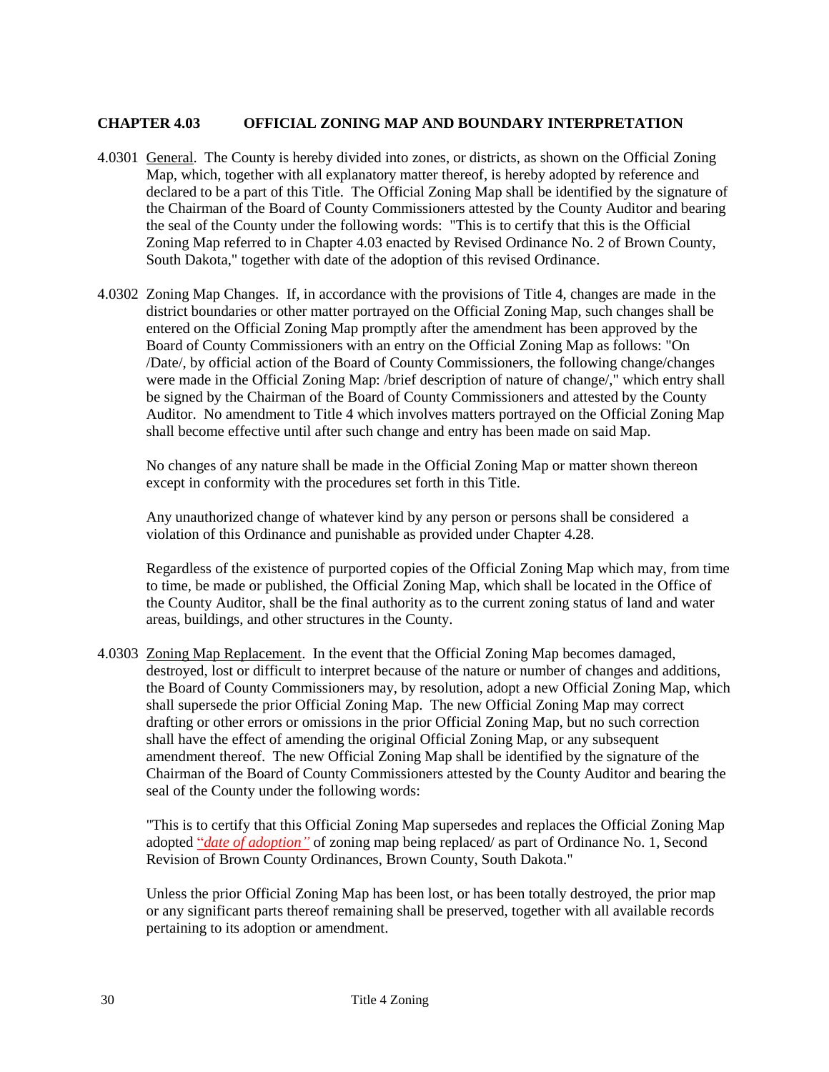## **CHAPTER 4.03 OFFICIAL ZONING MAP AND BOUNDARY INTERPRETATION**

- 4.0301 General. The County is hereby divided into zones, or districts, as shown on the Official Zoning Map, which, together with all explanatory matter thereof, is hereby adopted by reference and declared to be a part of this Title. The Official Zoning Map shall be identified by the signature of the Chairman of the Board of County Commissioners attested by the County Auditor and bearing the seal of the County under the following words: "This is to certify that this is the Official Zoning Map referred to in Chapter 4.03 enacted by Revised Ordinance No. 2 of Brown County, South Dakota," together with date of the adoption of this revised Ordinance.
- 4.0302 Zoning Map Changes. If, in accordance with the provisions of Title 4, changes are made in the district boundaries or other matter portrayed on the Official Zoning Map, such changes shall be entered on the Official Zoning Map promptly after the amendment has been approved by the Board of County Commissioners with an entry on the Official Zoning Map as follows: "On /Date/, by official action of the Board of County Commissioners, the following change/changes were made in the Official Zoning Map: /brief description of nature of change/," which entry shall be signed by the Chairman of the Board of County Commissioners and attested by the County Auditor. No amendment to Title 4 which involves matters portrayed on the Official Zoning Map shall become effective until after such change and entry has been made on said Map.

No changes of any nature shall be made in the Official Zoning Map or matter shown thereon except in conformity with the procedures set forth in this Title.

Any unauthorized change of whatever kind by any person or persons shall be considered a violation of this Ordinance and punishable as provided under Chapter 4.28.

Regardless of the existence of purported copies of the Official Zoning Map which may, from time to time, be made or published, the Official Zoning Map, which shall be located in the Office of the County Auditor, shall be the final authority as to the current zoning status of land and water areas, buildings, and other structures in the County.

4.0303 Zoning Map Replacement. In the event that the Official Zoning Map becomes damaged, destroyed, lost or difficult to interpret because of the nature or number of changes and additions, the Board of County Commissioners may, by resolution, adopt a new Official Zoning Map, which shall supersede the prior Official Zoning Map. The new Official Zoning Map may correct drafting or other errors or omissions in the prior Official Zoning Map, but no such correction shall have the effect of amending the original Official Zoning Map, or any subsequent amendment thereof. The new Official Zoning Map shall be identified by the signature of the Chairman of the Board of County Commissioners attested by the County Auditor and bearing the seal of the County under the following words:

"This is to certify that this Official Zoning Map supersedes and replaces the Official Zoning Map adopted "*date of adoption"* of zoning map being replaced/ as part of Ordinance No. 1, Second Revision of Brown County Ordinances, Brown County, South Dakota."

Unless the prior Official Zoning Map has been lost, or has been totally destroyed, the prior map or any significant parts thereof remaining shall be preserved, together with all available records pertaining to its adoption or amendment.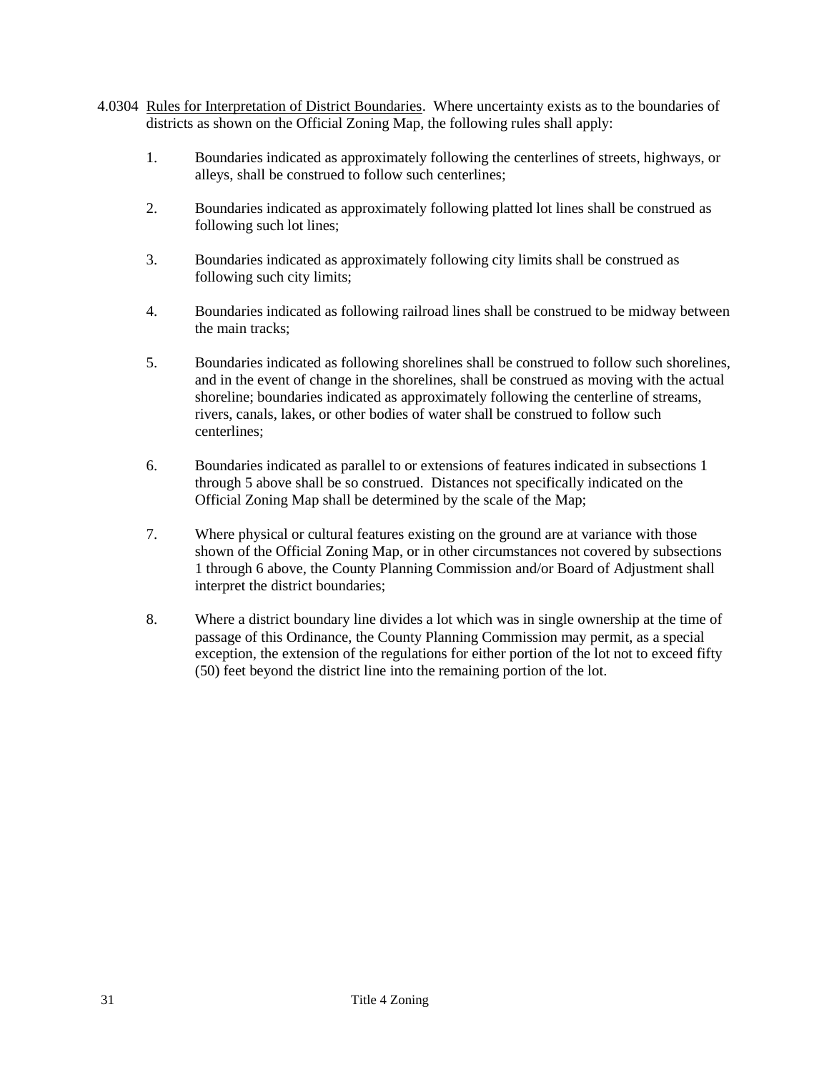- 4.0304 Rules for Interpretation of District Boundaries. Where uncertainty exists as to the boundaries of districts as shown on the Official Zoning Map, the following rules shall apply:
	- 1. Boundaries indicated as approximately following the centerlines of streets, highways, or alleys, shall be construed to follow such centerlines;
	- 2. Boundaries indicated as approximately following platted lot lines shall be construed as following such lot lines;
	- 3. Boundaries indicated as approximately following city limits shall be construed as following such city limits;
	- 4. Boundaries indicated as following railroad lines shall be construed to be midway between the main tracks;
	- 5. Boundaries indicated as following shorelines shall be construed to follow such shorelines, and in the event of change in the shorelines, shall be construed as moving with the actual shoreline; boundaries indicated as approximately following the centerline of streams, rivers, canals, lakes, or other bodies of water shall be construed to follow such centerlines;
	- 6. Boundaries indicated as parallel to or extensions of features indicated in subsections 1 through 5 above shall be so construed. Distances not specifically indicated on the Official Zoning Map shall be determined by the scale of the Map;
	- 7. Where physical or cultural features existing on the ground are at variance with those shown of the Official Zoning Map, or in other circumstances not covered by subsections 1 through 6 above, the County Planning Commission and/or Board of Adjustment shall interpret the district boundaries;
	- 8. Where a district boundary line divides a lot which was in single ownership at the time of passage of this Ordinance, the County Planning Commission may permit, as a special exception, the extension of the regulations for either portion of the lot not to exceed fifty (50) feet beyond the district line into the remaining portion of the lot.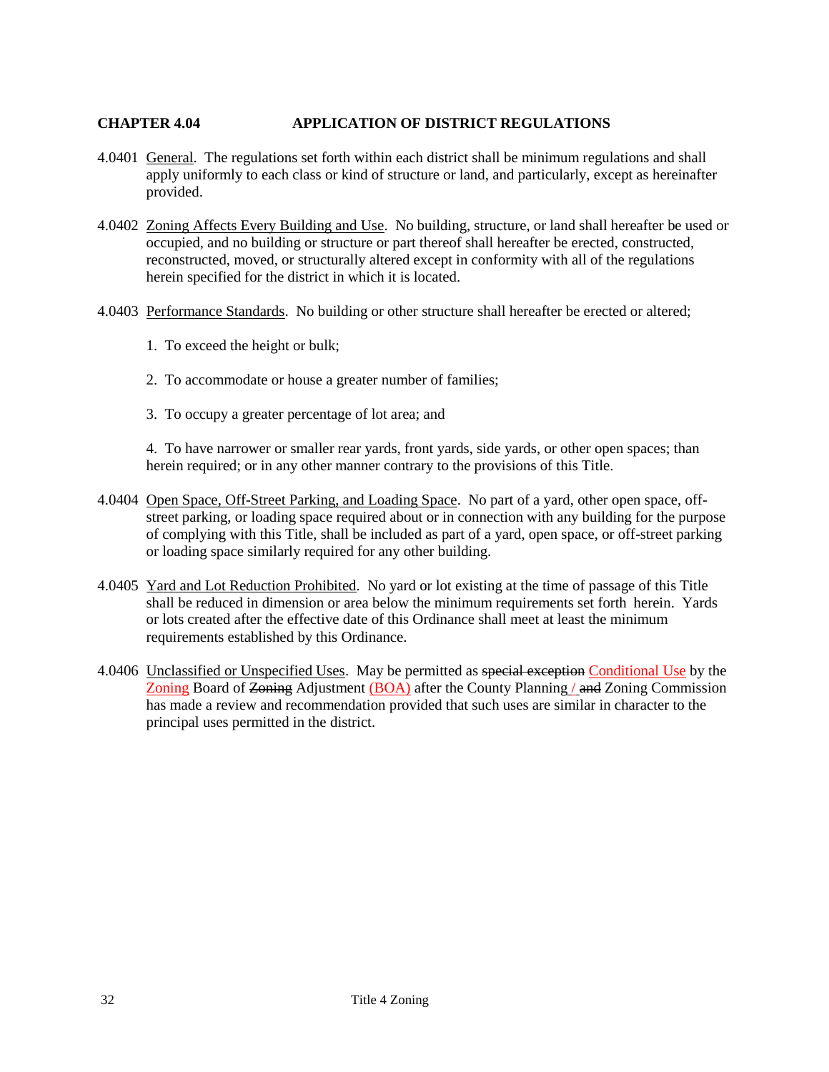## **CHAPTER 4.04 APPLICATION OF DISTRICT REGULATIONS**

- 4.0401 General. The regulations set forth within each district shall be minimum regulations and shall apply uniformly to each class or kind of structure or land, and particularly, except as hereinafter provided.
- 4.0402 Zoning Affects Every Building and Use. No building, structure, or land shall hereafter be used or occupied, and no building or structure or part thereof shall hereafter be erected, constructed, reconstructed, moved, or structurally altered except in conformity with all of the regulations herein specified for the district in which it is located.
- 4.0403 Performance Standards. No building or other structure shall hereafter be erected or altered;
	- 1. To exceed the height or bulk;
	- 2. To accommodate or house a greater number of families;
	- 3. To occupy a greater percentage of lot area; and

4. To have narrower or smaller rear yards, front yards, side yards, or other open spaces; than herein required; or in any other manner contrary to the provisions of this Title.

- 4.0404 Open Space, Off-Street Parking, and Loading Space. No part of a yard, other open space, offstreet parking, or loading space required about or in connection with any building for the purpose of complying with this Title, shall be included as part of a yard, open space, or off-street parking or loading space similarly required for any other building.
- 4.0405 Yard and Lot Reduction Prohibited. No yard or lot existing at the time of passage of this Title shall be reduced in dimension or area below the minimum requirements set forth herein. Yards or lots created after the effective date of this Ordinance shall meet at least the minimum requirements established by this Ordinance.
- 4.0406 Unclassified or Unspecified Uses. May be permitted as special exception Conditional Use by the Zoning Board of <del>Zoning</del> Adjustment (BOA) after the County Planning / and Zoning Commission has made a review and recommendation provided that such uses are similar in character to the principal uses permitted in the district.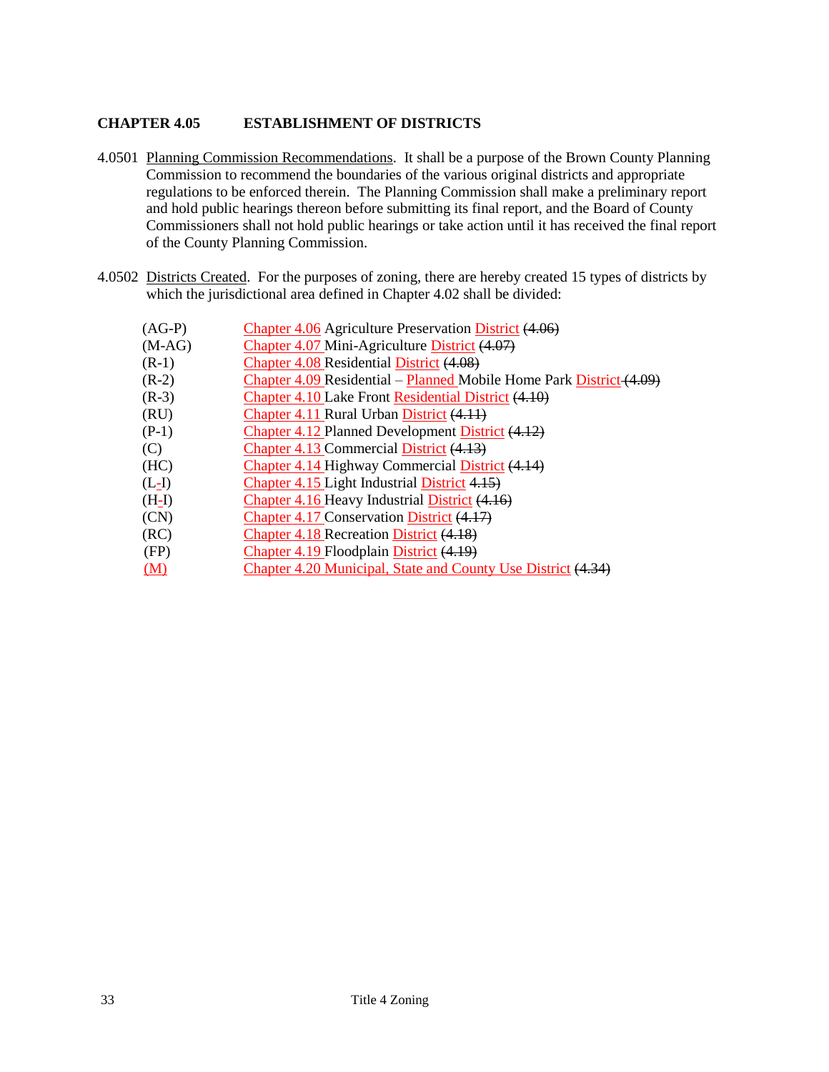# **CHAPTER 4.05 ESTABLISHMENT OF DISTRICTS**

- 4.0501 Planning Commission Recommendations. It shall be a purpose of the Brown County Planning Commission to recommend the boundaries of the various original districts and appropriate regulations to be enforced therein. The Planning Commission shall make a preliminary report and hold public hearings thereon before submitting its final report, and the Board of County Commissioners shall not hold public hearings or take action until it has received the final report of the County Planning Commission.
- 4.0502 Districts Created. For the purposes of zoning, there are hereby created 15 types of districts by which the jurisdictional area defined in Chapter 4.02 shall be divided:

| $(AG-P)$ | Chapter 4.06 Agriculture Preservation District (4.06)               |
|----------|---------------------------------------------------------------------|
| $(M-AG)$ | Chapter 4.07 Mini-Agriculture District (4.07)                       |
| $(R-1)$  | <b>Chapter 4.08 Residential District (4.08)</b>                     |
| $(R-2)$  | Chapter 4.09 Residential – Planned Mobile Home Park District (4.09) |
| $(R-3)$  | Chapter 4.10 Lake Front Residential District (4.10)                 |
| (RU)     | Chapter 4.11 Rural Urban District (4.11)                            |
| $(P-1)$  | <b>Chapter 4.12 Planned Development District (4.12)</b>             |
| (C)      | Chapter 4.13 Commercial District (4.13)                             |
| (HC)     | Chapter 4.14 Highway Commercial District (4.14)                     |
| $(L-I)$  | Chapter 4.15 Light Industrial District 4.15)                        |
| $(H-I)$  | Chapter 4.16 Heavy Industrial District (4.16)                       |
| (CN)     | Chapter 4.17 Conservation District (4.17)                           |
| (RC)     | Chapter 4.18 Recreation District (4.18)                             |
| (FP)     | Chapter 4.19 Floodplain District (4.19)                             |
| (M)      | Chapter 4.20 Municipal, State and County Use District (4.34)        |
|          |                                                                     |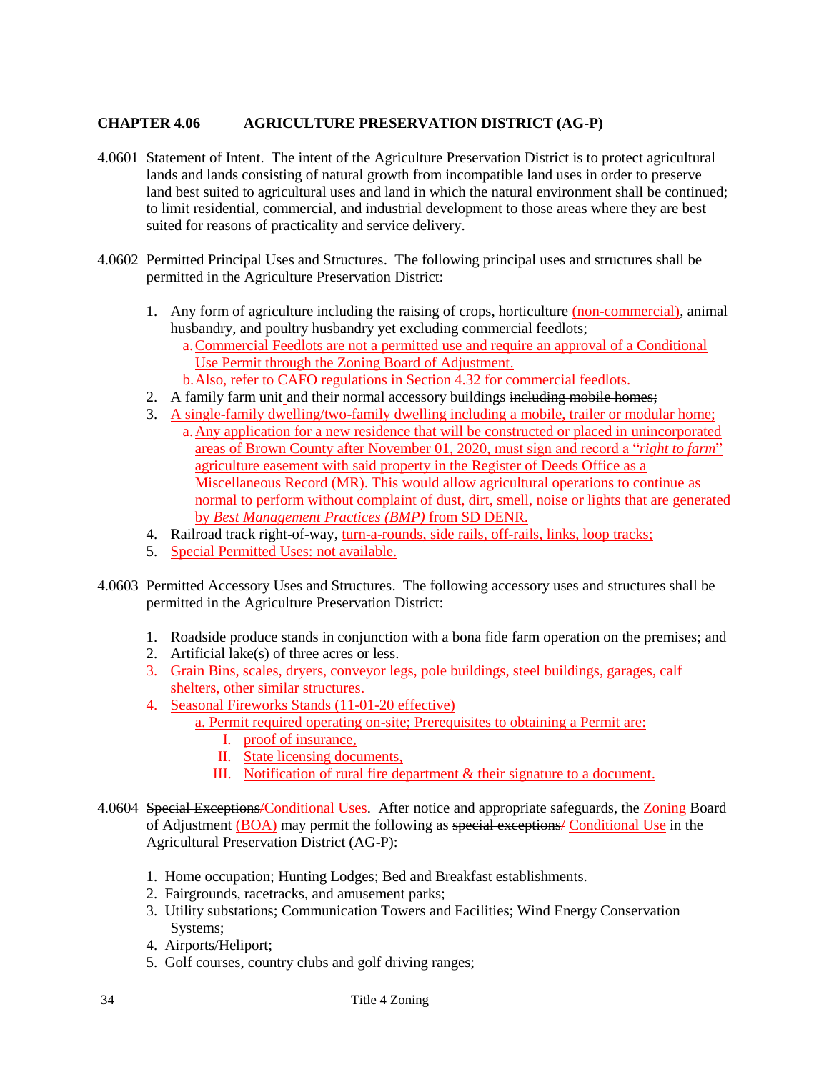# **CHAPTER 4.06 AGRICULTURE PRESERVATION DISTRICT (AG-P)**

- 4.0601 Statement of Intent. The intent of the Agriculture Preservation District is to protect agricultural lands and lands consisting of natural growth from incompatible land uses in order to preserve land best suited to agricultural uses and land in which the natural environment shall be continued; to limit residential, commercial, and industrial development to those areas where they are best suited for reasons of practicality and service delivery.
- 4.0602 Permitted Principal Uses and Structures. The following principal uses and structures shall be permitted in the Agriculture Preservation District:
	- 1. Any form of agriculture including the raising of crops, horticulture (non-commercial), animal husbandry, and poultry husbandry yet excluding commercial feedlots; a.Commercial Feedlots are not a permitted use and require an approval of a Conditional Use Permit through the Zoning Board of Adjustment. b.Also, refer to CAFO regulations in Section 4.32 for commercial feedlots.
	- 2. A family farm unit and their normal accessory buildings including mobile homes;
	- 3. A single-family dwelling/two-family dwelling including a mobile, trailer or modular home; a.Any application for a new residence that will be constructed or placed in unincorporated areas of Brown County after November 01, 2020, must sign and record a "*right to farm*" agriculture easement with said property in the Register of Deeds Office as a Miscellaneous Record (MR). This would allow agricultural operations to continue as normal to perform without complaint of dust, dirt, smell, noise or lights that are generated by *Best Management Practices (BMP)* from SD DENR.
	- 4. Railroad track right-of-way, turn-a-rounds, side rails, off-rails, links, loop tracks;
	- 5. Special Permitted Uses: not available.
- 4.0603 Permitted Accessory Uses and Structures. The following accessory uses and structures shall be permitted in the Agriculture Preservation District:
	- 1. Roadside produce stands in conjunction with a bona fide farm operation on the premises; and
	- 2. Artificial lake(s) of three acres or less.
	- 3. Grain Bins, scales, dryers, conveyor legs, pole buildings, steel buildings, garages, calf shelters, other similar structures.
	- 4. Seasonal Fireworks Stands (11-01-20 effective)
		- a. Permit required operating on-site; Prerequisites to obtaining a Permit are:
			- I. proof of insurance,
			- II. State licensing documents,
			- III. Notification of rural fire department & their signature to a document.
- 4.0604 Special Exceptions/Conditional Uses. After notice and appropriate safeguards, the Zoning Board of Adjustment (BOA) may permit the following as special exceptions/ Conditional Use in the Agricultural Preservation District (AG-P):
	- 1. Home occupation; Hunting Lodges; Bed and Breakfast establishments.
	- 2. Fairgrounds, racetracks, and amusement parks;
	- 3. Utility substations; Communication Towers and Facilities; Wind Energy Conservation Systems;
	- 4. Airports/Heliport;
	- 5. Golf courses, country clubs and golf driving ranges;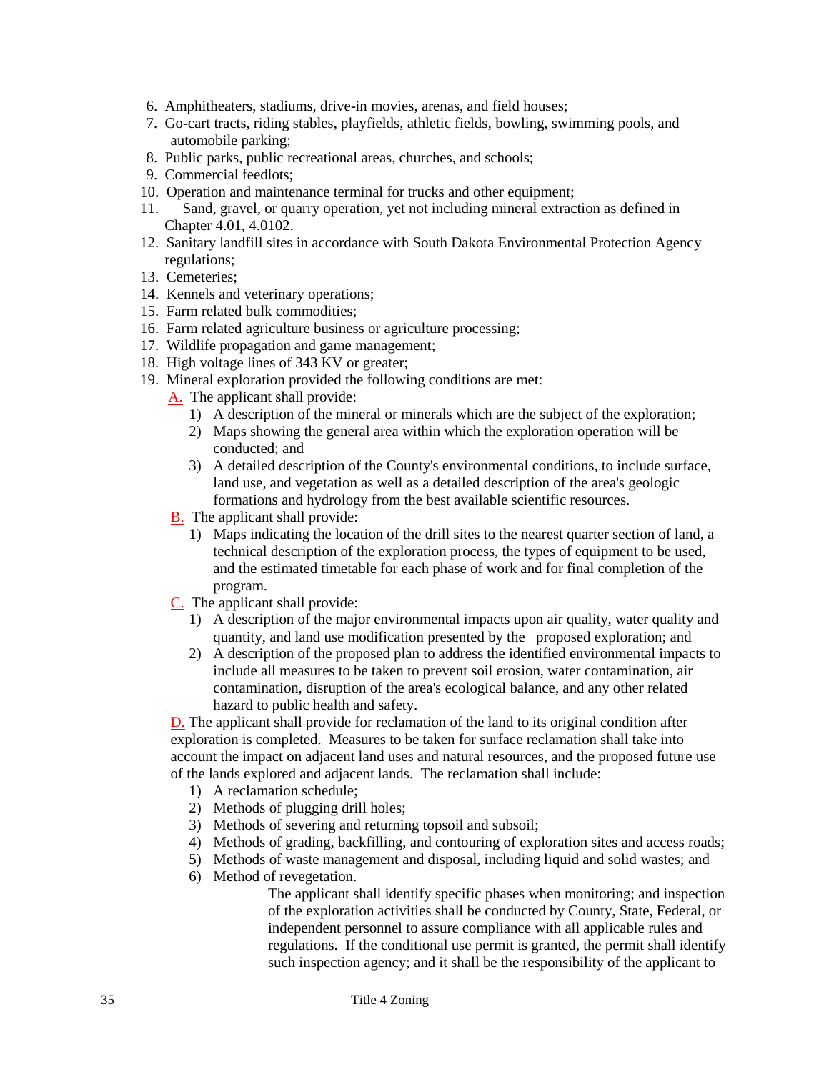- 6. Amphitheaters, stadiums, drive-in movies, arenas, and field houses;
- 7. Go-cart tracts, riding stables, playfields, athletic fields, bowling, swimming pools, and automobile parking;
- 8. Public parks, public recreational areas, churches, and schools;
- 9. Commercial feedlots;
- 10. Operation and maintenance terminal for trucks and other equipment;
- 11. Sand, gravel, or quarry operation, yet not including mineral extraction as defined in Chapter 4.01, 4.0102.
- 12. Sanitary landfill sites in accordance with South Dakota Environmental Protection Agency regulations;
- 13. Cemeteries;
- 14. Kennels and veterinary operations;
- 15. Farm related bulk commodities;
- 16. Farm related agriculture business or agriculture processing;
- 17. Wildlife propagation and game management;
- 18. High voltage lines of 343 KV or greater;
- 19. Mineral exploration provided the following conditions are met:
	- A. The applicant shall provide:
		- 1) A description of the mineral or minerals which are the subject of the exploration;
		- 2) Maps showing the general area within which the exploration operation will be conducted; and
		- 3) A detailed description of the County's environmental conditions, to include surface, land use, and vegetation as well as a detailed description of the area's geologic formations and hydrology from the best available scientific resources.
	- B. The applicant shall provide:
		- 1) Maps indicating the location of the drill sites to the nearest quarter section of land, a technical description of the exploration process, the types of equipment to be used, and the estimated timetable for each phase of work and for final completion of the program.
	- C. The applicant shall provide:
		- 1) A description of the major environmental impacts upon air quality, water quality and quantity, and land use modification presented by the proposed exploration; and
		- 2) A description of the proposed plan to address the identified environmental impacts to include all measures to be taken to prevent soil erosion, water contamination, air contamination, disruption of the area's ecological balance, and any other related hazard to public health and safety.

D. The applicant shall provide for reclamation of the land to its original condition after exploration is completed. Measures to be taken for surface reclamation shall take into account the impact on adjacent land uses and natural resources, and the proposed future use of the lands explored and adjacent lands. The reclamation shall include:

- 1) A reclamation schedule;
- 2) Methods of plugging drill holes;
- 3) Methods of severing and returning topsoil and subsoil;
- 4) Methods of grading, backfilling, and contouring of exploration sites and access roads;
- 5) Methods of waste management and disposal, including liquid and solid wastes; and
- 6) Method of revegetation.

The applicant shall identify specific phases when monitoring; and inspection of the exploration activities shall be conducted by County, State, Federal, or independent personnel to assure compliance with all applicable rules and regulations. If the conditional use permit is granted, the permit shall identify such inspection agency; and it shall be the responsibility of the applicant to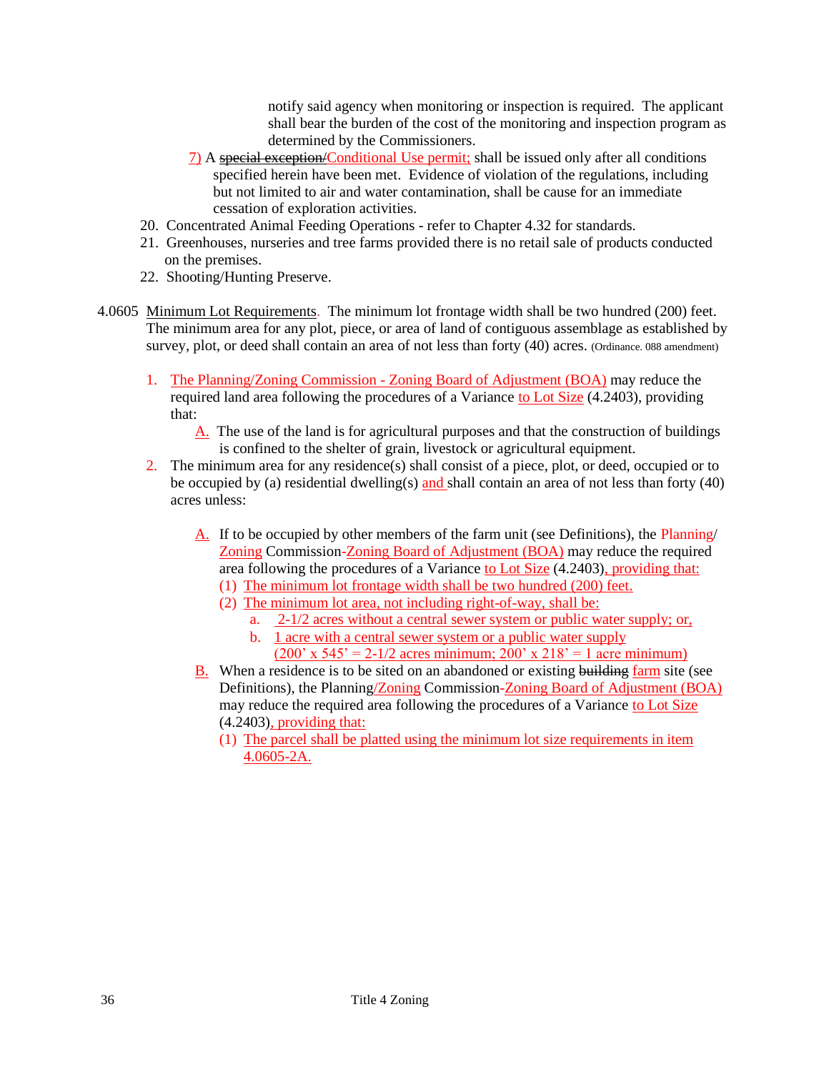notify said agency when monitoring or inspection is required. The applicant shall bear the burden of the cost of the monitoring and inspection program as determined by the Commissioners.

- 7) A special exception/Conditional Use permit; shall be issued only after all conditions specified herein have been met. Evidence of violation of the regulations, including but not limited to air and water contamination, shall be cause for an immediate cessation of exploration activities.
- 20. Concentrated Animal Feeding Operations refer to Chapter 4.32 for standards.
- 21. Greenhouses, nurseries and tree farms provided there is no retail sale of products conducted on the premises.
- 22. Shooting/Hunting Preserve.
- 4.0605 Minimum Lot Requirements. The minimum lot frontage width shall be two hundred (200) feet. The minimum area for any plot, piece, or area of land of contiguous assemblage as established by survey, plot, or deed shall contain an area of not less than forty (40) acres. (Ordinance. 088 amendment)
	- 1. The Planning/Zoning Commission Zoning Board of Adjustment (BOA) may reduce the required land area following the procedures of a Variance to Lot Size (4.2403), providing that:
		- A. The use of the land is for agricultural purposes and that the construction of buildings is confined to the shelter of grain, livestock or agricultural equipment.
	- 2. The minimum area for any residence(s) shall consist of a piece, plot, or deed, occupied or to be occupied by (a) residential dwelling(s) and shall contain an area of not less than forty (40) acres unless:
		- A. If to be occupied by other members of the farm unit (see Definitions), the Planning/ Zoning Commission-Zoning Board of Adjustment (BOA) may reduce the required area following the procedures of a Variance to Lot Size (4.2403), providing that:
			- (1) The minimum lot frontage width shall be two hundred (200) feet.
			- (2) The minimum lot area, not including right-of-way, shall be:
				- a. 2-1/2 acres without a central sewer system or public water supply; or,
				- b. 1 acre with a central sewer system or a public water supply  $(200' \times 545' = 2-1/2 \text{ acres minimum}; 200' \times 218' = 1 \text{ acre minimum})$
		- B. When a residence is to be sited on an abandoned or existing building farm site (see Definitions), the Planning/Zoning Commission-Zoning Board of Adjustment (BOA) may reduce the required area following the procedures of a Variance to Lot Size (4.2403), providing that:
			- (1) The parcel shall be platted using the minimum lot size requirements in item 4.0605-2A.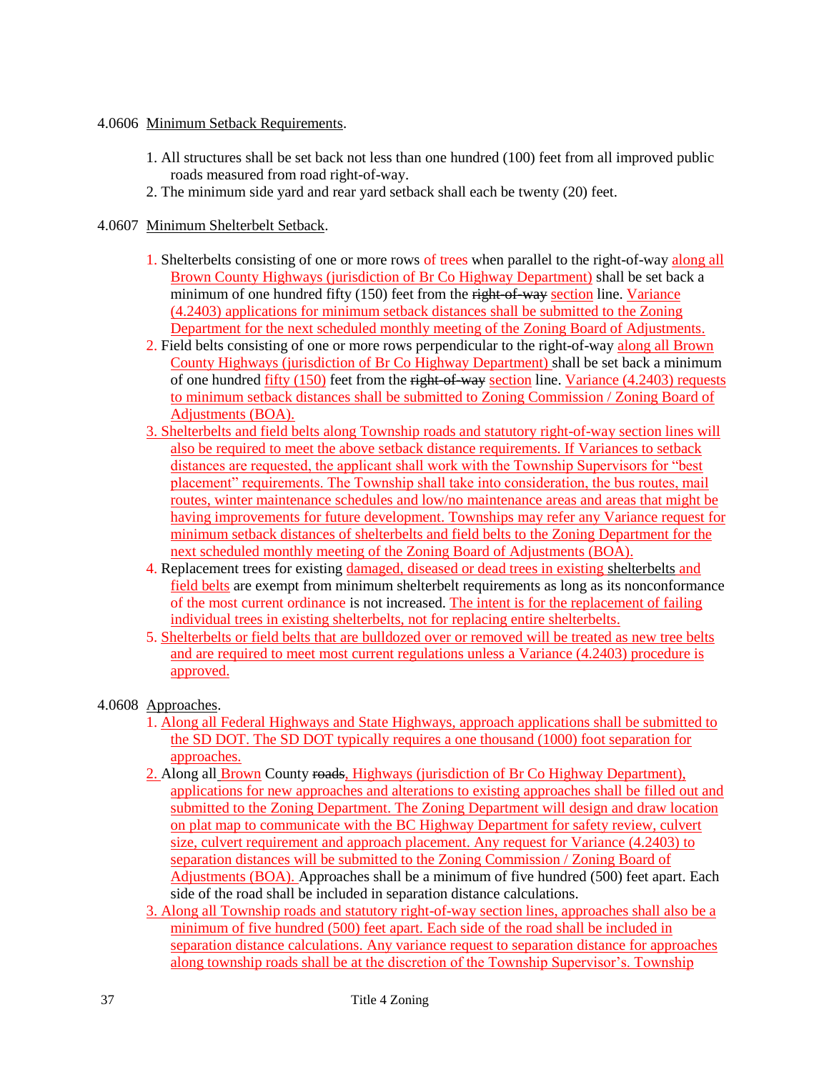### 4.0606 Minimum Setback Requirements.

- 1. All structures shall be set back not less than one hundred (100) feet from all improved public roads measured from road right-of-way.
- 2. The minimum side yard and rear yard setback shall each be twenty (20) feet.

#### 4.0607 Minimum Shelterbelt Setback.

- 1. Shelterbelts consisting of one or more rows of trees when parallel to the right-of-way along all Brown County Highways (jurisdiction of Br Co Highway Department) shall be set back a minimum of one hundred fifty (150) feet from the right-of-way section line. Variance (4.2403) applications for minimum setback distances shall be submitted to the Zoning Department for the next scheduled monthly meeting of the Zoning Board of Adjustments.
- 2. Field belts consisting of one or more rows perpendicular to the right-of-way along all Brown County Highways (jurisdiction of Br Co Highway Department) shall be set back a minimum of one hundred  $f_{\text{if}}(150)$  feet from the right-of-way section line. Variance (4.2403) requests to minimum setback distances shall be submitted to Zoning Commission / Zoning Board of Adjustments (BOA).
- 3. Shelterbelts and field belts along Township roads and statutory right-of-way section lines will also be required to meet the above setback distance requirements. If Variances to setback distances are requested, the applicant shall work with the Township Supervisors for "best placement" requirements. The Township shall take into consideration, the bus routes, mail routes, winter maintenance schedules and low/no maintenance areas and areas that might be having improvements for future development. Townships may refer any Variance request for minimum setback distances of shelterbelts and field belts to the Zoning Department for the next scheduled monthly meeting of the Zoning Board of Adjustments (BOA).
- 4. Replacement trees for existing damaged, diseased or dead trees in existing shelterbelts and field belts are exempt from minimum shelterbelt requirements as long as its nonconformance of the most current ordinance is not increased. The intent is for the replacement of failing individual trees in existing shelterbelts, not for replacing entire shelterbelts.
- 5. Shelterbelts or field belts that are bulldozed over or removed will be treated as new tree belts and are required to meet most current regulations unless a Variance (4.2403) procedure is approved.

### 4.0608 Approaches.

- 1. Along all Federal Highways and State Highways, approach applications shall be submitted to the SD DOT. The SD DOT typically requires a one thousand (1000) foot separation for approaches.
- 2. Along all **Brown County roads, Highways (jurisdiction of Br Co Highway Department),** applications for new approaches and alterations to existing approaches shall be filled out and submitted to the Zoning Department. The Zoning Department will design and draw location on plat map to communicate with the BC Highway Department for safety review, culvert size, culvert requirement and approach placement. Any request for Variance (4.2403) to separation distances will be submitted to the Zoning Commission / Zoning Board of Adjustments (BOA). Approaches shall be a minimum of five hundred (500) feet apart. Each side of the road shall be included in separation distance calculations.
- 3. Along all Township roads and statutory right-of-way section lines, approaches shall also be a minimum of five hundred (500) feet apart. Each side of the road shall be included in separation distance calculations. Any variance request to separation distance for approaches along township roads shall be at the discretion of the Township Supervisor's. Township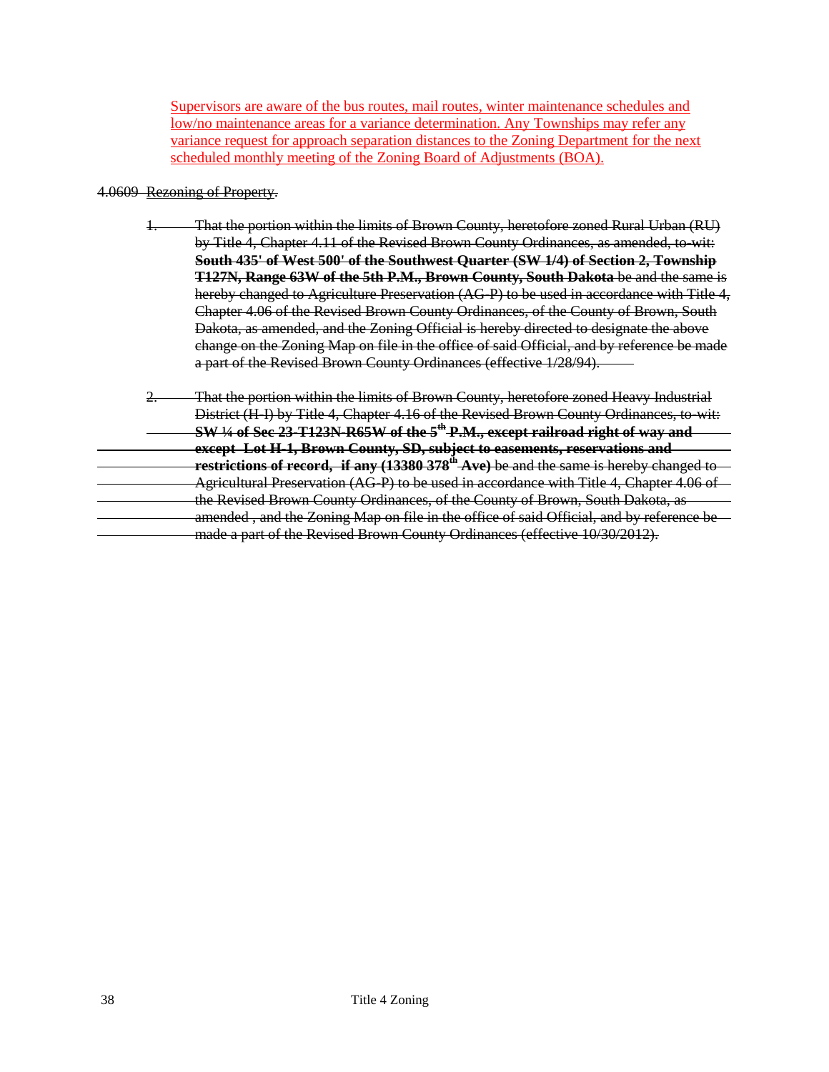Supervisors are aware of the bus routes, mail routes, winter maintenance schedules and low/no maintenance areas for a variance determination. Any Townships may refer any variance request for approach separation distances to the Zoning Department for the next scheduled monthly meeting of the Zoning Board of Adjustments (BOA).

### 4.0609 Rezoning of Property.

- 1. That the portion within the limits of Brown County, heretofore zoned Rural Urban (RU) by Title 4, Chapter 4.11 of the Revised Brown County Ordinances, as amended, to-wit: **South 435' of West 500' of the Southwest Quarter (SW 1/4) of Section 2, Township T127N, Range 63W of the 5th P.M., Brown County, South Dakota** be and the same is hereby changed to Agriculture Preservation (AG-P) to be used in accordance with Title 4, Chapter 4.06 of the Revised Brown County Ordinances, of the County of Brown, South Dakota, as amended, and the Zoning Official is hereby directed to designate the above change on the Zoning Map on file in the office of said Official, and by reference be made a part of the Revised Brown County Ordinances (effective 1/28/94).
- 2. That the portion within the limits of Brown County, heretofore zoned Heavy Industrial District (H-I) by Title 4, Chapter 4.16 of the Revised Brown County Ordinances, to-wit: **SW ¼ of Sec 23-T123N-R65W of the 5th P.M., except railroad right of way and except Lot H-1, Brown County, SD, subject to easements, reservations and restrictions of record, if any (13380 378<sup>th</sup> Ave)** be and the same is hereby changed to Agricultural Preservation (AG-P) to be used in accordance with Title 4, Chapter 4.06 of the Revised Brown County Ordinances, of the County of Brown, South Dakota, as amended , and the Zoning Map on file in the office of said Official, and by reference be made a part of the Revised Brown County Ordinances (effective 10/30/2012).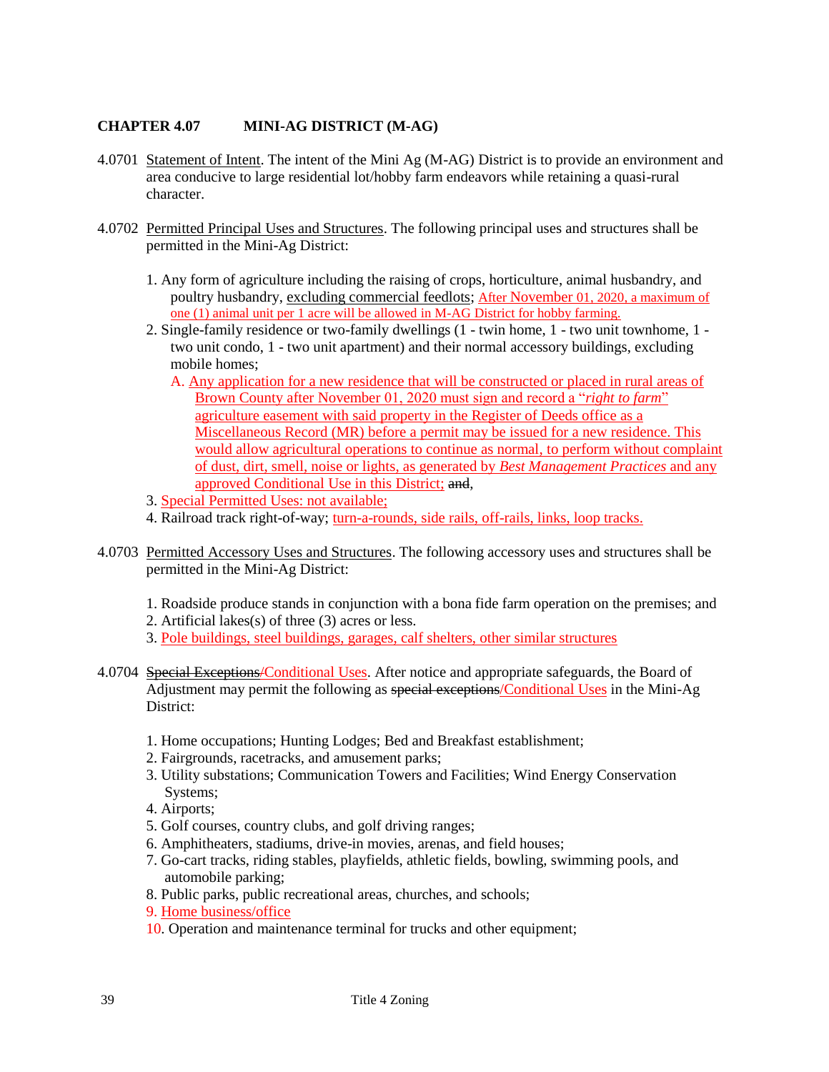# **CHAPTER 4.07 MINI-AG DISTRICT (M-AG)**

- 4.0701 Statement of Intent. The intent of the Mini Ag (M-AG) District is to provide an environment and area conducive to large residential lot/hobby farm endeavors while retaining a quasi-rural character.
- 4.0702 Permitted Principal Uses and Structures. The following principal uses and structures shall be permitted in the Mini-Ag District:
	- 1. Any form of agriculture including the raising of crops, horticulture, animal husbandry, and poultry husbandry, excluding commercial feedlots; After November 01, 2020, a maximum of one (1) animal unit per 1 acre will be allowed in M-AG District for hobby farming.
	- 2. Single-family residence or two-family dwellings (1 twin home, 1 two unit townhome, 1 two unit condo, 1 - two unit apartment) and their normal accessory buildings, excluding mobile homes;
		- A. Any application for a new residence that will be constructed or placed in rural areas of Brown County after November 01, 2020 must sign and record a "*right to farm*" agriculture easement with said property in the Register of Deeds office as a Miscellaneous Record (MR) before a permit may be issued for a new residence. This would allow agricultural operations to continue as normal, to perform without complaint of dust, dirt, smell, noise or lights, as generated by *Best Management Practices* and any approved Conditional Use in this District; and,
	- 3. Special Permitted Uses: not available;
	- 4. Railroad track right-of-way; turn-a-rounds, side rails, off-rails, links, loop tracks.
- 4.0703 Permitted Accessory Uses and Structures. The following accessory uses and structures shall be permitted in the Mini-Ag District:
	- 1. Roadside produce stands in conjunction with a bona fide farm operation on the premises; and
	- 2. Artificial lakes(s) of three (3) acres or less.
	- 3. Pole buildings, steel buildings, garages, calf shelters, other similar structures
- 4.0704 Special Exceptions/Conditional Uses. After notice and appropriate safeguards, the Board of Adjustment may permit the following as special exceptions/Conditional Uses in the Mini-Ag District:
	- 1. Home occupations; Hunting Lodges; Bed and Breakfast establishment;
	- 2. Fairgrounds, racetracks, and amusement parks;
	- 3. Utility substations; Communication Towers and Facilities; Wind Energy Conservation Systems;
	- 4. Airports;
	- 5. Golf courses, country clubs, and golf driving ranges;
	- 6. Amphitheaters, stadiums, drive-in movies, arenas, and field houses;
	- 7. Go-cart tracks, riding stables, playfields, athletic fields, bowling, swimming pools, and automobile parking;
	- 8. Public parks, public recreational areas, churches, and schools;
	- 9. Home business/office
	- 10. Operation and maintenance terminal for trucks and other equipment;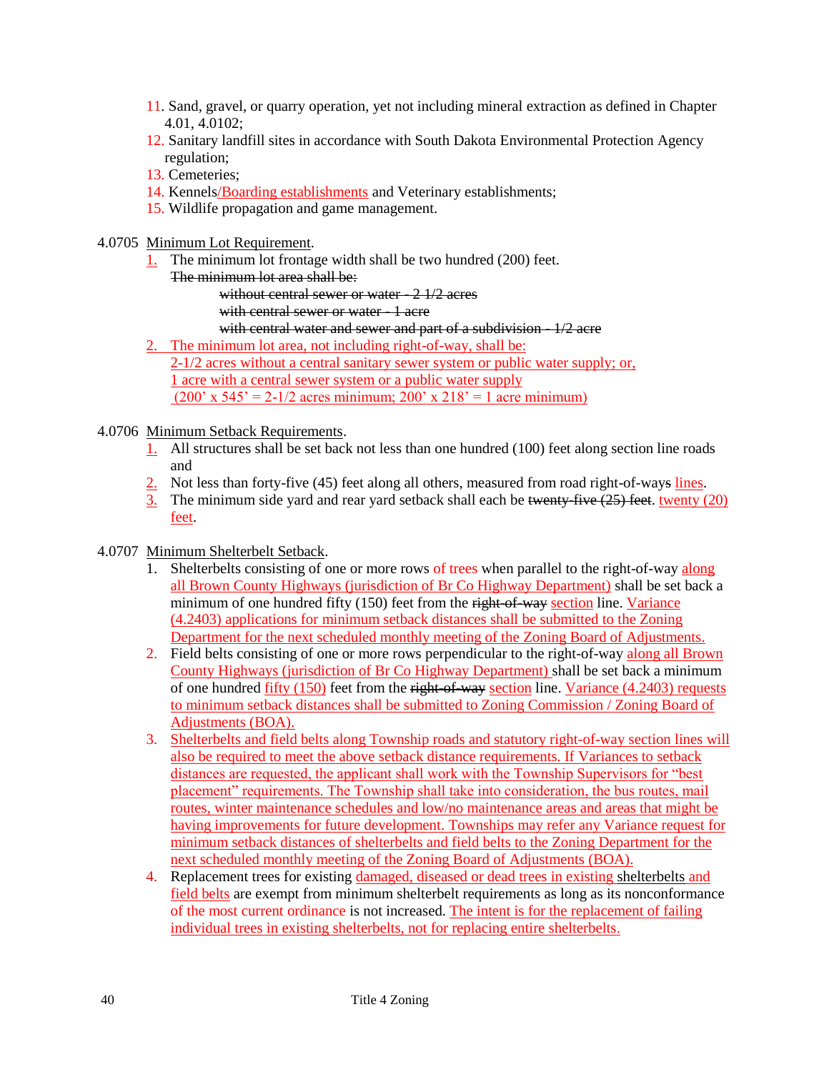- 11. Sand, gravel, or quarry operation, yet not including mineral extraction as defined in Chapter 4.01, 4.0102;
- 12. Sanitary landfill sites in accordance with South Dakota Environmental Protection Agency regulation;
- 13. Cemeteries;
- 14. Kennels/Boarding establishments and Veterinary establishments;
- 15. Wildlife propagation and game management.

4.0705 Minimum Lot Requirement.

- 1. The minimum lot frontage width shall be two hundred (200) feet.
	- The minimum lot area shall be:

without central sewer or water - 2 1/2 acres

- with central sewer or water 1 acre
- with central water and sewer and part of a subdivision  $1/2$  acre
- 2. The minimum lot area, not including right-of-way, shall be:

2-1/2 acres without a central sanitary sewer system or public water supply; or, 1 acre with a central sewer system or a public water supply (200' x 545' = 2-1/2 acres minimum;  $200'$  x  $218' = 1$  acre minimum)

# 4.0706 Minimum Setback Requirements.

- 1. All structures shall be set back not less than one hundred (100) feet along section line roads and
- 2. Not less than forty-five (45) feet along all others, measured from road right-of-ways lines.
- 3. The minimum side yard and rear yard setback shall each be twenty-five  $(25)$  feet. twenty (20) feet.

# 4.0707 Minimum Shelterbelt Setback.

- 1. Shelterbelts consisting of one or more rows of trees when parallel to the right-of-way along all Brown County Highways (jurisdiction of Br Co Highway Department) shall be set back a minimum of one hundred fifty (150) feet from the right-of-way section line. Variance (4.2403) applications for minimum setback distances shall be submitted to the Zoning Department for the next scheduled monthly meeting of the Zoning Board of Adjustments.
- 2. Field belts consisting of one or more rows perpendicular to the right-of-way along all Brown County Highways (jurisdiction of Br Co Highway Department) shall be set back a minimum of one hundred fifty (150) feet from the right-of-way section line. Variance (4.2403) requests to minimum setback distances shall be submitted to Zoning Commission / Zoning Board of Adjustments (BOA).
- 3. Shelterbelts and field belts along Township roads and statutory right-of-way section lines will also be required to meet the above setback distance requirements. If Variances to setback distances are requested, the applicant shall work with the Township Supervisors for "best placement" requirements. The Township shall take into consideration, the bus routes, mail routes, winter maintenance schedules and low/no maintenance areas and areas that might be having improvements for future development. Townships may refer any Variance request for minimum setback distances of shelterbelts and field belts to the Zoning Department for the next scheduled monthly meeting of the Zoning Board of Adjustments (BOA).
- 4. Replacement trees for existing damaged, diseased or dead trees in existing shelterbelts and field belts are exempt from minimum shelterbelt requirements as long as its nonconformance of the most current ordinance is not increased. The intent is for the replacement of failing individual trees in existing shelterbelts, not for replacing entire shelterbelts.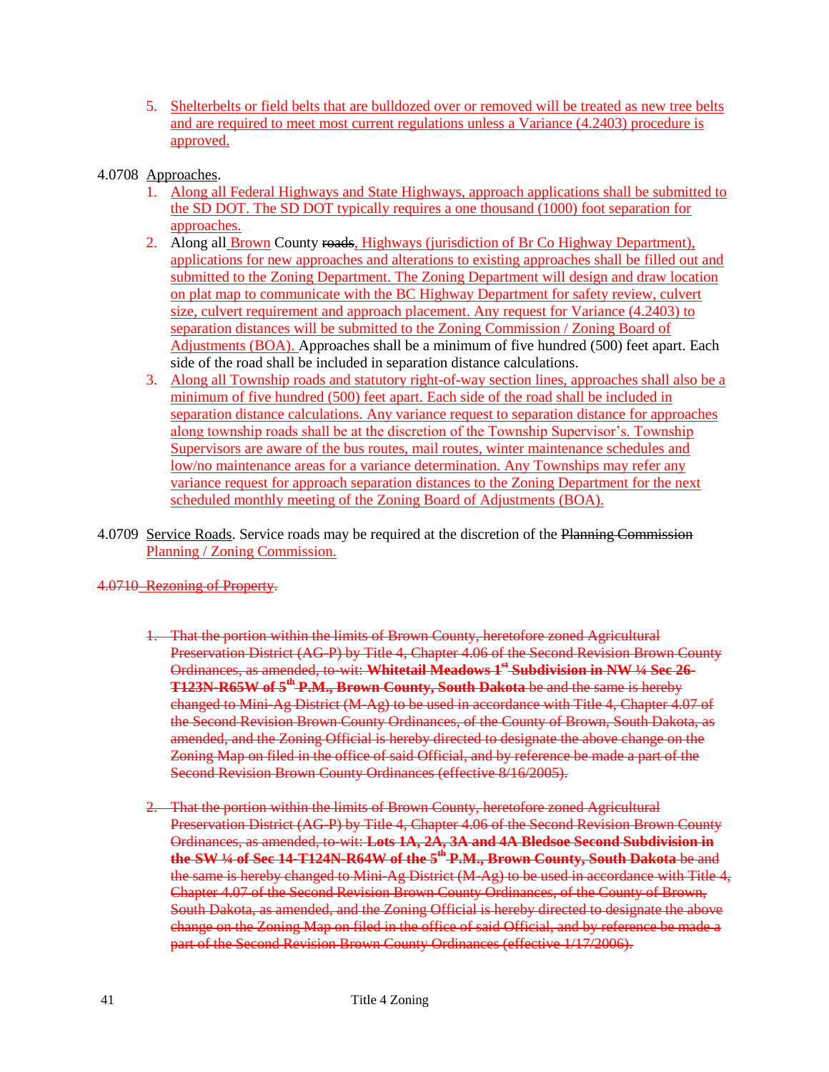- 5. Shelterbelts or field belts that are bulldozed over or removed will be treated as new tree belts and are required to meet most current regulations unless a Variance (4.2403) procedure is approved.
- 4.0708 Approaches.
	- 1. Along all Federal Highways and State Highways, approach applications shall be submitted to the SD DOT. The SD DOT typically requires a one thousand (1000) foot separation for approaches.
	- 2. Along all Brown County roads, Highways (jurisdiction of Br Co Highway Department), applications for new approaches and alterations to existing approaches shall be filled out and submitted to the Zoning Department. The Zoning Department will design and draw location on plat map to communicate with the BC Highway Department for safety review, culvert size, culvert requirement and approach placement. Any request for Variance (4.2403) to separation distances will be submitted to the Zoning Commission / Zoning Board of Adjustments (BOA). Approaches shall be a minimum of five hundred (500) feet apart. Each side of the road shall be included in separation distance calculations.
	- 3. Along all Township roads and statutory right-of-way section lines, approaches shall also be a minimum of five hundred (500) feet apart. Each side of the road shall be included in separation distance calculations. Any variance request to separation distance for approaches along township roads shall be at the discretion of the Township Supervisor's. Township Supervisors are aware of the bus routes, mail routes, winter maintenance schedules and low/no maintenance areas for a variance determination. Any Townships may refer any variance request for approach separation distances to the Zoning Department for the next scheduled monthly meeting of the Zoning Board of Adjustments (BOA).
- 4.0709 Service Roads. Service roads may be required at the discretion of the Planning Commission Planning / Zoning Commission.

4.0710 Rezoning of Property.

- 1. That the portion within the limits of Brown County, heretofore zoned Agricultural Preservation District (AG-P) by Title 4, Chapter 4.06 of the Second Revision Brown County Ordinances, as amended, to-wit: **Whitetail Meadows 1st Subdivision in NW ¼ Sec 26- T123N-R65W of 5th P.M., Brown County, South Dakota** be and the same is hereby changed to Mini-Ag District (M-Ag) to be used in accordance with Title 4, Chapter 4.07 of the Second Revision Brown County Ordinances, of the County of Brown, South Dakota, as amended, and the Zoning Official is hereby directed to designate the above change on the Zoning Map on filed in the office of said Official, and by reference be made a part of the Second Revision Brown County Ordinances (effective 8/16/2005).
- 2. That the portion within the limits of Brown County, heretofore zoned Agricultural Preservation District (AG-P) by Title 4, Chapter 4.06 of the Second Revision Brown County Ordinances, as amended, to-wit: **Lots 1A, 2A, 3A and 4A Bledsoe Second Subdivision in the SW ¼ of Sec 14-T124N-R64W of the 5th P.M., Brown County, South Dakota** be and the same is hereby changed to Mini-Ag District (M-Ag) to be used in accordance with Title 4, Chapter 4.07 of the Second Revision Brown County Ordinances, of the County of Brown, South Dakota, as amended, and the Zoning Official is hereby directed to designate the above change on the Zoning Map on filed in the office of said Official, and by reference be made a part of the Second Revision Brown County Ordinances (effective 1/17/2006).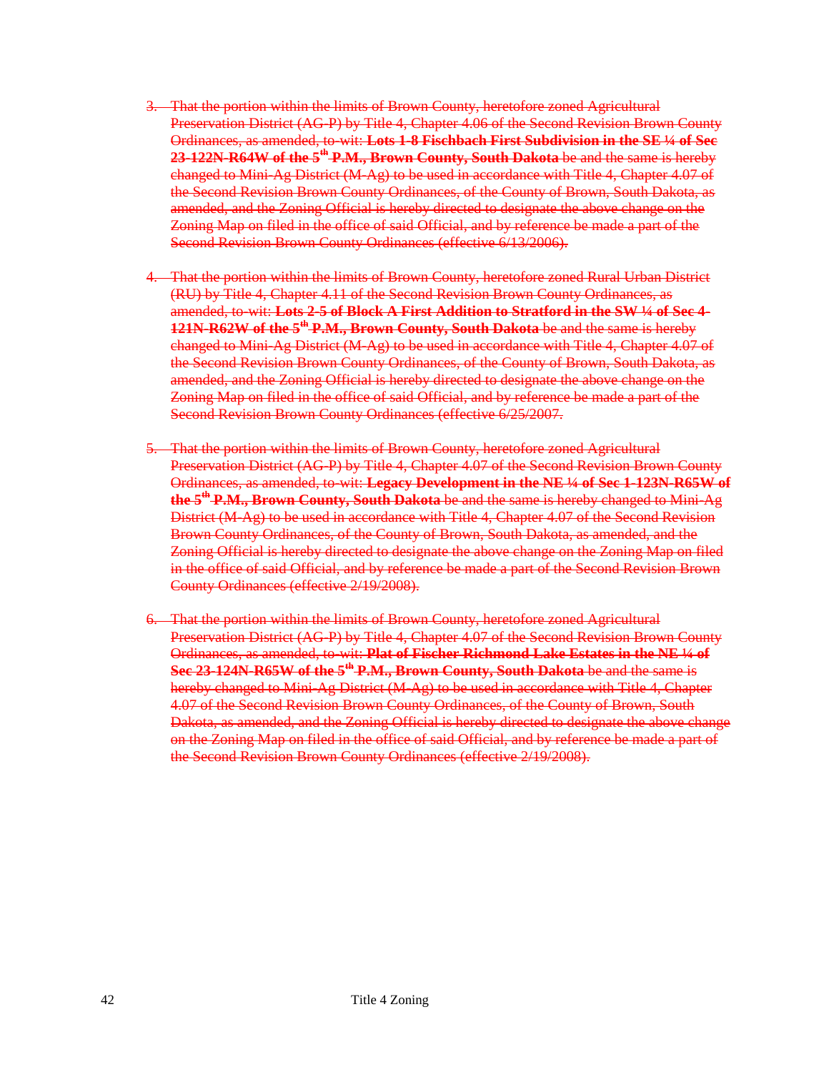- 3. That the portion within the limits of Brown County, heretofore zoned Agricultural Preservation District (AG-P) by Title 4, Chapter 4.06 of the Second Revision Brown County Ordinances, as amended, to-wit: **Lots 1-8 Fischbach First Subdivision in the SE ¼ of Sec 23-122N-R64W of the 5th P.M., Brown County, South Dakota** be and the same is hereby changed to Mini-Ag District (M-Ag) to be used in accordance with Title 4, Chapter 4.07 of the Second Revision Brown County Ordinances, of the County of Brown, South Dakota, as amended, and the Zoning Official is hereby directed to designate the above change on the Zoning Map on filed in the office of said Official, and by reference be made a part of the Second Revision Brown County Ordinances (effective 6/13/2006).
- 4. That the portion within the limits of Brown County, heretofore zoned Rural Urban District (RU) by Title 4, Chapter 4.11 of the Second Revision Brown County Ordinances, as amended, to-wit: **Lots 2-5 of Block A First Addition to Stratford in the SW ¼ of Sec 4- 121N-R62W of the 5th P.M., Brown County, South Dakota** be and the same is hereby changed to Mini-Ag District (M-Ag) to be used in accordance with Title 4, Chapter 4.07 of the Second Revision Brown County Ordinances, of the County of Brown, South Dakota, as amended, and the Zoning Official is hereby directed to designate the above change on the Zoning Map on filed in the office of said Official, and by reference be made a part of the Second Revision Brown County Ordinances (effective 6/25/2007.
- 5. That the portion within the limits of Brown County, heretofore zoned Agricultural Preservation District (AG-P) by Title 4, Chapter 4.07 of the Second Revision Brown County Ordinances, as amended, to-wit: **Legacy Development in the NE ¼ of Sec 1-123N-R65W of the 5th P.M., Brown County, South Dakota** be and the same is hereby changed to Mini-Ag District (M-Ag) to be used in accordance with Title 4, Chapter 4.07 of the Second Revision Brown County Ordinances, of the County of Brown, South Dakota, as amended, and the Zoning Official is hereby directed to designate the above change on the Zoning Map on filed in the office of said Official, and by reference be made a part of the Second Revision Brown County Ordinances (effective 2/19/2008).
- 6. That the portion within the limits of Brown County, heretofore zoned Agricultural Preservation District (AG-P) by Title 4, Chapter 4.07 of the Second Revision Brown County Ordinances, as amended, to-wit: **Plat of Fischer Richmond Lake Estates in the NE ¼ of Sec 23-124N-R65W of the 5th P.M., Brown County, South Dakota** be and the same is hereby changed to Mini-Ag District (M-Ag) to be used in accordance with Title 4, Chapter 4.07 of the Second Revision Brown County Ordinances, of the County of Brown, South Dakota, as amended, and the Zoning Official is hereby directed to designate the above change on the Zoning Map on filed in the office of said Official, and by reference be made a part of the Second Revision Brown County Ordinances (effective 2/19/2008).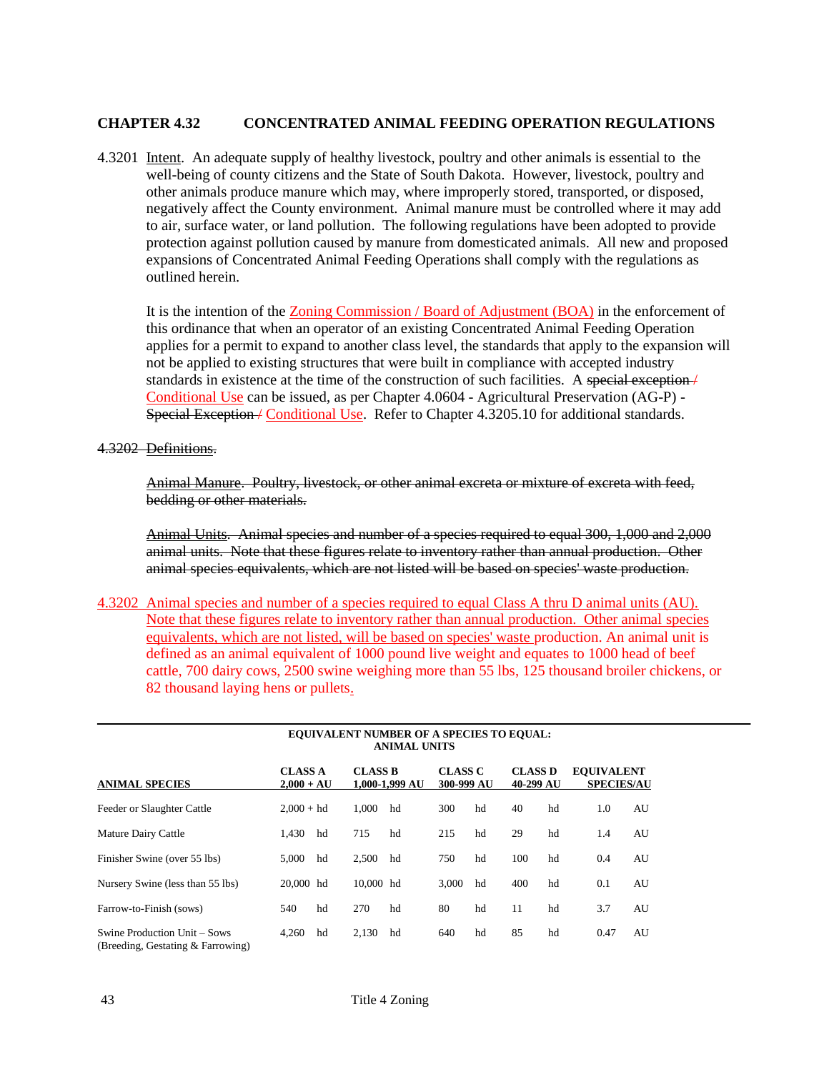## **CHAPTER 4.32 CONCENTRATED ANIMAL FEEDING OPERATION REGULATIONS**

4.3201 Intent. An adequate supply of healthy livestock, poultry and other animals is essential to the well-being of county citizens and the State of South Dakota. However, livestock, poultry and other animals produce manure which may, where improperly stored, transported, or disposed, negatively affect the County environment. Animal manure must be controlled where it may add to air, surface water, or land pollution. The following regulations have been adopted to provide protection against pollution caused by manure from domesticated animals. All new and proposed expansions of Concentrated Animal Feeding Operations shall comply with the regulations as outlined herein.

It is the intention of the Zoning Commission / Board of Adjustment (BOA) in the enforcement of this ordinance that when an operator of an existing Concentrated Animal Feeding Operation applies for a permit to expand to another class level, the standards that apply to the expansion will not be applied to existing structures that were built in compliance with accepted industry standards in existence at the time of the construction of such facilities. A special exception / Conditional Use can be issued, as per Chapter 4.0604 - Agricultural Preservation (AG-P) - Special Exception / Conditional Use. Refer to Chapter 4.3205.10 for additional standards.

#### 4.3202 Definitions.

Animal Manure. Poultry, livestock, or other animal excreta or mixture of excreta with feed, bedding or other materials.

Animal Units. Animal species and number of a species required to equal 300, 1,000 and 2,000 animal units. Note that these figures relate to inventory rather than annual production. Other animal species equivalents, which are not listed will be based on species' waste production.

4.3202 Animal species and number of a species required to equal Class A thru D animal units (AU). Note that these figures relate to inventory rather than annual production. Other animal species equivalents, which are not listed, will be based on species' waste production. An animal unit is defined as an animal equivalent of 1000 pound live weight and equates to 1000 head of beef cattle, 700 dairy cows, 2500 swine weighing more than 55 lbs, 125 thousand broiler chickens, or 82 thousand laying hens or pullets.

|                                                                   | EOUIVALENT NUMBER OF A SPECIES TO EQUAL:<br><b>ANIMAL UNITS</b> |    |                                  |    |                              |    |                             |    |                                        |    |
|-------------------------------------------------------------------|-----------------------------------------------------------------|----|----------------------------------|----|------------------------------|----|-----------------------------|----|----------------------------------------|----|
| <b>ANIMAL SPECIES</b>                                             | <b>CLASS A</b><br>$2,000 + AU$                                  |    | <b>CLASS B</b><br>1.000-1.999 AU |    | <b>CLASS C</b><br>300-999 AU |    | <b>CLASS D</b><br>40-299 AU |    | <b>EQUIVALENT</b><br><b>SPECIES/AU</b> |    |
| Feeder or Slaughter Cattle                                        | $2.000 + hd$                                                    |    | 1.000                            | hd | 300                          | hd | 40                          | hd | 1.0                                    | AU |
| Mature Dairy Cattle                                               | 1.430                                                           | hd | 715                              | hd | 215                          | hd | 29                          | hd | 1.4                                    | AU |
| Finisher Swine (over 55 lbs)                                      | 5.000                                                           | hd | 2,500                            | hd | 750                          | hd | 100                         | hd | 0.4                                    | AU |
| Nursery Swine (less than 55 lbs)                                  | 20,000 hd                                                       |    | 10,000 hd                        |    | 3.000                        | hd | 400                         | hd | 0.1                                    | AU |
| Farrow-to-Finish (sows)                                           | 540                                                             | hd | 270                              | hd | 80                           | hd | 11                          | hd | 3.7                                    | AU |
| Swine Production Unit – Sows<br>(Breeding, Gestating & Farrowing) | 4,260                                                           | hd | 2,130                            | hd | 640                          | hd | 85                          | hd | 0.47                                   | AU |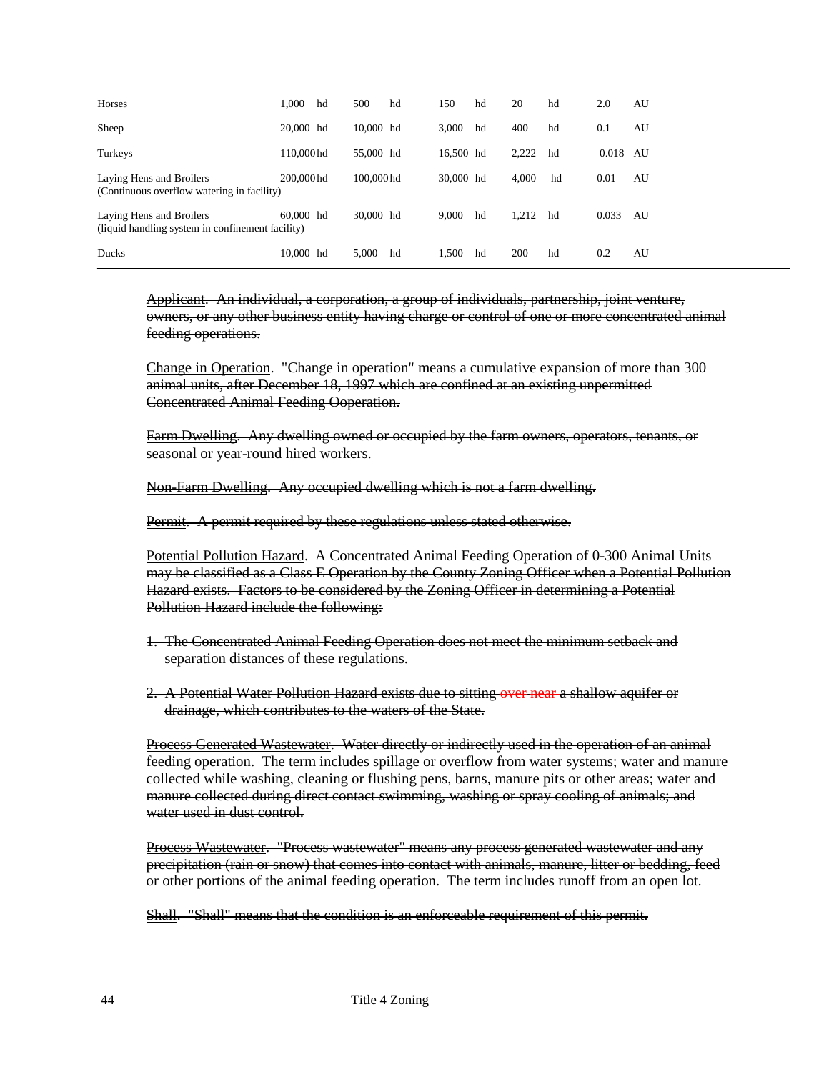| Horses                                                                       | 1.000      | hd | 500        | hd | 150       | hd | 20    | hd | 2.0      | AU |
|------------------------------------------------------------------------------|------------|----|------------|----|-----------|----|-------|----|----------|----|
| Sheep                                                                        | 20,000 hd  |    | 10,000 hd  |    | 3.000     | hd | 400   | hd | 0.1      | AU |
| Turkeys                                                                      | 110,000 hd |    | 55,000 hd  |    | 16,500 hd |    | 2,222 | hd | 0.018 AU |    |
| Laying Hens and Broilers<br>(Continuous overflow watering in facility)       | 200,000 hd |    | 100,000 hd |    | 30,000 hd |    | 4.000 | hd | 0.01     | AU |
| Laying Hens and Broilers<br>(liquid handling system in confinement facility) | 60,000 hd  |    | 30,000 hd  |    | 9,000     | hd | 1,212 | hd | 0.033    | AU |
| <b>Ducks</b>                                                                 | 10,000 hd  |    | 5,000      | hd | 1,500     | hd | 200   | hd | 0.2      | AU |

Applicant. An individual, a corporation, a group of individuals, partnership, joint venture, owners, or any other business entity having charge or control of one or more concentrated animal feeding operations.

Change in Operation. "Change in operation" means a cumulative expansion of more than 300 animal units, after December 18, 1997 which are confined at an existing unpermitted Concentrated Animal Feeding Ooperation.

Farm Dwelling. Any dwelling owned or occupied by the farm owners, operators, tenants, or seasonal or year-round hired workers.

Non-Farm Dwelling. Any occupied dwelling which is not a farm dwelling.

Permit. A permit required by these regulations unless stated otherwise.

Potential Pollution Hazard. A Concentrated Animal Feeding Operation of 0-300 Animal Units may be classified as a Class E Operation by the County Zoning Officer when a Potential Pollution Hazard exists. Factors to be considered by the Zoning Officer in determining a Potential Pollution Hazard include the following:

- 1. The Concentrated Animal Feeding Operation does not meet the minimum setback and separation distances of these regulations.
- 2. A Potential Water Pollution Hazard exists due to sitting over near a shallow aquifer or drainage, which contributes to the waters of the State.

Process Generated Wastewater. Water directly or indirectly used in the operation of an animal feeding operation. The term includes spillage or overflow from water systems; water and manure collected while washing, cleaning or flushing pens, barns, manure pits or other areas; water and manure collected during direct contact swimming, washing or spray cooling of animals; and water used in dust control.

Process Wastewater. "Process wastewater" means any process generated wastewater and any precipitation (rain or snow) that comes into contact with animals, manure, litter or bedding, feed or other portions of the animal feeding operation. The term includes runoff from an open lot.

Shall. "Shall" means that the condition is an enforceable requirement of this permit.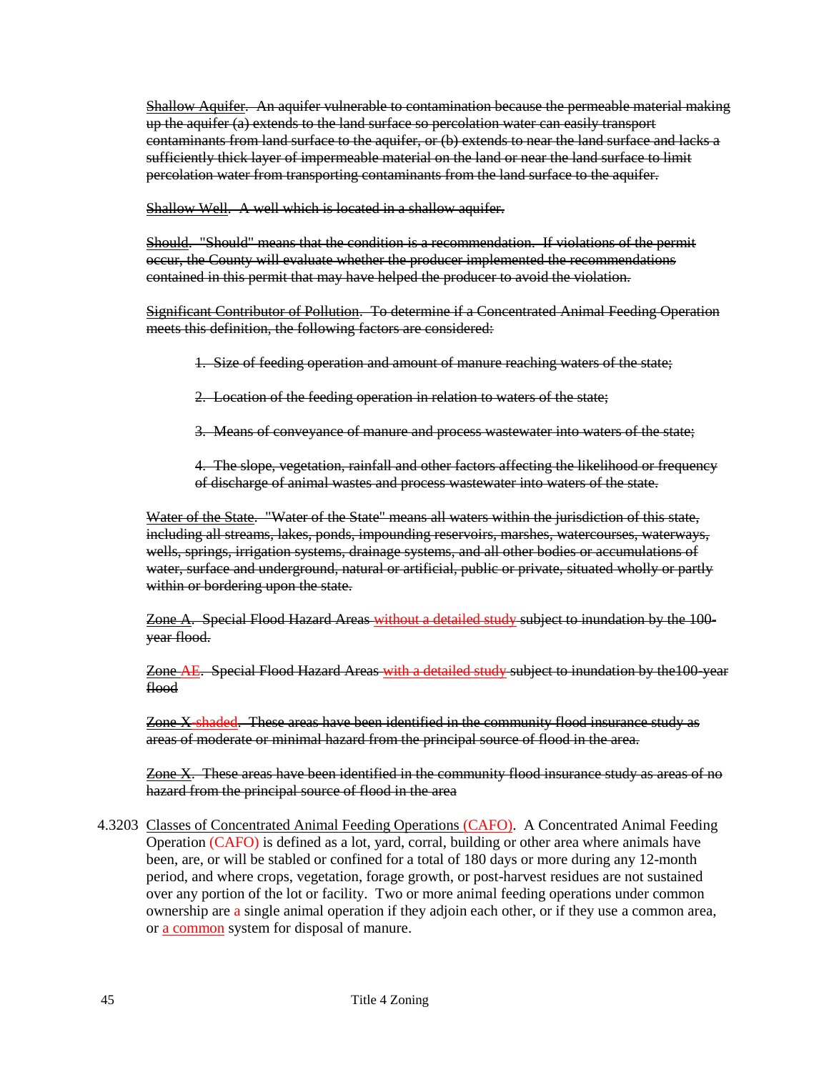Shallow Aquifer. An aquifer vulnerable to contamination because the permeable material making up the aquifer (a) extends to the land surface so percolation water can easily transport contaminants from land surface to the aquifer, or (b) extends to near the land surface and lacks a sufficiently thick layer of impermeable material on the land or near the land surface to limit percolation water from transporting contaminants from the land surface to the aquifer.

Shallow Well. A well which is located in a shallow aquifer.

Should. "Should" means that the condition is a recommendation. If violations of the permit occur, the County will evaluate whether the producer implemented the recommendations contained in this permit that may have helped the producer to avoid the violation.

Significant Contributor of Pollution. To determine if a Concentrated Animal Feeding Operation meets this definition, the following factors are considered:

1. Size of feeding operation and amount of manure reaching waters of the state;

2. Location of the feeding operation in relation to waters of the state;

3. Means of conveyance of manure and process wastewater into waters of the state;

4. The slope, vegetation, rainfall and other factors affecting the likelihood or frequency of discharge of animal wastes and process wastewater into waters of the state.

Water of the State. "Water of the State" means all waters within the jurisdiction of this state, including all streams, lakes, ponds, impounding reservoirs, marshes, watercourses, waterways, wells, springs, irrigation systems, drainage systems, and all other bodies or accumulations of water, surface and underground, natural or artificial, public or private, situated wholly or partly within or bordering upon the state.

Zone A. Special Flood Hazard Areas without a detailed study subject to inundation by the 100 year flood.

Zone AE. Special Flood Hazard Areas with a detailed study subject to inundation by the 100-year flood

Zone X-shaded. These areas have been identified in the community flood insurance study as areas of moderate or minimal hazard from the principal source of flood in the area.

Zone X. These areas have been identified in the community flood insurance study as areas of no hazard from the principal source of flood in the area

4.3203 Classes of Concentrated Animal Feeding Operations (CAFO). A Concentrated Animal Feeding Operation (CAFO) is defined as a lot, yard, corral, building or other area where animals have been, are, or will be stabled or confined for a total of 180 days or more during any 12-month period, and where crops, vegetation, forage growth, or post-harvest residues are not sustained over any portion of the lot or facility. Two or more animal feeding operations under common ownership are a single animal operation if they adjoin each other, or if they use a common area, or a common system for disposal of manure.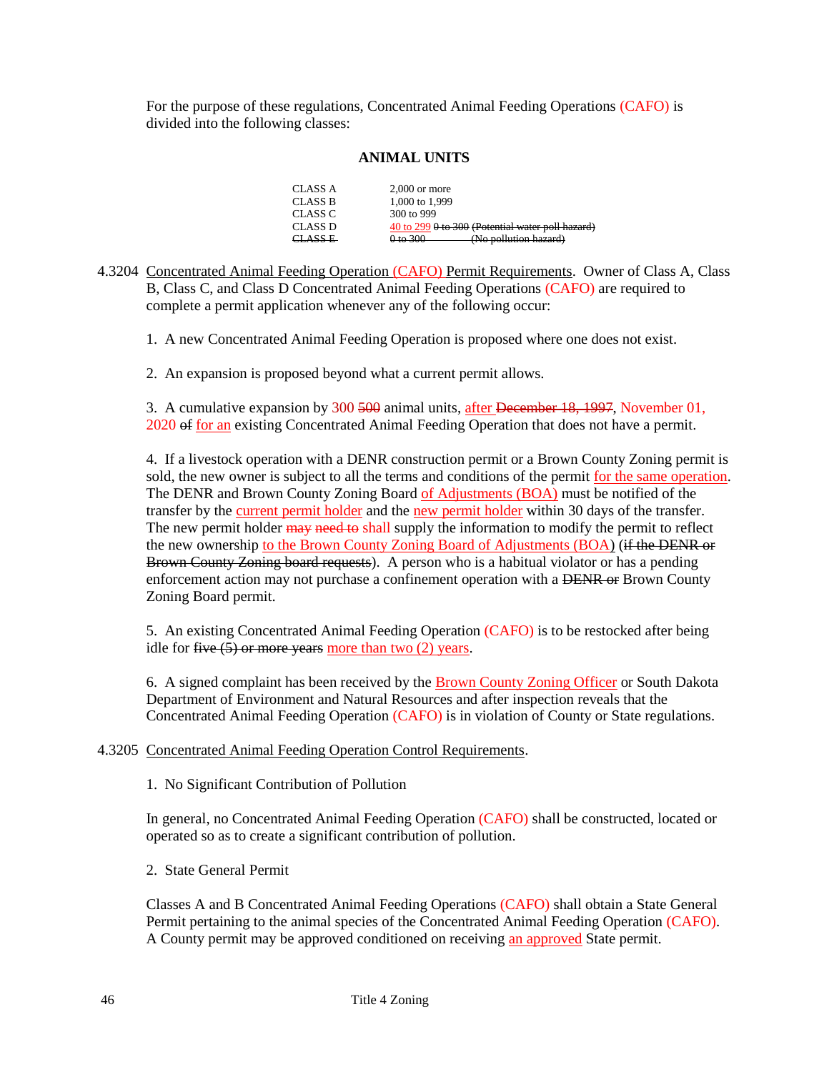For the purpose of these regulations, Concentrated Animal Feeding Operations (CAFO) is divided into the following classes:

### **ANIMAL UNITS**

| CLASS A | $2.000$ or more                                                         |
|---------|-------------------------------------------------------------------------|
| CLASS B | 1,000 to 1,999                                                          |
| CLASS C | 300 to 999                                                              |
| CLASS D | 40 to 299 0 to 300 (Potential water poll hazard)                        |
| CLASS E | 0 to 300<br>$(N_0$ nollution hazard)<br><del>u w bonuuon nazaru i</del> |

- 4.3204 Concentrated Animal Feeding Operation (CAFO) Permit Requirements. Owner of Class A, Class B, Class C, and Class D Concentrated Animal Feeding Operations (CAFO) are required to complete a permit application whenever any of the following occur:
	- 1. A new Concentrated Animal Feeding Operation is proposed where one does not exist.

2. An expansion is proposed beyond what a current permit allows.

3. A cumulative expansion by 300 500 animal units, after December 18, 1997, November 01, 2020 of for an existing Concentrated Animal Feeding Operation that does not have a permit.

4. If a livestock operation with a DENR construction permit or a Brown County Zoning permit is sold, the new owner is subject to all the terms and conditions of the permit for the same operation. The DENR and Brown County Zoning Board of Adjustments (BOA) must be notified of the transfer by the current permit holder and the new permit holder within 30 days of the transfer. The new permit holder  $\frac{m}{r}$  need to shall supply the information to modify the permit to reflect the new ownership to the Brown County Zoning Board of Adjustments (BOA) (if the DENR or Brown County Zoning board requests). A person who is a habitual violator or has a pending enforcement action may not purchase a confinement operation with a DENR or Brown County Zoning Board permit.

5. An existing Concentrated Animal Feeding Operation (CAFO) is to be restocked after being idle for five  $(5)$  or more years more than two  $(2)$  years.

6. A signed complaint has been received by the Brown County Zoning Officer or South Dakota Department of Environment and Natural Resources and after inspection reveals that the Concentrated Animal Feeding Operation (CAFO) is in violation of County or State regulations.

### 4.3205 Concentrated Animal Feeding Operation Control Requirements.

1. No Significant Contribution of Pollution

In general, no Concentrated Animal Feeding Operation (CAFO) shall be constructed, located or operated so as to create a significant contribution of pollution.

2. State General Permit

Classes A and B Concentrated Animal Feeding Operations (CAFO) shall obtain a State General Permit pertaining to the animal species of the Concentrated Animal Feeding Operation (CAFO). A County permit may be approved conditioned on receiving an approved State permit.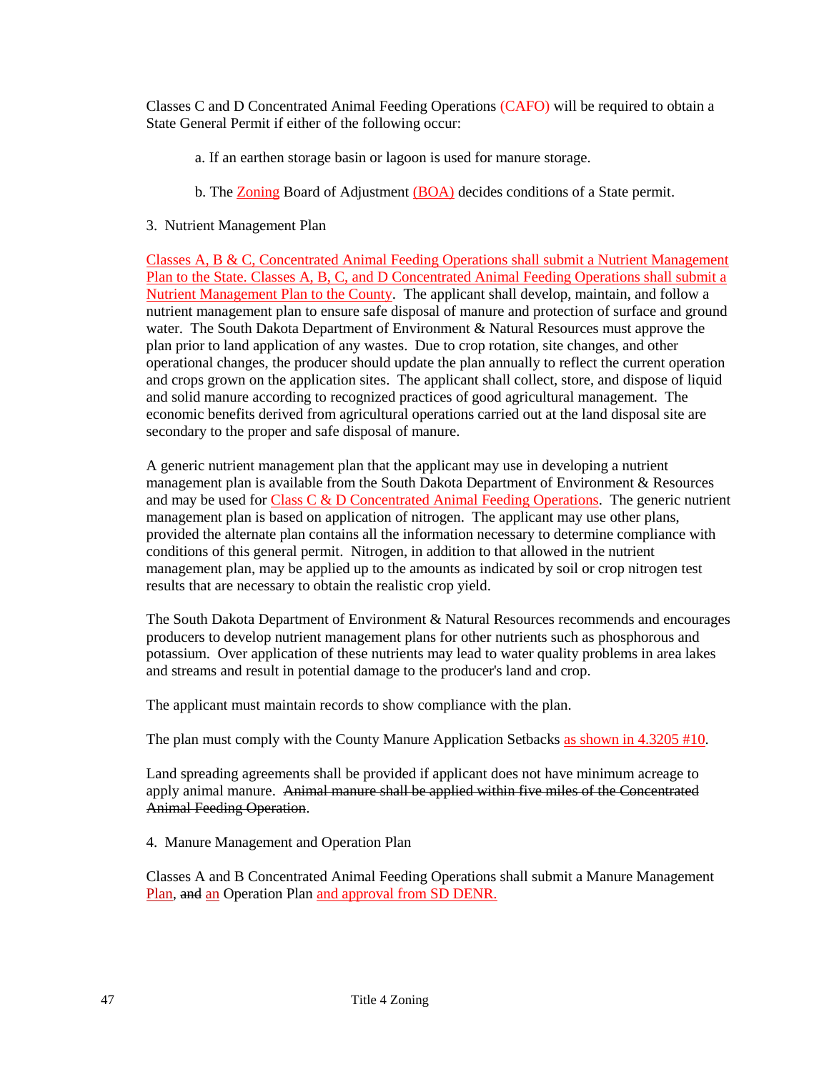Classes C and D Concentrated Animal Feeding Operations (CAFO) will be required to obtain a State General Permit if either of the following occur:

- a. If an earthen storage basin or lagoon is used for manure storage.
- b. The Zoning Board of Adjustment (BOA) decides conditions of a State permit.
- 3. Nutrient Management Plan

Classes A, B & C, Concentrated Animal Feeding Operations shall submit a Nutrient Management Plan to the State. Classes A, B, C, and D Concentrated Animal Feeding Operations shall submit a Nutrient Management Plan to the County. The applicant shall develop, maintain, and follow a nutrient management plan to ensure safe disposal of manure and protection of surface and ground water. The South Dakota Department of Environment & Natural Resources must approve the plan prior to land application of any wastes. Due to crop rotation, site changes, and other operational changes, the producer should update the plan annually to reflect the current operation and crops grown on the application sites. The applicant shall collect, store, and dispose of liquid and solid manure according to recognized practices of good agricultural management. The economic benefits derived from agricultural operations carried out at the land disposal site are secondary to the proper and safe disposal of manure.

A generic nutrient management plan that the applicant may use in developing a nutrient management plan is available from the South Dakota Department of Environment & Resources and may be used for Class C & D Concentrated Animal Feeding Operations. The generic nutrient management plan is based on application of nitrogen. The applicant may use other plans, provided the alternate plan contains all the information necessary to determine compliance with conditions of this general permit. Nitrogen, in addition to that allowed in the nutrient management plan, may be applied up to the amounts as indicated by soil or crop nitrogen test results that are necessary to obtain the realistic crop yield.

The South Dakota Department of Environment & Natural Resources recommends and encourages producers to develop nutrient management plans for other nutrients such as phosphorous and potassium. Over application of these nutrients may lead to water quality problems in area lakes and streams and result in potential damage to the producer's land and crop.

The applicant must maintain records to show compliance with the plan.

The plan must comply with the County Manure Application Setbacks as shown in 4.3205 #10.

Land spreading agreements shall be provided if applicant does not have minimum acreage to apply animal manure. Animal manure shall be applied within five miles of the Concentrated Animal Feeding Operation.

4. Manure Management and Operation Plan

Classes A and B Concentrated Animal Feeding Operations shall submit a Manure Management Plan, and an Operation Plan and approval from SD DENR.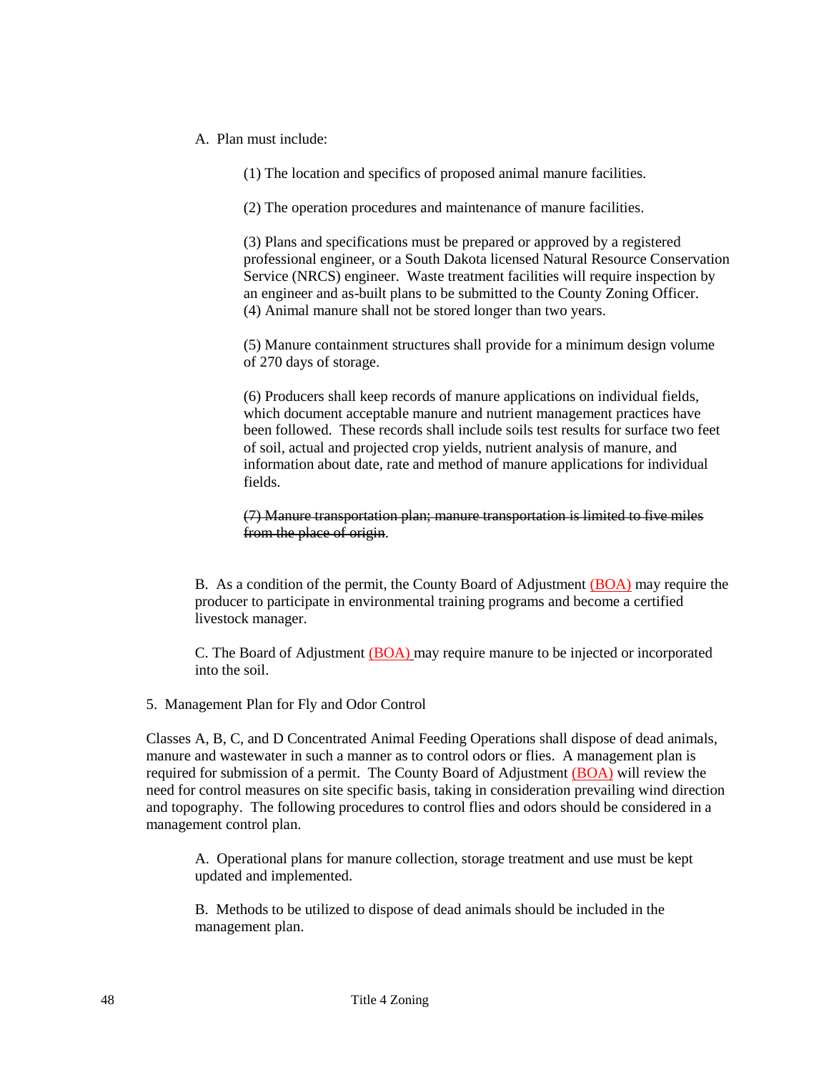A. Plan must include:

(1) The location and specifics of proposed animal manure facilities.

(2) The operation procedures and maintenance of manure facilities.

(3) Plans and specifications must be prepared or approved by a registered professional engineer, or a South Dakota licensed Natural Resource Conservation Service (NRCS) engineer. Waste treatment facilities will require inspection by an engineer and as-built plans to be submitted to the County Zoning Officer. (4) Animal manure shall not be stored longer than two years.

(5) Manure containment structures shall provide for a minimum design volume of 270 days of storage.

(6) Producers shall keep records of manure applications on individual fields, which document acceptable manure and nutrient management practices have been followed. These records shall include soils test results for surface two feet of soil, actual and projected crop yields, nutrient analysis of manure, and information about date, rate and method of manure applications for individual fields.

(7) Manure transportation plan; manure transportation is limited to five miles from the place of origin.

B. As a condition of the permit, the County Board of Adjustment (BOA) may require the producer to participate in environmental training programs and become a certified livestock manager.

C. The Board of Adjustment (BOA) may require manure to be injected or incorporated into the soil.

5. Management Plan for Fly and Odor Control

Classes A, B, C, and D Concentrated Animal Feeding Operations shall dispose of dead animals, manure and wastewater in such a manner as to control odors or flies. A management plan is required for submission of a permit. The County Board of Adjustment (BOA) will review the need for control measures on site specific basis, taking in consideration prevailing wind direction and topography. The following procedures to control flies and odors should be considered in a management control plan.

A. Operational plans for manure collection, storage treatment and use must be kept updated and implemented.

B. Methods to be utilized to dispose of dead animals should be included in the management plan.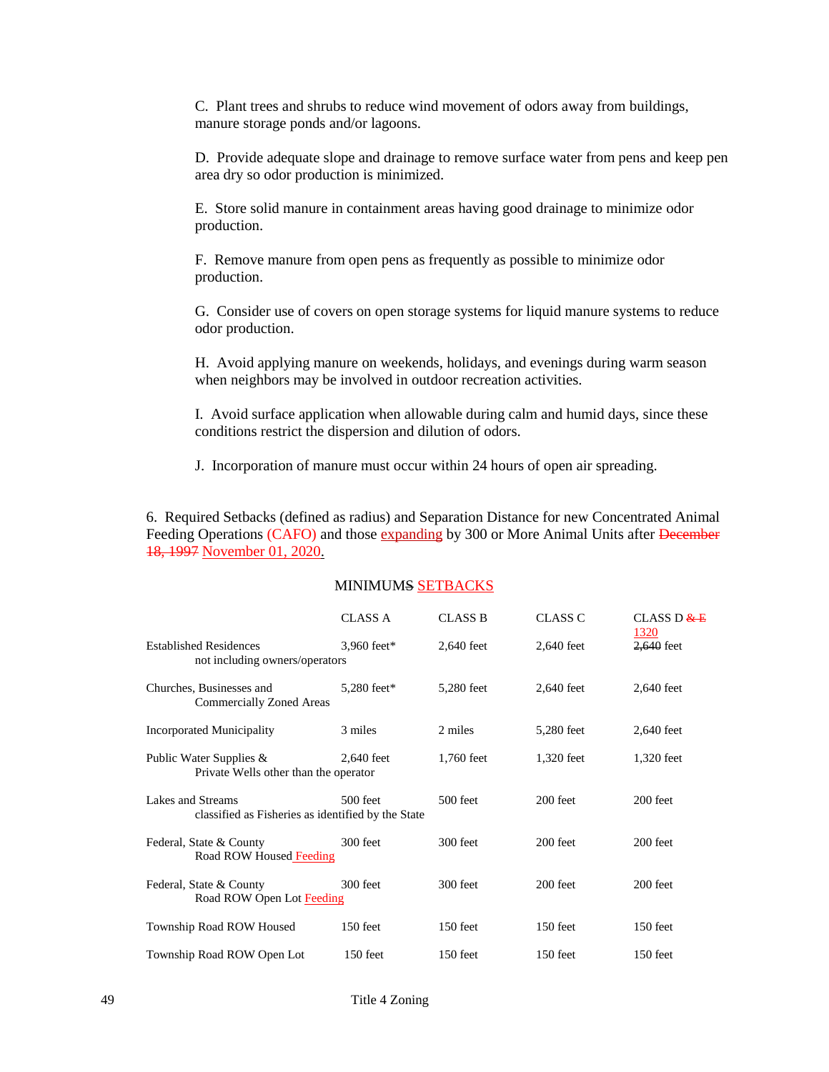C. Plant trees and shrubs to reduce wind movement of odors away from buildings, manure storage ponds and/or lagoons.

D. Provide adequate slope and drainage to remove surface water from pens and keep pen area dry so odor production is minimized.

E. Store solid manure in containment areas having good drainage to minimize odor production.

F. Remove manure from open pens as frequently as possible to minimize odor production.

G. Consider use of covers on open storage systems for liquid manure systems to reduce odor production.

H. Avoid applying manure on weekends, holidays, and evenings during warm season when neighbors may be involved in outdoor recreation activities.

I. Avoid surface application when allowable during calm and humid days, since these conditions restrict the dispersion and dilution of odors.

J. Incorporation of manure must occur within 24 hours of open air spreading.

6. Required Setbacks (defined as radius) and Separation Distance for new Concentrated Animal Feeding Operations (CAFO) and those expanding by 300 or More Animal Units after December 18, 1997 November 01, 2020.

### MINIMUMS SETBACKS

|                                                                         | <b>CLASS A</b> | <b>CLASS B</b> | CLASS C    | CLASS D $E$<br>1320 |
|-------------------------------------------------------------------------|----------------|----------------|------------|---------------------|
| <b>Established Residences</b><br>not including owners/operators         | 3,960 feet*    | 2,640 feet     | 2,640 feet | 2,640 feet          |
| Churches, Businesses and<br><b>Commercially Zoned Areas</b>             | 5,280 feet*    | 5,280 feet     | 2,640 feet | 2,640 feet          |
| <b>Incorporated Municipality</b>                                        | 3 miles        | 2 miles        | 5,280 feet | 2,640 feet          |
| Public Water Supplies &<br>Private Wells other than the operator        | 2,640 feet     | 1,760 feet     | 1,320 feet | 1,320 feet          |
| Lakes and Streams<br>classified as Fisheries as identified by the State | $500$ feet     | 500 feet       | $200$ feet | 200 feet            |
| Federal, State & County<br>Road ROW Housed Feeding                      | 300 feet       | 300 feet       | $200$ feet | 200 feet            |
| Federal, State & County<br>Road ROW Open Lot Feeding                    | 300 feet       | 300 feet       | $200$ feet | 200 feet            |
| Township Road ROW Housed                                                | 150 feet       | $150$ feet     | 150 feet   | $150$ feet          |
| Township Road ROW Open Lot                                              | 150 feet       | 150 feet       | 150 feet   | 150 feet            |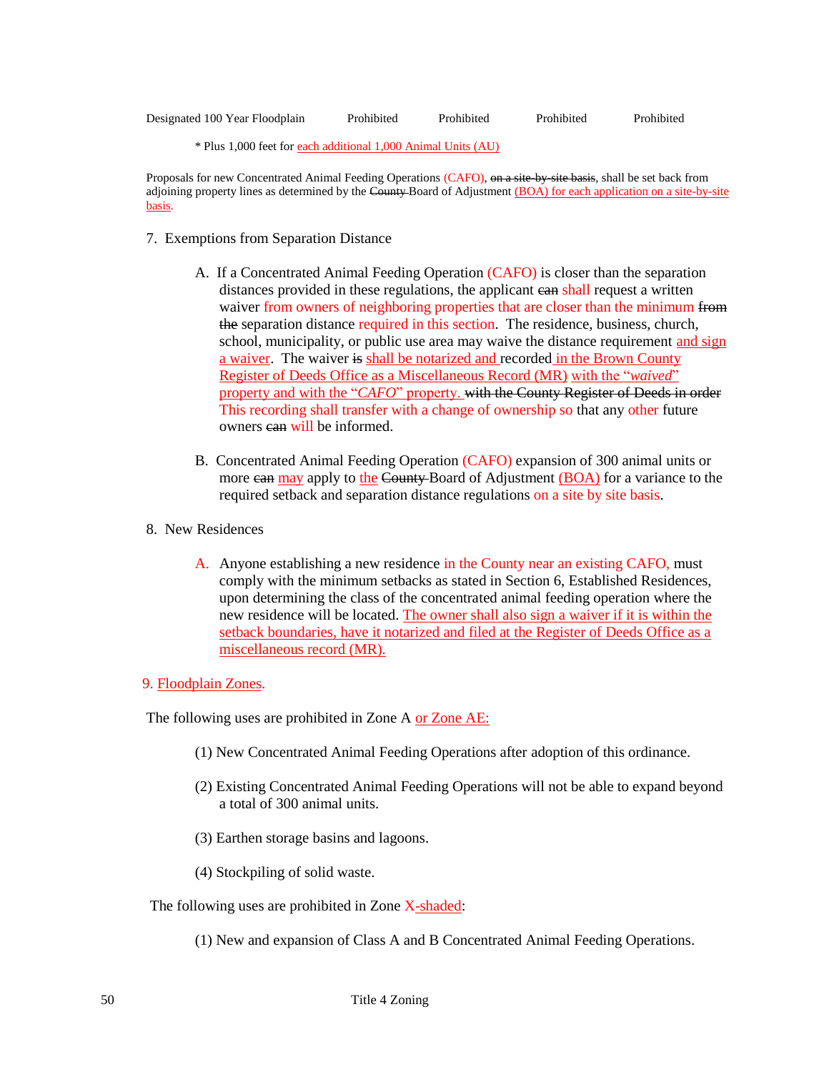| Designated 100 Year Floodplain | Prohibited | Prohibited | Prohibited | Prohibited |
|--------------------------------|------------|------------|------------|------------|

\* Plus 1,000 feet for each additional 1,000 Animal Units (AU)

Proposals for new Concentrated Animal Feeding Operations (CAFO), on a site-by-site basis, shall be set back from adjoining property lines as determined by the County-Board of Adjustment (BOA) for each application on a site-by-site basis.

- 7. Exemptions from Separation Distance
	- A. If a Concentrated Animal Feeding Operation (CAFO) is closer than the separation distances provided in these regulations, the applicant ean shall request a written waiver from owners of neighboring properties that are closer than the minimum from the separation distance required in this section. The residence, business, church, school, municipality, or public use area may waive the distance requirement and sign a waiver. The waiver is shall be notarized and recorded in the Brown County Register of Deeds Office as a Miscellaneous Record (MR) with the "*waived*" property and with the "*CAFO*" property. with the County Register of Deeds in order This recording shall transfer with a change of ownership so that any other future owners ean will be informed.
	- B. Concentrated Animal Feeding Operation (CAFO) expansion of 300 animal units or more can may apply to the County-Board of Adjustment (BOA) for a variance to the required setback and separation distance regulations on a site by site basis.
- 8. New Residences
	- A. Anyone establishing a new residence in the County near an existing CAFO, must comply with the minimum setbacks as stated in Section 6, Established Residences, upon determining the class of the concentrated animal feeding operation where the new residence will be located. The owner shall also sign a waiver if it is within the setback boundaries, have it notarized and filed at the Register of Deeds Office as a miscellaneous record (MR).
- 9. Floodplain Zones.

The following uses are prohibited in Zone A or Zone AE:

- (1) New Concentrated Animal Feeding Operations after adoption of this ordinance.
- (2) Existing Concentrated Animal Feeding Operations will not be able to expand beyond a total of 300 animal units.
- (3) Earthen storage basins and lagoons.
- (4) Stockpiling of solid waste.

The following uses are prohibited in Zone X-shaded:

(1) New and expansion of Class A and B Concentrated Animal Feeding Operations.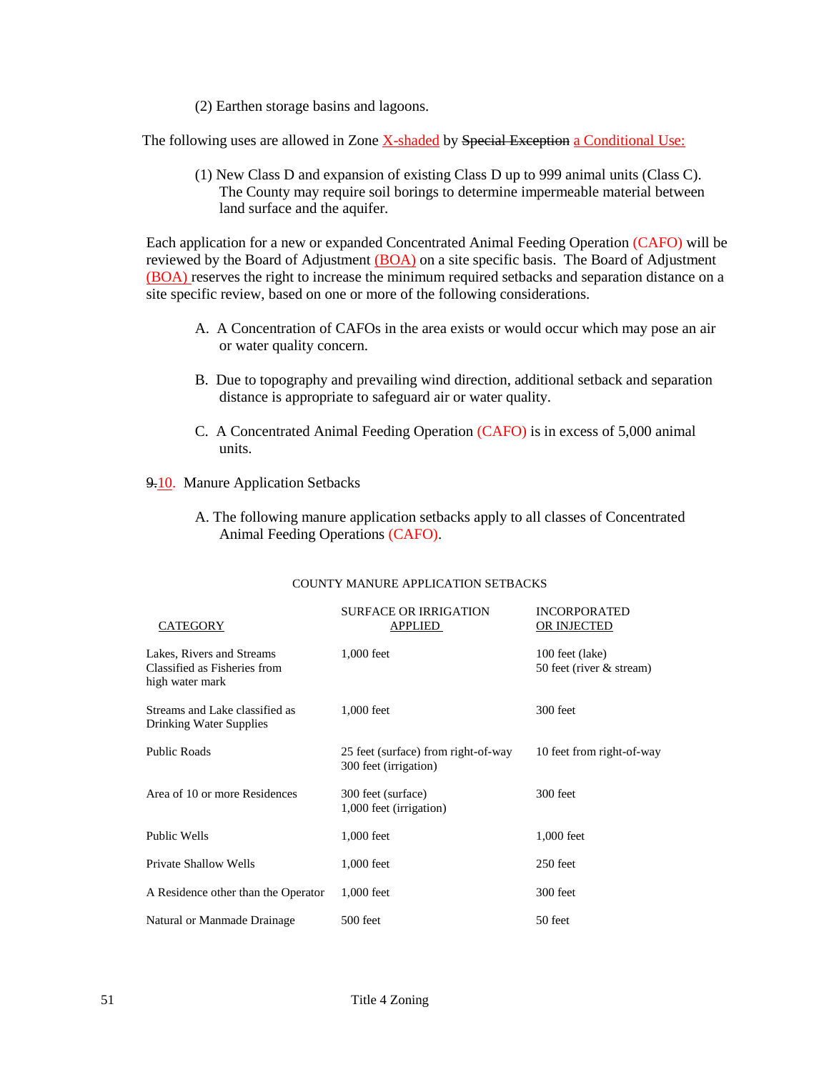(2) Earthen storage basins and lagoons.

The following uses are allowed in Zone X-shaded by Special Exception a Conditional Use:

(1) New Class D and expansion of existing Class D up to 999 animal units (Class C). The County may require soil borings to determine impermeable material between land surface and the aquifer.

Each application for a new or expanded Concentrated Animal Feeding Operation (CAFO) will be reviewed by the Board of Adjustment (BOA) on a site specific basis. The Board of Adjustment (BOA) reserves the right to increase the minimum required setbacks and separation distance on a site specific review, based on one or more of the following considerations.

- A. A Concentration of CAFOs in the area exists or would occur which may pose an air or water quality concern.
- B. Due to topography and prevailing wind direction, additional setback and separation distance is appropriate to safeguard air or water quality.
- C. A Concentrated Animal Feeding Operation (CAFO) is in excess of 5,000 animal units.

9.10. Manure Application Setbacks

A. The following manure application setbacks apply to all classes of Concentrated Animal Feeding Operations (CAFO).

| CATEGORY                                                                     | <b>SURFACE OR IRRIGATION</b><br><b>APPLIED</b>               | <b>INCORPORATED</b><br>OR INJECTED          |
|------------------------------------------------------------------------------|--------------------------------------------------------------|---------------------------------------------|
| Lakes, Rivers and Streams<br>Classified as Fisheries from<br>high water mark | 1,000 feet                                                   | 100 feet (lake)<br>50 feet (river & stream) |
| Streams and Lake classified as<br>Drinking Water Supplies                    | 1,000 feet                                                   | 300 feet                                    |
| <b>Public Roads</b>                                                          | 25 feet (surface) from right-of-way<br>300 feet (irrigation) | 10 feet from right-of-way                   |
| Area of 10 or more Residences                                                | 300 feet (surface)<br>1,000 feet (irrigation)                | 300 feet                                    |
| Public Wells                                                                 | 1,000 feet                                                   | 1,000 feet                                  |
| Private Shallow Wells                                                        | 1,000 feet                                                   | 250 feet                                    |
| A Residence other than the Operator                                          | 1,000 feet                                                   | 300 feet                                    |
| Natural or Manmade Drainage                                                  | 500 feet                                                     | 50 feet                                     |

#### COUNTY MANURE APPLICATION SETBACKS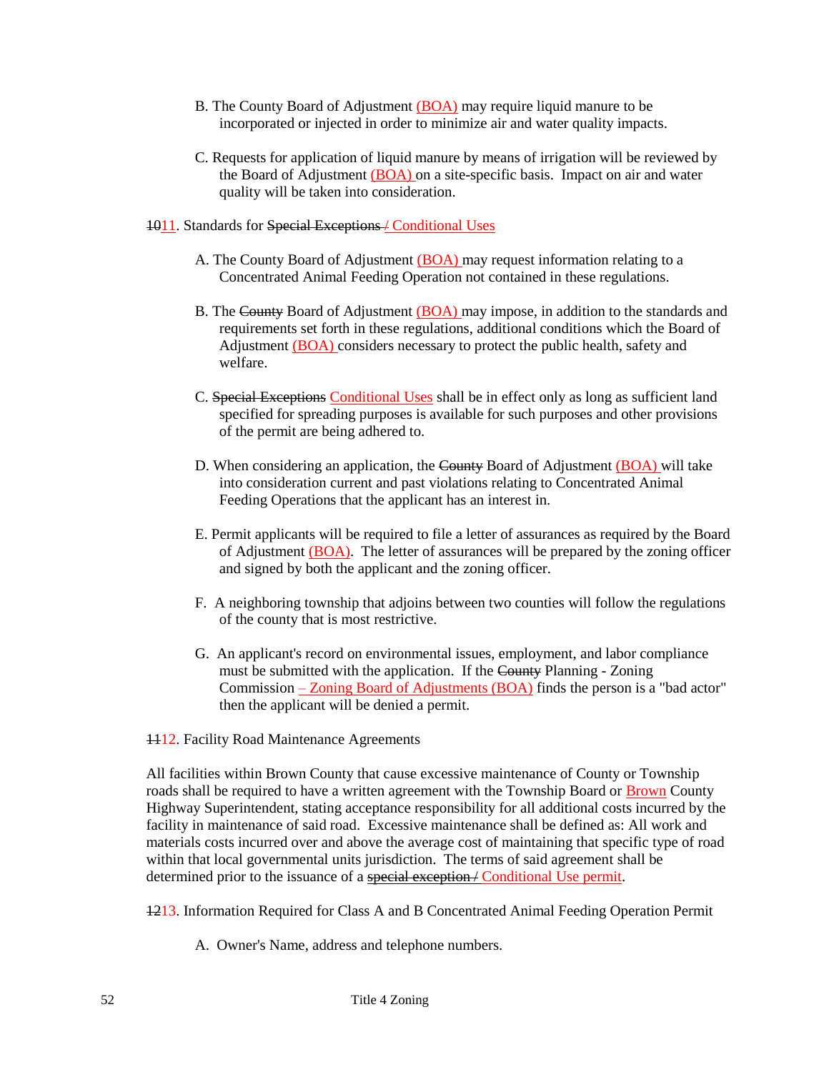- B. The County Board of Adjustment (BOA) may require liquid manure to be incorporated or injected in order to minimize air and water quality impacts.
- C. Requests for application of liquid manure by means of irrigation will be reviewed by the Board of Adjustment (BOA) on a site-specific basis. Impact on air and water quality will be taken into consideration.
- 1011. Standards for Special Exceptions / Conditional Uses
	- A. The County Board of Adjustment (BOA) may request information relating to a Concentrated Animal Feeding Operation not contained in these regulations.
	- B. The County Board of Adjustment (BOA) may impose, in addition to the standards and requirements set forth in these regulations, additional conditions which the Board of Adjustment (BOA) considers necessary to protect the public health, safety and welfare.
	- C. Special Exceptions Conditional Uses shall be in effect only as long as sufficient land specified for spreading purposes is available for such purposes and other provisions of the permit are being adhered to.
	- D. When considering an application, the County Board of Adjustment (BOA) will take into consideration current and past violations relating to Concentrated Animal Feeding Operations that the applicant has an interest in.
	- E. Permit applicants will be required to file a letter of assurances as required by the Board of Adjustment (BOA). The letter of assurances will be prepared by the zoning officer and signed by both the applicant and the zoning officer.
	- F. A neighboring township that adjoins between two counties will follow the regulations of the county that is most restrictive.
	- G. An applicant's record on environmental issues, employment, and labor compliance must be submitted with the application. If the County Planning - Zoning Commission – Zoning Board of Adjustments (BOA) finds the person is a "bad actor" then the applicant will be denied a permit.
- **1112.** Facility Road Maintenance Agreements

All facilities within Brown County that cause excessive maintenance of County or Township roads shall be required to have a written agreement with the Township Board or Brown County Highway Superintendent, stating acceptance responsibility for all additional costs incurred by the facility in maintenance of said road. Excessive maintenance shall be defined as: All work and materials costs incurred over and above the average cost of maintaining that specific type of road within that local governmental units jurisdiction. The terms of said agreement shall be determined prior to the issuance of a special exception / Conditional Use permit.

1213. Information Required for Class A and B Concentrated Animal Feeding Operation Permit

A. Owner's Name, address and telephone numbers.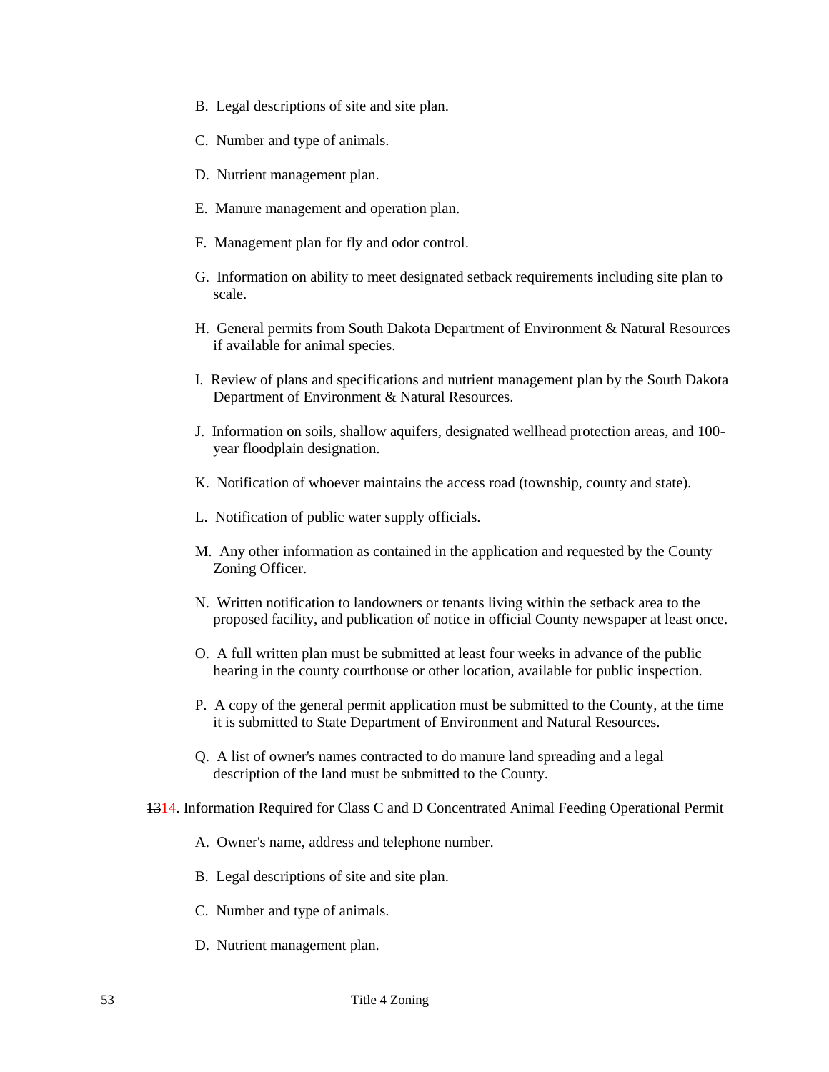- B. Legal descriptions of site and site plan.
- C. Number and type of animals.
- D. Nutrient management plan.
- E. Manure management and operation plan.
- F. Management plan for fly and odor control.
- G. Information on ability to meet designated setback requirements including site plan to scale.
- H. General permits from South Dakota Department of Environment & Natural Resources if available for animal species.
- I. Review of plans and specifications and nutrient management plan by the South Dakota Department of Environment & Natural Resources.
- J. Information on soils, shallow aquifers, designated wellhead protection areas, and 100 year floodplain designation.
- K. Notification of whoever maintains the access road (township, county and state).
- L. Notification of public water supply officials.
- M. Any other information as contained in the application and requested by the County Zoning Officer.
- N. Written notification to landowners or tenants living within the setback area to the proposed facility, and publication of notice in official County newspaper at least once.
- O. A full written plan must be submitted at least four weeks in advance of the public hearing in the county courthouse or other location, available for public inspection.
- P. A copy of the general permit application must be submitted to the County, at the time it is submitted to State Department of Environment and Natural Resources.
- Q. A list of owner's names contracted to do manure land spreading and a legal description of the land must be submitted to the County.
- 1314. Information Required for Class C and D Concentrated Animal Feeding Operational Permit
	- A. Owner's name, address and telephone number.
	- B. Legal descriptions of site and site plan.
	- C. Number and type of animals.
	- D. Nutrient management plan.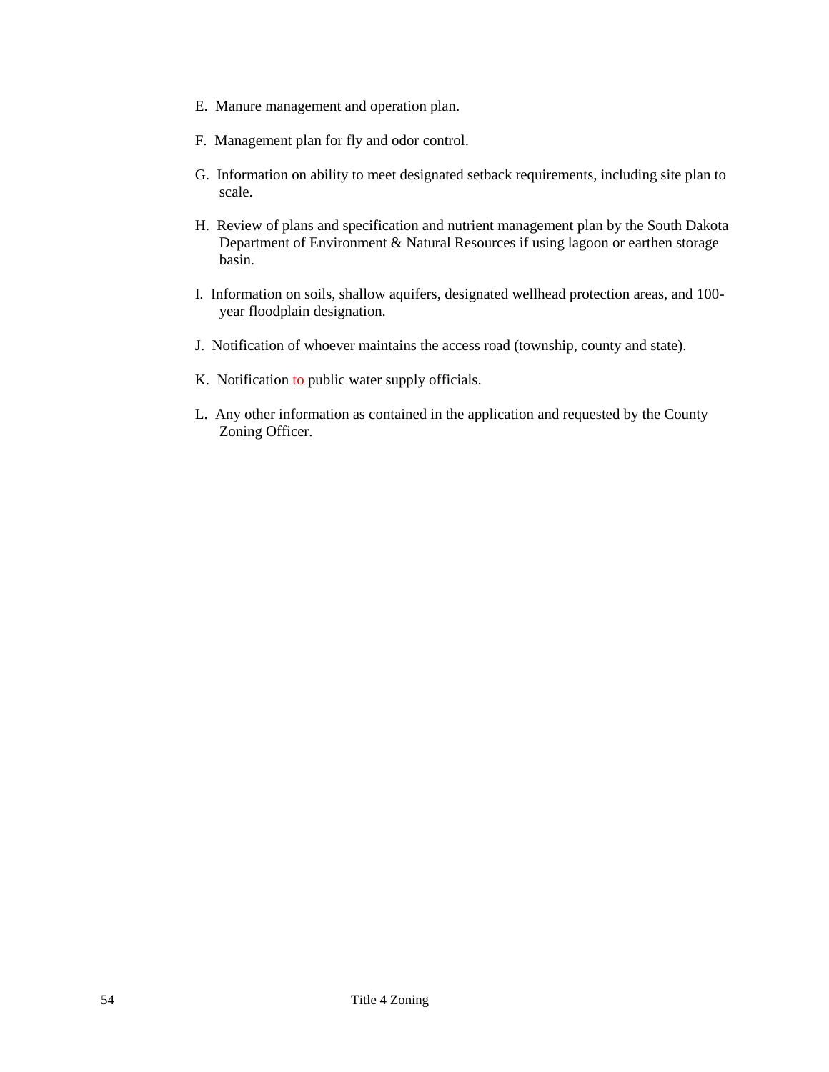- E. Manure management and operation plan.
- F. Management plan for fly and odor control.
- G. Information on ability to meet designated setback requirements, including site plan to scale.
- H. Review of plans and specification and nutrient management plan by the South Dakota Department of Environment & Natural Resources if using lagoon or earthen storage basin.
- I. Information on soils, shallow aquifers, designated wellhead protection areas, and 100 year floodplain designation.
- J. Notification of whoever maintains the access road (township, county and state).
- K. Notification to public water supply officials.
- L. Any other information as contained in the application and requested by the County Zoning Officer.